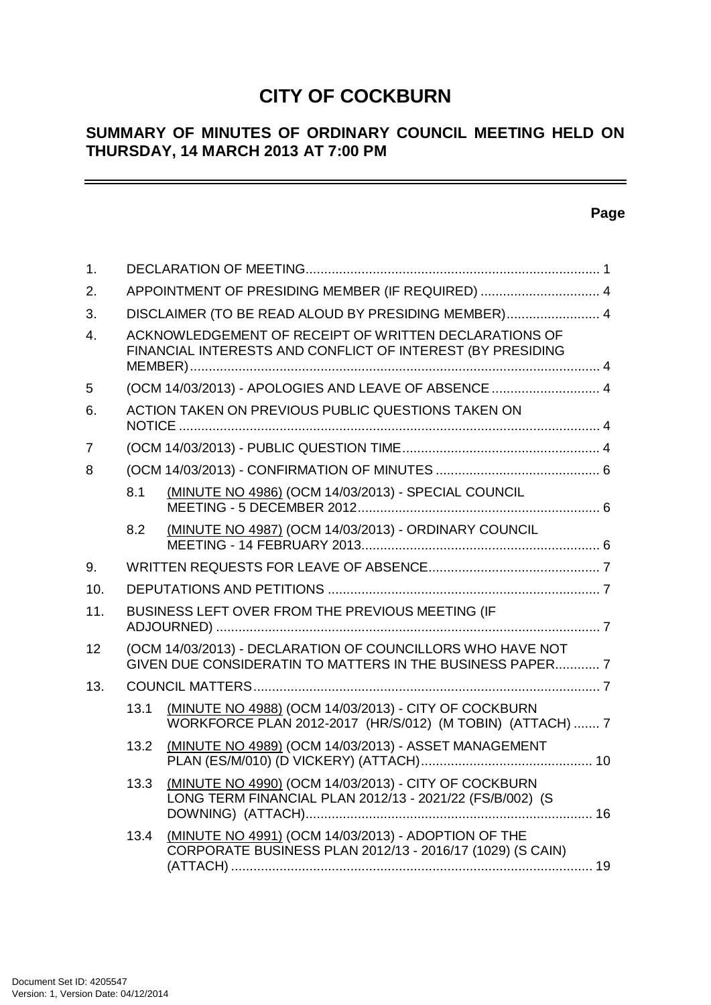# **CITY OF COCKBURN**

# **SUMMARY OF MINUTES OF ORDINARY COUNCIL MEETING HELD ON THURSDAY, 14 MARCH 2013 AT 7:00 PM**

# **Page**

| 1.  |                                                     |                                                                                                                         |  |  |  |  |
|-----|-----------------------------------------------------|-------------------------------------------------------------------------------------------------------------------------|--|--|--|--|
| 2.  | APPOINTMENT OF PRESIDING MEMBER (IF REQUIRED)  4    |                                                                                                                         |  |  |  |  |
| 3.  | DISCLAIMER (TO BE READ ALOUD BY PRESIDING MEMBER) 4 |                                                                                                                         |  |  |  |  |
| 4.  |                                                     | ACKNOWLEDGEMENT OF RECEIPT OF WRITTEN DECLARATIONS OF<br>FINANCIAL INTERESTS AND CONFLICT OF INTEREST (BY PRESIDING     |  |  |  |  |
| 5   |                                                     | (OCM 14/03/2013) - APOLOGIES AND LEAVE OF ABSENCE  4                                                                    |  |  |  |  |
| 6.  |                                                     | ACTION TAKEN ON PREVIOUS PUBLIC QUESTIONS TAKEN ON                                                                      |  |  |  |  |
| 7   |                                                     |                                                                                                                         |  |  |  |  |
| 8   |                                                     |                                                                                                                         |  |  |  |  |
|     | 8.1                                                 | (MINUTE NO 4986) (OCM 14/03/2013) - SPECIAL COUNCIL                                                                     |  |  |  |  |
|     | 8.2                                                 | (MINUTE NO 4987) (OCM 14/03/2013) - ORDINARY COUNCIL                                                                    |  |  |  |  |
| 9.  |                                                     |                                                                                                                         |  |  |  |  |
| 10. |                                                     |                                                                                                                         |  |  |  |  |
| 11. |                                                     | BUSINESS LEFT OVER FROM THE PREVIOUS MEETING (IF                                                                        |  |  |  |  |
| 12  |                                                     | (OCM 14/03/2013) - DECLARATION OF COUNCILLORS WHO HAVE NOT<br>GIVEN DUE CONSIDERATIN TO MATTERS IN THE BUSINESS PAPER 7 |  |  |  |  |
| 13. |                                                     |                                                                                                                         |  |  |  |  |
|     | 13.1                                                | (MINUTE NO 4988) (OCM 14/03/2013) - CITY OF COCKBURN<br>WORKFORCE PLAN 2012-2017 (HR/S/012) (M TOBIN) (ATTACH)  7       |  |  |  |  |
|     | 13.2                                                | (MINUTE NO 4989) (OCM 14/03/2013) - ASSET MANAGEMENT                                                                    |  |  |  |  |
|     | 13.3                                                | (MINUTE NO 4990) (OCM 14/03/2013) - CITY OF COCKBURN<br>LONG TERM FINANCIAL PLAN 2012/13 - 2021/22 (FS/B/002) (S        |  |  |  |  |
|     | 13.4                                                | (MINUTE NO 4991) (OCM 14/03/2013) - ADOPTION OF THE<br>CORPORATE BUSINESS PLAN 2012/13 - 2016/17 (1029) (S CAIN)        |  |  |  |  |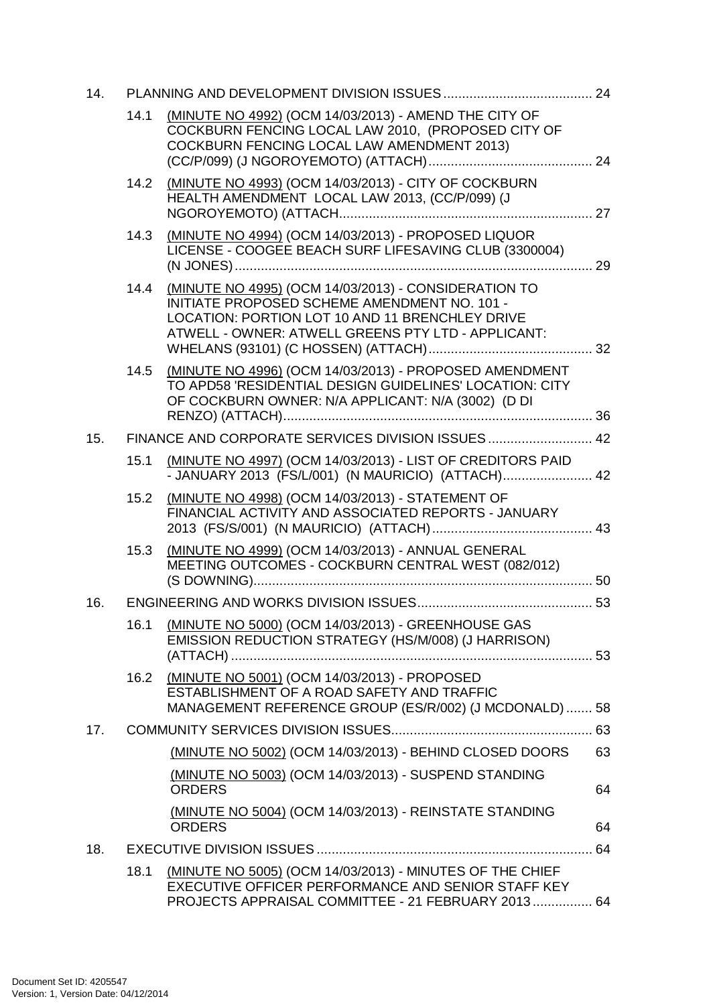| 14. |      |                                                                                                                                                                                                               |    |  |  |
|-----|------|---------------------------------------------------------------------------------------------------------------------------------------------------------------------------------------------------------------|----|--|--|
|     | 14.1 | (MINUTE NO 4992) (OCM 14/03/2013) - AMEND THE CITY OF<br>COCKBURN FENCING LOCAL LAW 2010, (PROPOSED CITY OF<br>COCKBURN FENCING LOCAL LAW AMENDMENT 2013)                                                     |    |  |  |
|     | 14.2 | (MINUTE NO 4993) (OCM 14/03/2013) - CITY OF COCKBURN<br>HEALTH AMENDMENT LOCAL LAW 2013, (CC/P/099) (J                                                                                                        |    |  |  |
|     | 14.3 | (MINUTE NO 4994) (OCM 14/03/2013) - PROPOSED LIQUOR<br>LICENSE - COOGEE BEACH SURF LIFESAVING CLUB (3300004)                                                                                                  |    |  |  |
|     | 14.4 | (MINUTE NO 4995) (OCM 14/03/2013) - CONSIDERATION TO<br>INITIATE PROPOSED SCHEME AMENDMENT NO. 101 -<br>LOCATION: PORTION LOT 10 AND 11 BRENCHLEY DRIVE<br>ATWELL - OWNER: ATWELL GREENS PTY LTD - APPLICANT: |    |  |  |
|     | 14.5 | (MINUTE NO 4996) (OCM 14/03/2013) - PROPOSED AMENDMENT<br>TO APD58 'RESIDENTIAL DESIGN GUIDELINES' LOCATION: CITY<br>OF COCKBURN OWNER: N/A APPLICANT: N/A (3002) (D DI                                       |    |  |  |
| 15. |      |                                                                                                                                                                                                               |    |  |  |
|     | 15.1 | (MINUTE NO 4997) (OCM 14/03/2013) - LIST OF CREDITORS PAID<br>- JANUARY 2013 (FS/L/001) (N MAURICIO) (ATTACH) 42                                                                                              |    |  |  |
|     | 15.2 | (MINUTE NO 4998) (OCM 14/03/2013) - STATEMENT OF<br>FINANCIAL ACTIVITY AND ASSOCIATED REPORTS - JANUARY                                                                                                       |    |  |  |
|     | 15.3 | (MINUTE NO 4999) (OCM 14/03/2013) - ANNUAL GENERAL<br>MEETING OUTCOMES - COCKBURN CENTRAL WEST (082/012)                                                                                                      |    |  |  |
| 16. |      |                                                                                                                                                                                                               |    |  |  |
|     | 16.1 | (MINUTE NO 5000) (OCM 14/03/2013) - GREENHOUSE GAS<br>EMISSION REDUCTION STRATEGY (HS/M/008) (J HARRISON)                                                                                                     |    |  |  |
|     | 16.2 | (MINUTE NO 5001) (OCM 14/03/2013) - PROPOSED<br>ESTABLISHMENT OF A ROAD SAFETY AND TRAFFIC<br>MANAGEMENT REFERENCE GROUP (ES/R/002) (J MCDONALD)  58                                                          |    |  |  |
| 17. |      |                                                                                                                                                                                                               |    |  |  |
|     |      | (MINUTE NO 5002) (OCM 14/03/2013) - BEHIND CLOSED DOORS                                                                                                                                                       | 63 |  |  |
|     |      | (MINUTE NO 5003) (OCM 14/03/2013) - SUSPEND STANDING<br><b>ORDERS</b>                                                                                                                                         | 64 |  |  |
|     |      | (MINUTE NO 5004) (OCM 14/03/2013) - REINSTATE STANDING<br><b>ORDERS</b>                                                                                                                                       | 64 |  |  |
| 18. |      |                                                                                                                                                                                                               |    |  |  |
|     | 18.1 | (MINUTE NO 5005) (OCM 14/03/2013) - MINUTES OF THE CHIEF<br>EXECUTIVE OFFICER PERFORMANCE AND SENIOR STAFF KEY<br>PROJECTS APPRAISAL COMMITTEE - 21 FEBRUARY 2013 64                                          |    |  |  |
|     |      |                                                                                                                                                                                                               |    |  |  |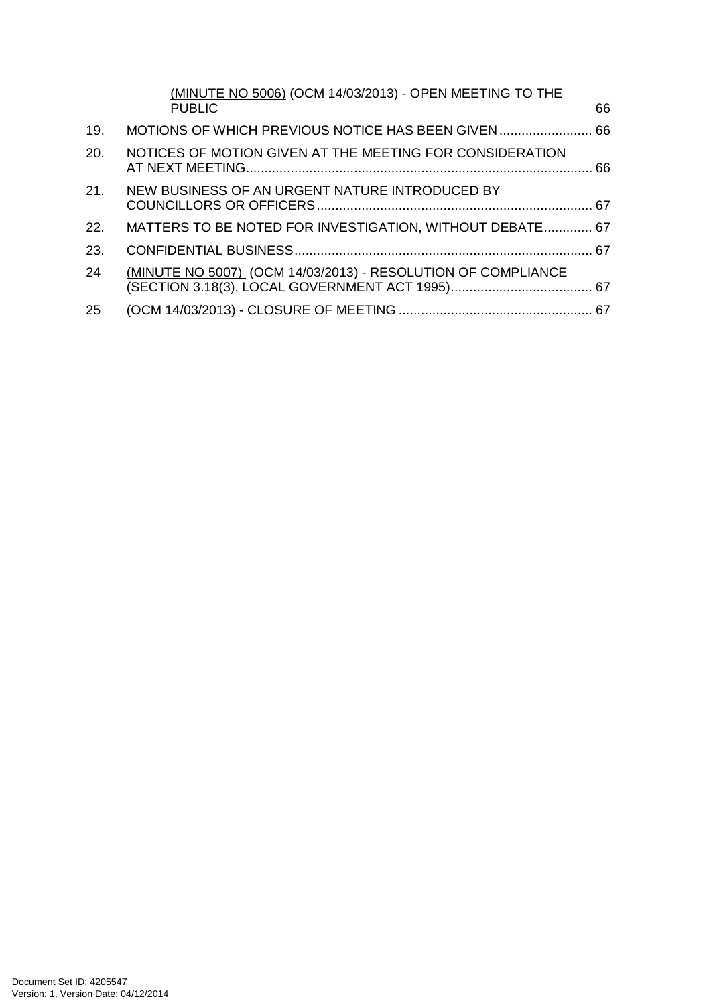|            | (MINUTE NO 5006) (OCM 14/03/2013) - OPEN MEETING TO THE<br><b>PUBLIC</b> | 66  |
|------------|--------------------------------------------------------------------------|-----|
| 19.        | MOTIONS OF WHICH PREVIOUS NOTICE HAS BEEN GIVEN  66                      |     |
| 20.        | NOTICES OF MOTION GIVEN AT THE MEETING FOR CONSIDERATION                 | 66. |
| 21.        | NEW BUSINESS OF AN URGENT NATURE INTRODUCED BY                           |     |
| <b>22.</b> | MATTERS TO BE NOTED FOR INVESTIGATION, WITHOUT DEBATE 67                 |     |
| 23.        |                                                                          |     |
| 24         | (MINUTE NO 5007) (OCM 14/03/2013) - RESOLUTION OF COMPLIANCE             |     |
| 25         |                                                                          |     |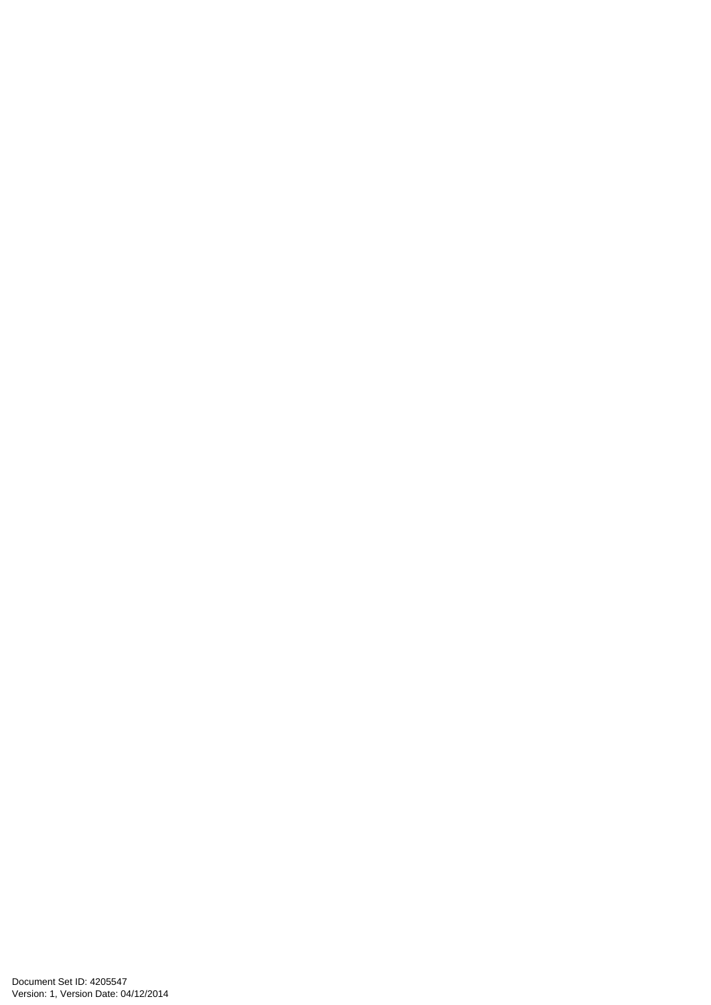Document Set ID: 4205547<br>Version: 1, Version Date: 04/12/2014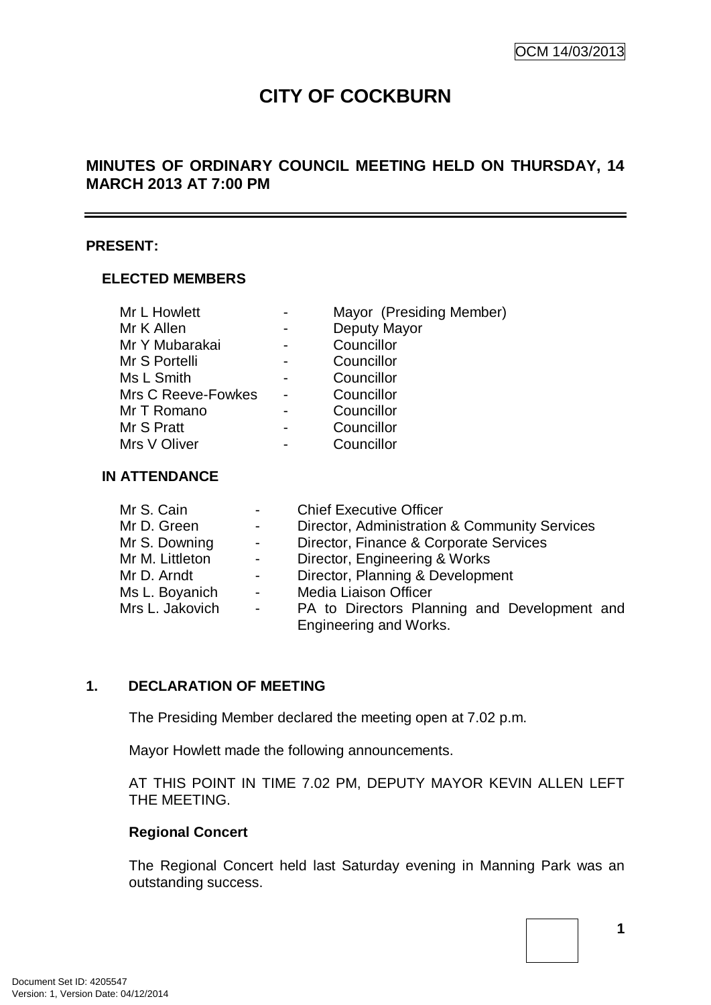# **CITY OF COCKBURN**

# **MINUTES OF ORDINARY COUNCIL MEETING HELD ON THURSDAY, 14 MARCH 2013 AT 7:00 PM**

## **PRESENT:**

#### **ELECTED MEMBERS**

| Mr L Howlett       | Mayor (Presiding Member) |
|--------------------|--------------------------|
| Mr K Allen         | Deputy Mayor             |
| Mr Y Mubarakai     | Councillor               |
| Mr S Portelli      | Councillor               |
| Ms L Smith         | Councillor               |
| Mrs C Reeve-Fowkes | Councillor               |
| Mr T Romano        | Councillor               |
| Mr S Pratt         | Councillor               |
| Mrs V Oliver       | Councillor               |

## **IN ATTENDANCE**

| Mr S. Cain      |                         | <b>Chief Executive Officer</b>                |  |  |  |
|-----------------|-------------------------|-----------------------------------------------|--|--|--|
| Mr D. Green     | $\blacksquare$          | Director, Administration & Community Services |  |  |  |
| Mr S. Downing   | $\sim$ $-$              | Director, Finance & Corporate Services        |  |  |  |
| Mr M. Littleton | $\blacksquare$          | Director, Engineering & Works                 |  |  |  |
| Mr D. Arndt     | -                       | Director, Planning & Development              |  |  |  |
| Ms L. Boyanich  | $\sim$ $-$              | <b>Media Liaison Officer</b>                  |  |  |  |
| Mrs L. Jakovich | $\sim 100$ km s $^{-1}$ | PA to Directors Planning and Development and  |  |  |  |
|                 |                         | Engineering and Works.                        |  |  |  |

# **1. DECLARATION OF MEETING**

The Presiding Member declared the meeting open at 7.02 p.m.

Mayor Howlett made the following announcements.

AT THIS POINT IN TIME 7.02 PM, DEPUTY MAYOR KEVIN ALLEN LEFT THE MEETING.

## **Regional Concert**

The Regional Concert held last Saturday evening in Manning Park was an outstanding success.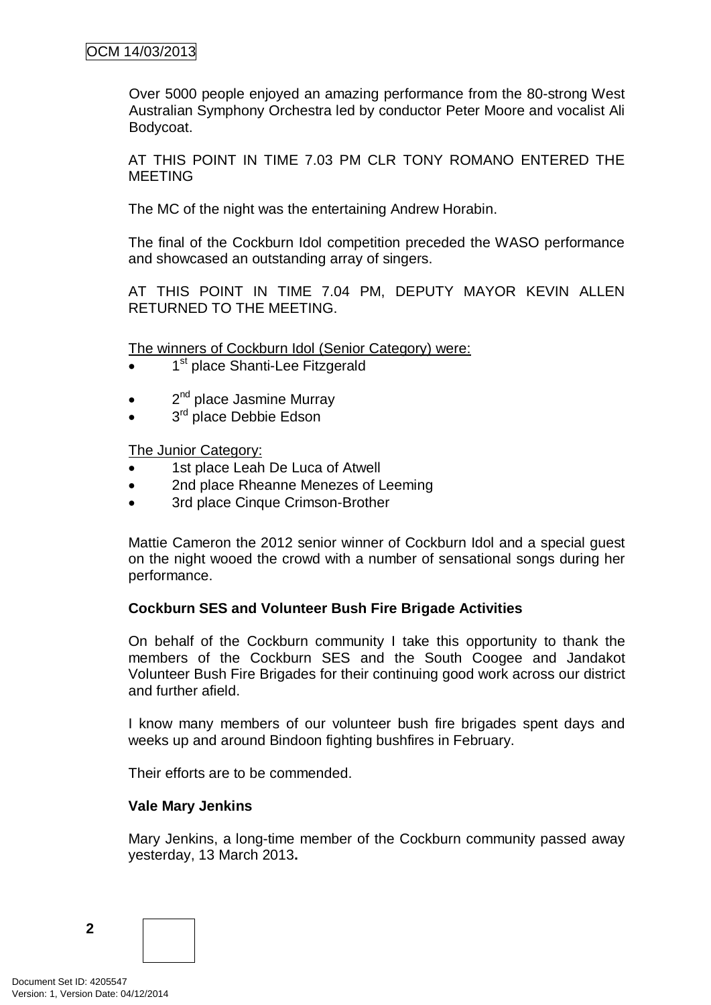Over 5000 people enjoyed an amazing performance from the 80-strong West Australian Symphony Orchestra led by conductor Peter Moore and vocalist Ali Bodycoat.

AT THIS POINT IN TIME 7.03 PM CLR TONY ROMANO ENTERED THE MEETING

The MC of the night was the entertaining Andrew Horabin.

The final of the Cockburn Idol competition preceded the WASO performance and showcased an outstanding array of singers.

AT THIS POINT IN TIME 7.04 PM, DEPUTY MAYOR KEVIN ALLEN RETURNED TO THE MEETING.

The winners of Cockburn Idol (Senior Category) were:

- 1<sup>st</sup> place Shanti-Lee Fitzgerald
- 2<sup>nd</sup> place Jasmine Murray
- 3<sup>rd</sup> place Debbie Edson

The Junior Category:

- 1st place Leah De Luca of Atwell
- 2nd place Rheanne Menezes of Leeming
- 3rd place Cinque Crimson-Brother

Mattie Cameron the 2012 senior winner of Cockburn Idol and a special guest on the night wooed the crowd with a number of sensational songs during her performance.

#### **Cockburn SES and Volunteer Bush Fire Brigade Activities**

On behalf of the Cockburn community I take this opportunity to thank the members of the Cockburn SES and the South Coogee and Jandakot Volunteer Bush Fire Brigades for their continuing good work across our district and further afield.

I know many members of our volunteer bush fire brigades spent days and weeks up and around Bindoon fighting bushfires in February.

Their efforts are to be commended.

#### **Vale Mary Jenkins**

Mary Jenkins, a long-time member of the Cockburn community passed away yesterday, 13 March 2013**.**

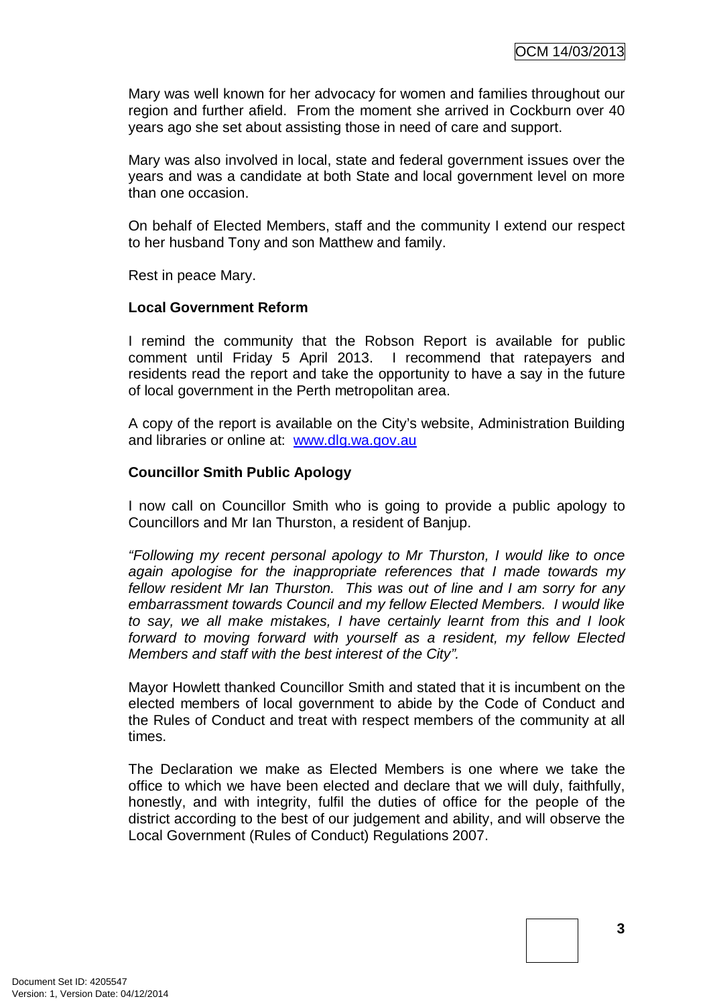Mary was well known for her advocacy for women and families throughout our region and further afield. From the moment she arrived in Cockburn over 40 years ago she set about assisting those in need of care and support.

Mary was also involved in local, state and federal government issues over the years and was a candidate at both State and local government level on more than one occasion.

On behalf of Elected Members, staff and the community I extend our respect to her husband Tony and son Matthew and family.

Rest in peace Mary.

#### **Local Government Reform**

I remind the community that the Robson Report is available for public comment until Friday 5 April 2013. I recommend that ratepayers and residents read the report and take the opportunity to have a say in the future of local government in the Perth metropolitan area.

A copy of the report is available on the City's website, Administration Building and libraries or online at: [www.dlg.wa.gov.au](http://www.dlg.wa.gov.au/)

#### **Councillor Smith Public Apology**

I now call on Councillor Smith who is going to provide a public apology to Councillors and Mr Ian Thurston, a resident of Banjup.

*"Following my recent personal apology to Mr Thurston, I would like to once again apologise for the inappropriate references that I made towards my fellow resident Mr Ian Thurston. This was out of line and I am sorry for any embarrassment towards Council and my fellow Elected Members. I would like to say, we all make mistakes, I have certainly learnt from this and I look forward to moving forward with yourself as a resident, my fellow Elected Members and staff with the best interest of the City".*

Mayor Howlett thanked Councillor Smith and stated that it is incumbent on the elected members of local government to abide by the Code of Conduct and the Rules of Conduct and treat with respect members of the community at all times.

The Declaration we make as Elected Members is one where we take the office to which we have been elected and declare that we will duly, faithfully, honestly, and with integrity, fulfil the duties of office for the people of the district according to the best of our judgement and ability, and will observe the Local Government (Rules of Conduct) Regulations 2007.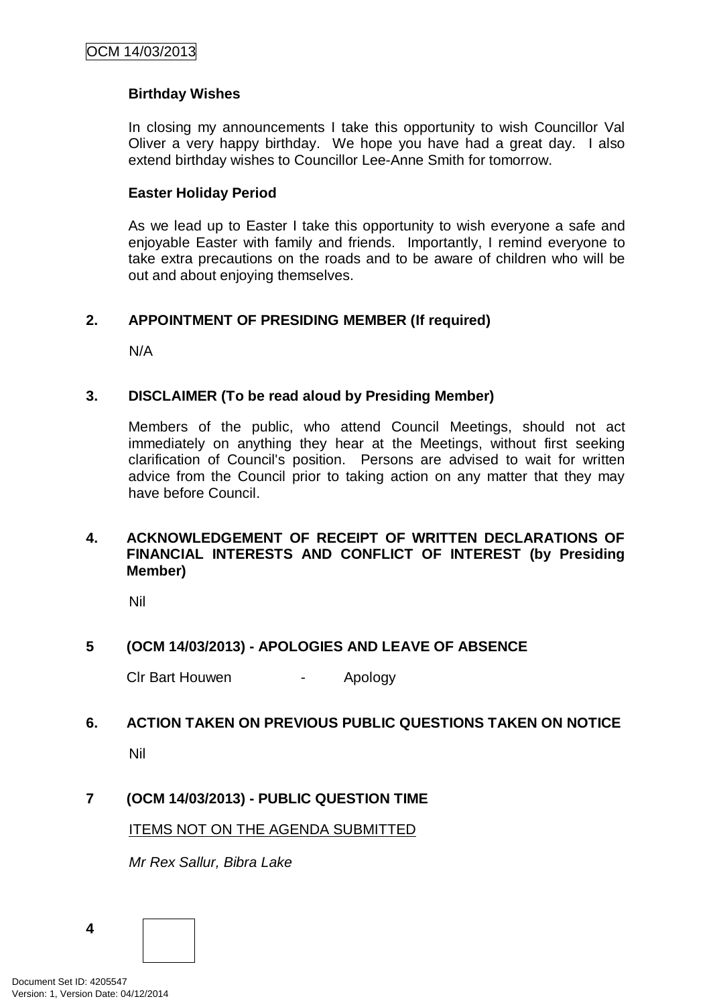## **Birthday Wishes**

In closing my announcements I take this opportunity to wish Councillor Val Oliver a very happy birthday. We hope you have had a great day. I also extend birthday wishes to Councillor Lee-Anne Smith for tomorrow.

## **Easter Holiday Period**

As we lead up to Easter I take this opportunity to wish everyone a safe and enjoyable Easter with family and friends. Importantly, I remind everyone to take extra precautions on the roads and to be aware of children who will be out and about enjoying themselves.

## **2. APPOINTMENT OF PRESIDING MEMBER (If required)**

N/A

#### **3. DISCLAIMER (To be read aloud by Presiding Member)**

Members of the public, who attend Council Meetings, should not act immediately on anything they hear at the Meetings, without first seeking clarification of Council's position. Persons are advised to wait for written advice from the Council prior to taking action on any matter that they may have before Council.

#### **4. ACKNOWLEDGEMENT OF RECEIPT OF WRITTEN DECLARATIONS OF FINANCIAL INTERESTS AND CONFLICT OF INTEREST (by Presiding Member)**

Nil

# **5 (OCM 14/03/2013) - APOLOGIES AND LEAVE OF ABSENCE**

Clr Bart Houwen - Apology

# **6. ACTION TAKEN ON PREVIOUS PUBLIC QUESTIONS TAKEN ON NOTICE**

Nil

## **7 (OCM 14/03/2013) - PUBLIC QUESTION TIME**

ITEMS NOT ON THE AGENDA SUBMITTED

*Mr Rex Sallur, Bibra Lake*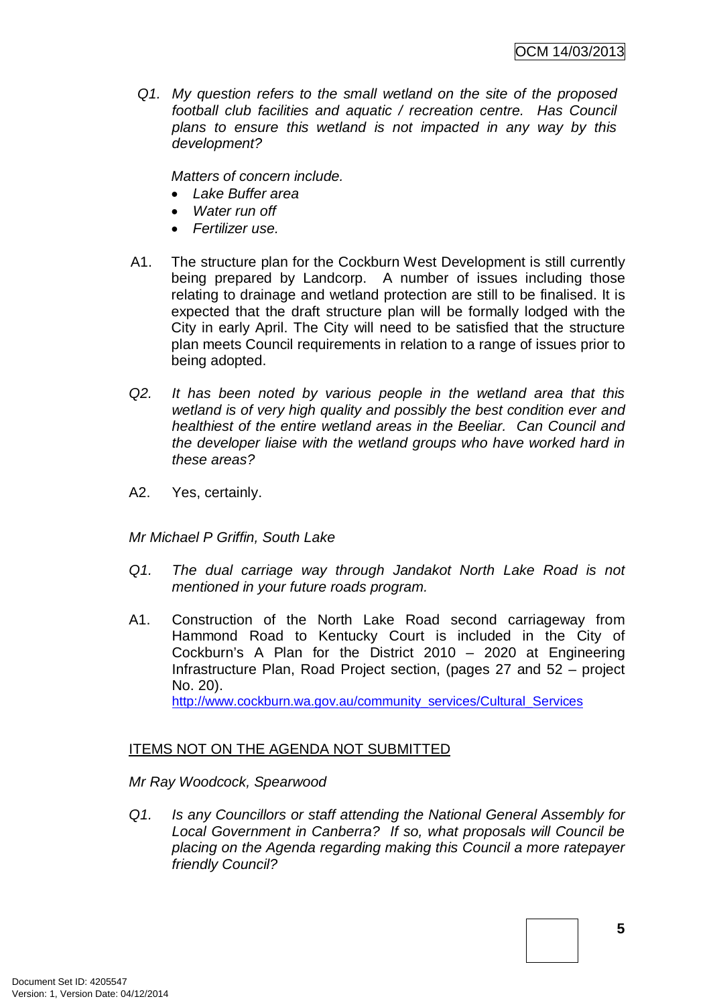*Q1. My question refers to the small wetland on the site of the proposed football club facilities and aquatic / recreation centre. Has Council plans to ensure this wetland is not impacted in any way by this development?*

*Matters of concern include.*

- *Lake Buffer area*
- *Water run off*
- *Fertilizer use.*
- A1. The structure plan for the Cockburn West Development is still currently being prepared by Landcorp. A number of issues including those relating to drainage and wetland protection are still to be finalised. It is expected that the draft structure plan will be formally lodged with the City in early April. The City will need to be satisfied that the structure plan meets Council requirements in relation to a range of issues prior to being adopted.
- *Q2. It has been noted by various people in the wetland area that this wetland is of very high quality and possibly the best condition ever and healthiest of the entire wetland areas in the Beeliar. Can Council and the developer liaise with the wetland groups who have worked hard in these areas?*
- A2. Yes, certainly.

*Mr Michael P Griffin, South Lake*

- *Q1. The dual carriage way through Jandakot North Lake Road is not mentioned in your future roads program.*
- A1. Construction of the North Lake Road second carriageway from Hammond Road to Kentucky Court is included in the City of Cockburn's A Plan for the District 2010 – 2020 at Engineering Infrastructure Plan, Road Project section, (pages 27 and 52 – project No. 20).

[http://www.cockburn.wa.gov.au/community\\_services/Cultural\\_Services](http://www.cockburn.wa.gov.au/community_services/Cultural_Services)

# ITEMS NOT ON THE AGENDA NOT SUBMITTED

*Mr Ray Woodcock, Spearwood*

*Q1. Is any Councillors or staff attending the National General Assembly for Local Government in Canberra? If so, what proposals will Council be placing on the Agenda regarding making this Council a more ratepayer friendly Council?*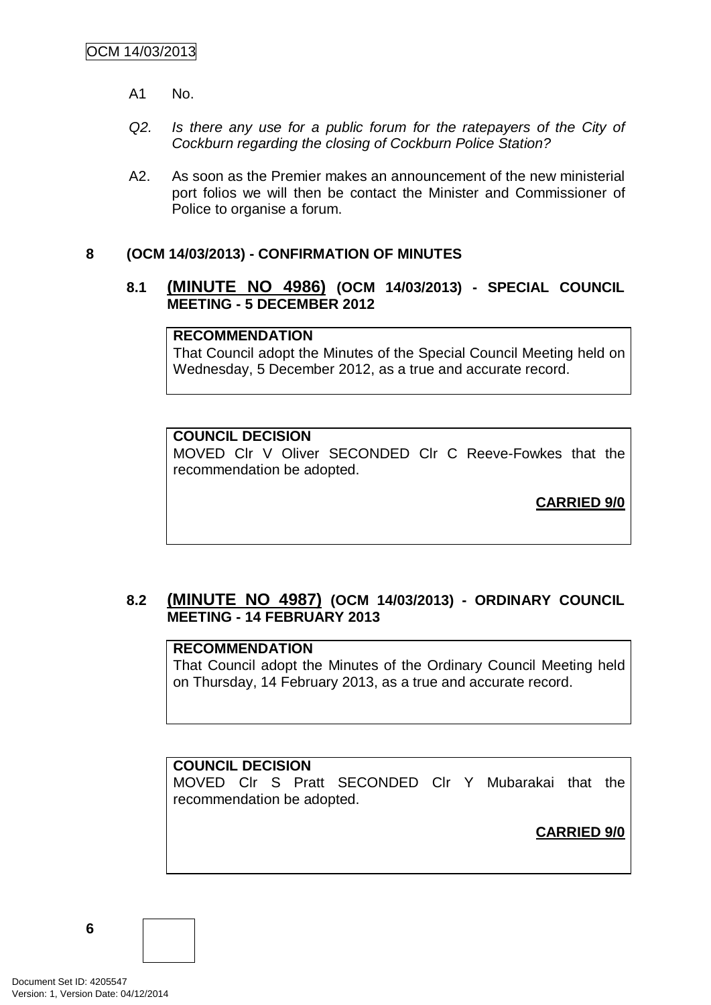- A1 No.
- *Q2. Is there any use for a public forum for the ratepayers of the City of Cockburn regarding the closing of Cockburn Police Station?*
- A2. As soon as the Premier makes an announcement of the new ministerial port folios we will then be contact the Minister and Commissioner of Police to organise a forum.

#### **8 (OCM 14/03/2013) - CONFIRMATION OF MINUTES**

#### **8.1 (MINUTE NO 4986) (OCM 14/03/2013) - SPECIAL COUNCIL MEETING - 5 DECEMBER 2012**

# **RECOMMENDATION**

That Council adopt the Minutes of the Special Council Meeting held on Wednesday, 5 December 2012, as a true and accurate record.

#### **COUNCIL DECISION**

MOVED Clr V Oliver SECONDED Clr C Reeve-Fowkes that the recommendation be adopted.

**CARRIED 9/0**

## **8.2 (MINUTE NO 4987) (OCM 14/03/2013) - ORDINARY COUNCIL MEETING - 14 FEBRUARY 2013**

## **RECOMMENDATION**

That Council adopt the Minutes of the Ordinary Council Meeting held on Thursday, 14 February 2013, as a true and accurate record.

#### **COUNCIL DECISION**

MOVED Clr S Pratt SECONDED Clr Y Mubarakai that the recommendation be adopted.

**CARRIED 9/0**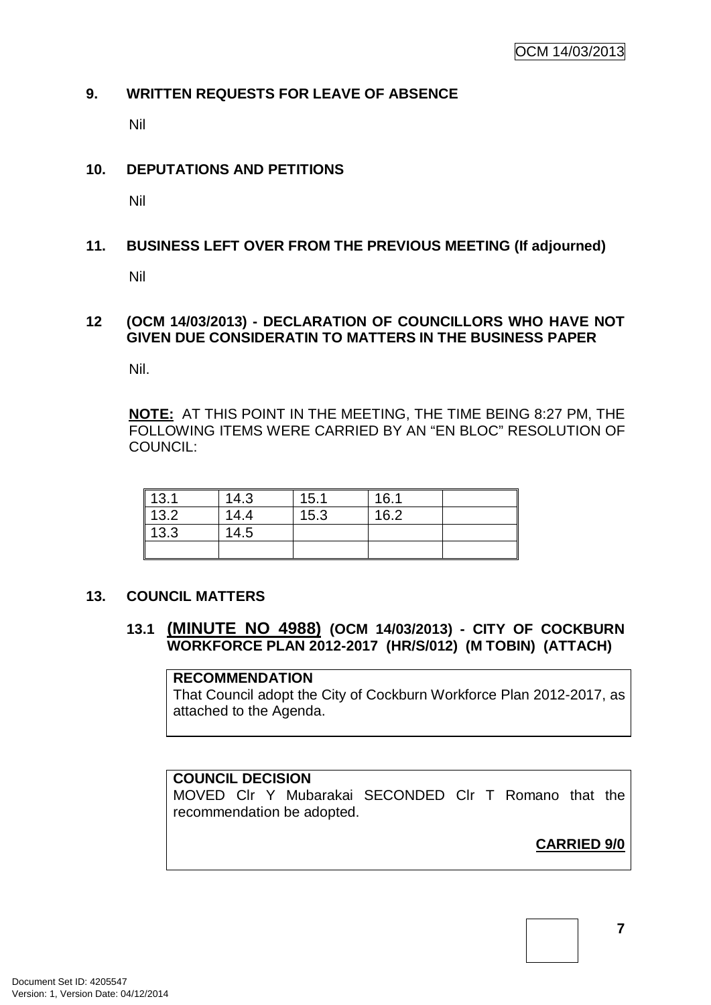## **9. WRITTEN REQUESTS FOR LEAVE OF ABSENCE**

Nil

#### **10. DEPUTATIONS AND PETITIONS**

Nil

# **11. BUSINESS LEFT OVER FROM THE PREVIOUS MEETING (If adjourned)**

Nil

## **12 (OCM 14/03/2013) - DECLARATION OF COUNCILLORS WHO HAVE NOT GIVEN DUE CONSIDERATIN TO MATTERS IN THE BUSINESS PAPER**

Nil.

**NOTE:** AT THIS POINT IN THE MEETING, THE TIME BEING 8:27 PM, THE FOLLOWING ITEMS WERE CARRIED BY AN "EN BLOC" RESOLUTION OF COUNCIL:

| 13.1 | 14.3 | 15.1 | 16.1 |  |
|------|------|------|------|--|
| 13.2 | 14.4 | 15.3 | 16.2 |  |
| 13.3 | 14.5 |      |      |  |
|      |      |      |      |  |

## **13. COUNCIL MATTERS**

## **13.1 (MINUTE NO 4988) (OCM 14/03/2013) - CITY OF COCKBURN WORKFORCE PLAN 2012-2017 (HR/S/012) (M TOBIN) (ATTACH)**

#### **RECOMMENDATION**

That Council adopt the City of Cockburn Workforce Plan 2012-2017, as attached to the Agenda.

#### **COUNCIL DECISION**

MOVED Clr Y Mubarakai SECONDED Clr T Romano that the recommendation be adopted.

# **CARRIED 9/0**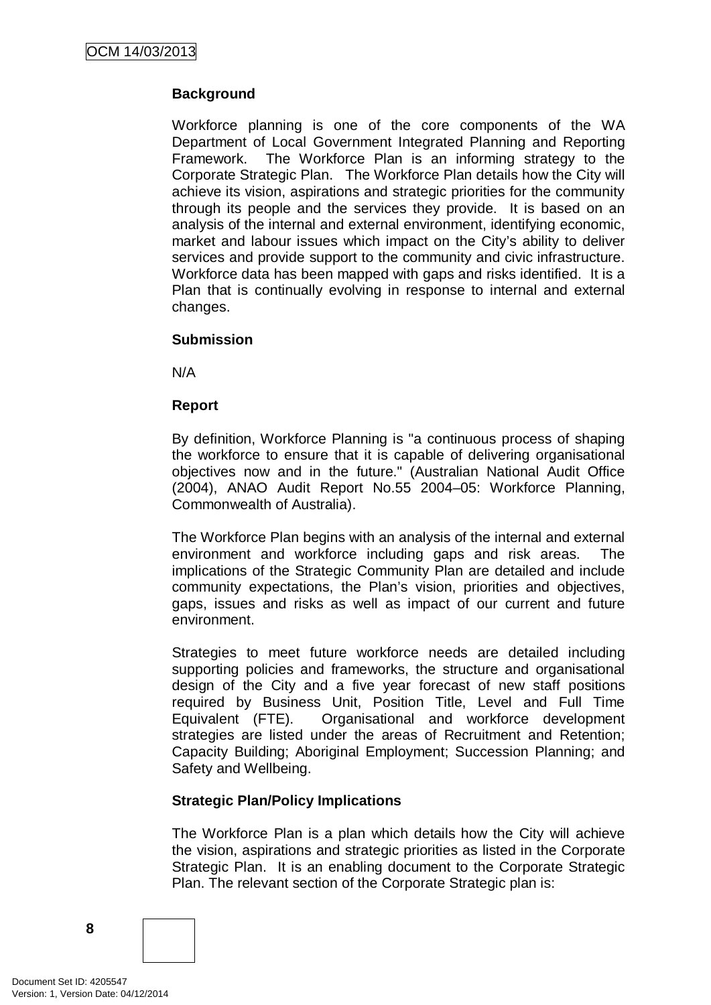# **Background**

Workforce planning is one of the core components of the WA Department of Local Government Integrated Planning and Reporting Framework. The Workforce Plan is an informing strategy to the Corporate Strategic Plan. The Workforce Plan details how the City will achieve its vision, aspirations and strategic priorities for the community through its people and the services they provide. It is based on an analysis of the internal and external environment, identifying economic, market and labour issues which impact on the City's ability to deliver services and provide support to the community and civic infrastructure. Workforce data has been mapped with gaps and risks identified. It is a Plan that is continually evolving in response to internal and external changes.

# **Submission**

N/A

# **Report**

By definition, Workforce Planning is "a continuous process of shaping the workforce to ensure that it is capable of delivering organisational objectives now and in the future." [\(Australian National Audit Office](http://anao.gov.au/%7E/media/Uploads/Documents/2004%2005_audit_report_55.pdf)  [\(2004\), ANAO Audit Report No.55 2004–05: Workforce Planning,](http://anao.gov.au/%7E/media/Uploads/Documents/2004%2005_audit_report_55.pdf)  [Commonwealth of Australia\)](http://anao.gov.au/%7E/media/Uploads/Documents/2004%2005_audit_report_55.pdf).

The Workforce Plan begins with an analysis of the internal and external environment and workforce including gaps and risk areas. The implications of the Strategic Community Plan are detailed and include community expectations, the Plan's vision, priorities and objectives, gaps, issues and risks as well as impact of our current and future environment.

Strategies to meet future workforce needs are detailed including supporting policies and frameworks, the structure and organisational design of the City and a five year forecast of new staff positions required by Business Unit, Position Title, Level and Full Time Equivalent (FTE). Organisational and workforce development strategies are listed under the areas of Recruitment and Retention; Capacity Building; Aboriginal Employment; Succession Planning; and Safety and Wellbeing.

# **Strategic Plan/Policy Implications**

The Workforce Plan is a plan which details how the City will achieve the vision, aspirations and strategic priorities as listed in the Corporate Strategic Plan. It is an enabling document to the Corporate Strategic Plan. The relevant section of the Corporate Strategic plan is:

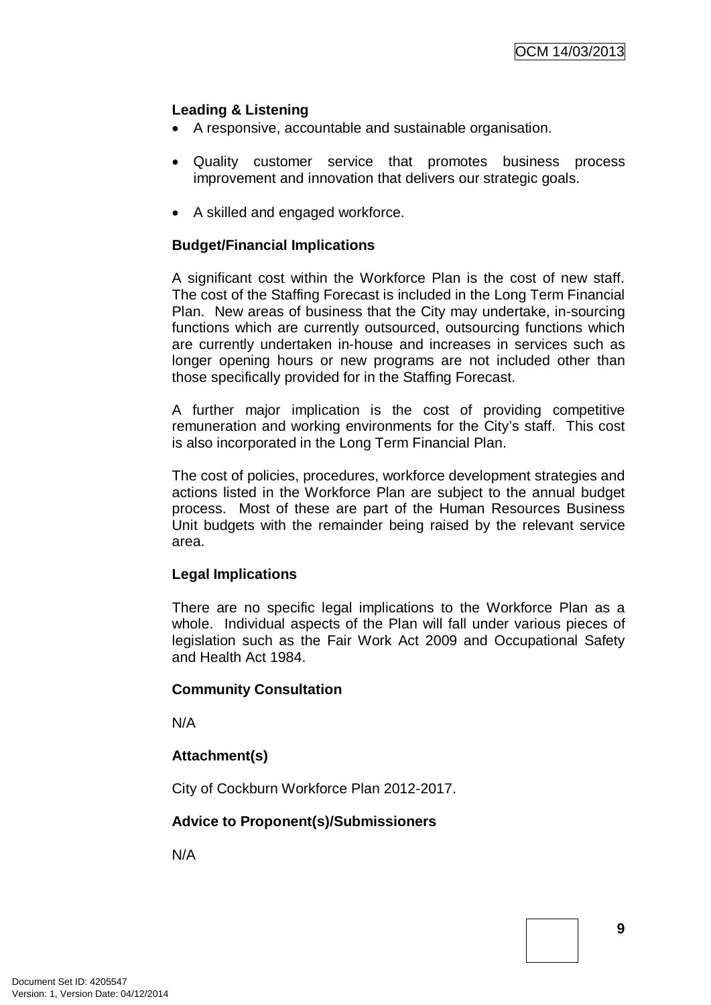## **Leading & Listening**

- A responsive, accountable and sustainable organisation.
- Quality customer service that promotes business process improvement and innovation that delivers our strategic goals.
- A skilled and engaged workforce.

## **Budget/Financial Implications**

A significant cost within the Workforce Plan is the cost of new staff. The cost of the Staffing Forecast is included in the Long Term Financial Plan. New areas of business that the City may undertake, in-sourcing functions which are currently outsourced, outsourcing functions which are currently undertaken in-house and increases in services such as longer opening hours or new programs are not included other than those specifically provided for in the Staffing Forecast.

A further major implication is the cost of providing competitive remuneration and working environments for the City's staff. This cost is also incorporated in the Long Term Financial Plan.

The cost of policies, procedures, workforce development strategies and actions listed in the Workforce Plan are subject to the annual budget process. Most of these are part of the Human Resources Business Unit budgets with the remainder being raised by the relevant service area.

## **Legal Implications**

There are no specific legal implications to the Workforce Plan as a whole. Individual aspects of the Plan will fall under various pieces of legislation such as the Fair Work Act 2009 and Occupational Safety and Health Act 1984.

#### **Community Consultation**

N/A

## **Attachment(s)**

City of Cockburn Workforce Plan 2012-2017.

## **Advice to Proponent(s)/Submissioners**

N/A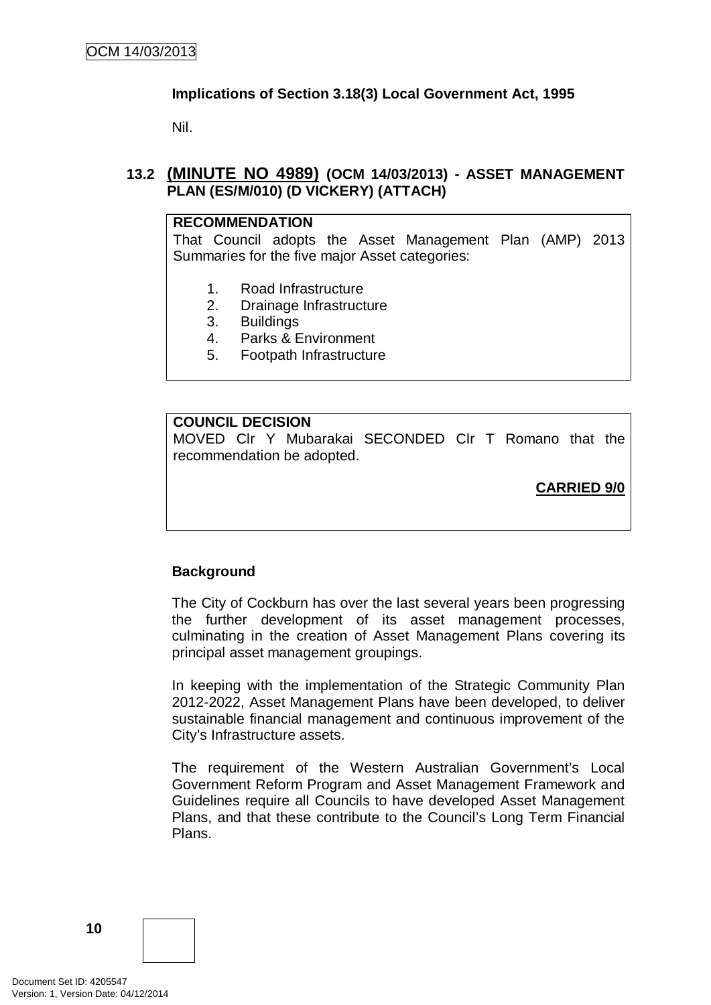## **Implications of Section 3.18(3) Local Government Act, 1995**

Nil.

# **13.2 (MINUTE NO 4989) (OCM 14/03/2013) - ASSET MANAGEMENT PLAN (ES/M/010) (D VICKERY) (ATTACH)**

#### **RECOMMENDATION**

That Council adopts the Asset Management Plan (AMP) 2013 Summaries for the five major Asset categories:

- 1. Road Infrastructure
- 2. Drainage Infrastructure
- 3. Buildings
- 4. Parks & Environment
- 5. Footpath Infrastructure

## **COUNCIL DECISION**

MOVED Clr Y Mubarakai SECONDED Clr T Romano that the recommendation be adopted.

**CARRIED 9/0**

## **Background**

The City of Cockburn has over the last several years been progressing the further development of its asset management processes, culminating in the creation of Asset Management Plans covering its principal asset management groupings.

In keeping with the implementation of the Strategic Community Plan 2012-2022, Asset Management Plans have been developed, to deliver sustainable financial management and continuous improvement of the City's Infrastructure assets.

The requirement of the Western Australian Government's Local Government Reform Program and Asset Management Framework and Guidelines require all Councils to have developed Asset Management Plans, and that these contribute to the Council's Long Term Financial Plans.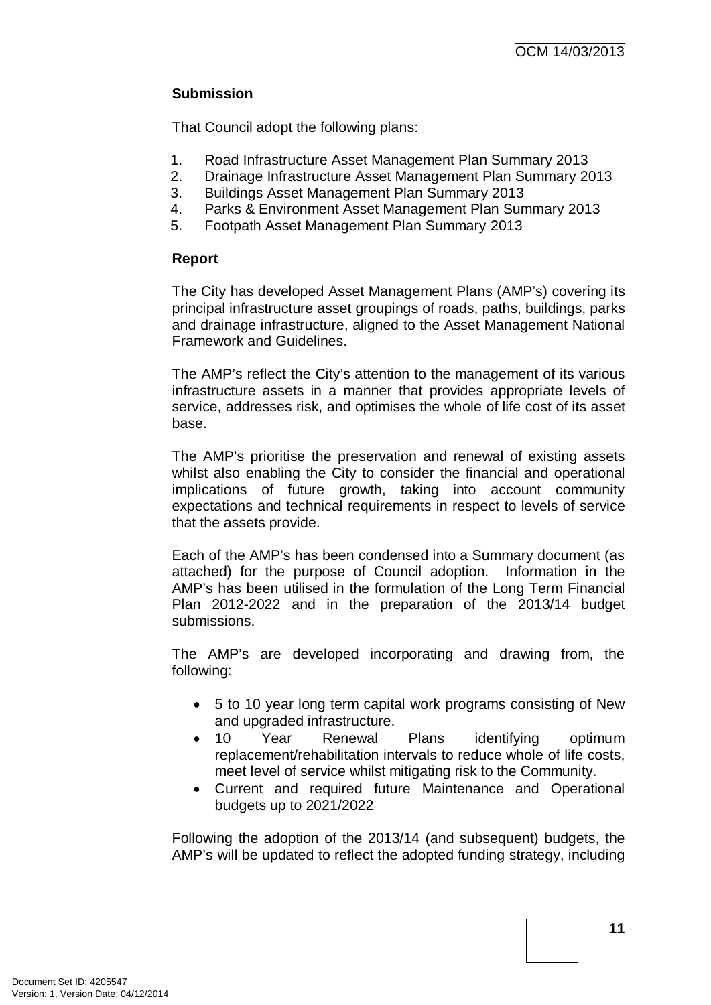# **Submission**

That Council adopt the following plans:

- 1. Road Infrastructure Asset Management Plan Summary 2013
- 2. Drainage Infrastructure Asset Management Plan Summary 2013
- 3. Buildings Asset Management Plan Summary 2013
- 4. Parks & Environment Asset Management Plan Summary 2013
- 5. Footpath Asset Management Plan Summary 2013

# **Report**

The City has developed Asset Management Plans (AMP's) covering its principal infrastructure asset groupings of roads, paths, buildings, parks and drainage infrastructure, aligned to the Asset Management National Framework and Guidelines.

The AMP's reflect the City's attention to the management of its various infrastructure assets in a manner that provides appropriate levels of service, addresses risk, and optimises the whole of life cost of its asset base.

The AMP's prioritise the preservation and renewal of existing assets whilst also enabling the City to consider the financial and operational implications of future growth, taking into account community expectations and technical requirements in respect to levels of service that the assets provide.

Each of the AMP's has been condensed into a Summary document (as attached) for the purpose of Council adoption. Information in the AMP's has been utilised in the formulation of the Long Term Financial Plan 2012-2022 and in the preparation of the 2013/14 budget submissions.

The AMP's are developed incorporating and drawing from, the following:

- 5 to 10 year long term capital work programs consisting of New and upgraded infrastructure.
- 10 Year Renewal Plans identifying optimum replacement/rehabilitation intervals to reduce whole of life costs, meet level of service whilst mitigating risk to the Community.
- Current and required future Maintenance and Operational budgets up to 2021/2022

Following the adoption of the 2013/14 (and subsequent) budgets, the AMP's will be updated to reflect the adopted funding strategy, including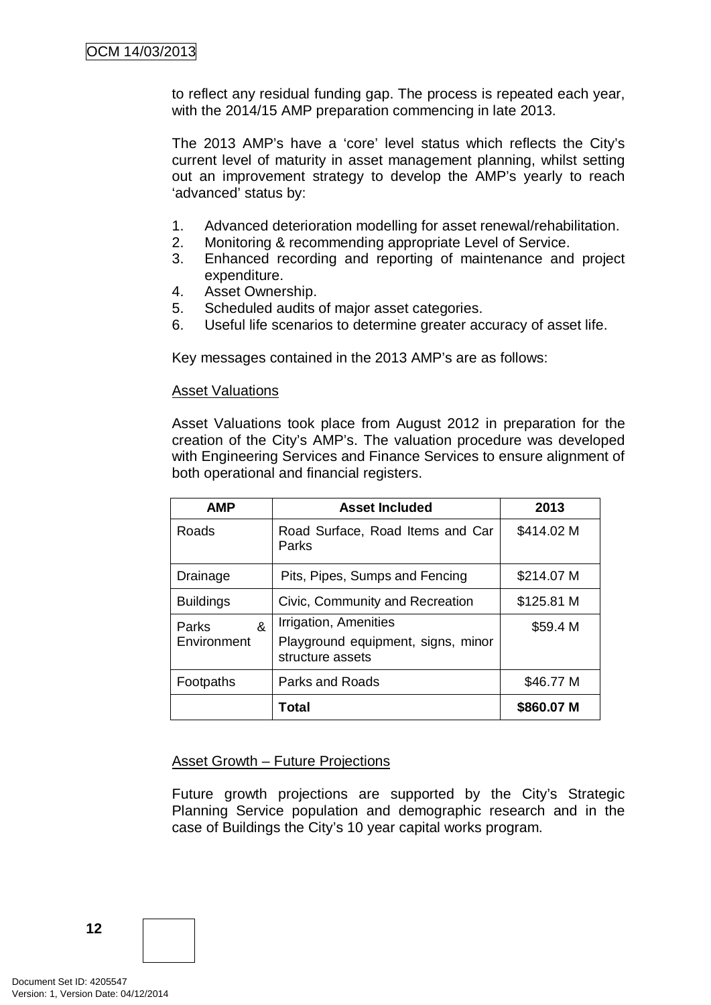to reflect any residual funding gap. The process is repeated each year, with the 2014/15 AMP preparation commencing in late 2013.

The 2013 AMP's have a 'core' level status which reflects the City's current level of maturity in asset management planning, whilst setting out an improvement strategy to develop the AMP's yearly to reach 'advanced' status by:

- 1. Advanced deterioration modelling for asset renewal/rehabilitation.
- 2. Monitoring & recommending appropriate Level of Service.
- 3. Enhanced recording and reporting of maintenance and project expenditure.
- 4. Asset Ownership.
- 5. Scheduled audits of major asset categories.
- 6. Useful life scenarios to determine greater accuracy of asset life.

Key messages contained in the 2013 AMP's are as follows:

#### Asset Valuations

Asset Valuations took place from August 2012 in preparation for the creation of the City's AMP's. The valuation procedure was developed with Engineering Services and Finance Services to ensure alignment of both operational and financial registers.

| <b>AMP</b>                | <b>Asset Included</b>                                                           | 2013       |
|---------------------------|---------------------------------------------------------------------------------|------------|
| Roads                     | Road Surface, Road Items and Car<br>Parks                                       | \$414.02 M |
| Drainage                  | Pits, Pipes, Sumps and Fencing                                                  | \$214.07 M |
| <b>Buildings</b>          | Civic, Community and Recreation                                                 | \$125.81 M |
| &<br>Parks<br>Environment | Irrigation, Amenities<br>Playground equipment, signs, minor<br>structure assets | \$59.4 M   |
| Footpaths                 | Parks and Roads                                                                 | \$46.77 M  |
|                           | Total                                                                           | \$860.07 M |

Asset Growth – Future Projections

Future growth projections are supported by the City's Strategic Planning Service population and demographic research and in the case of Buildings the City's 10 year capital works program.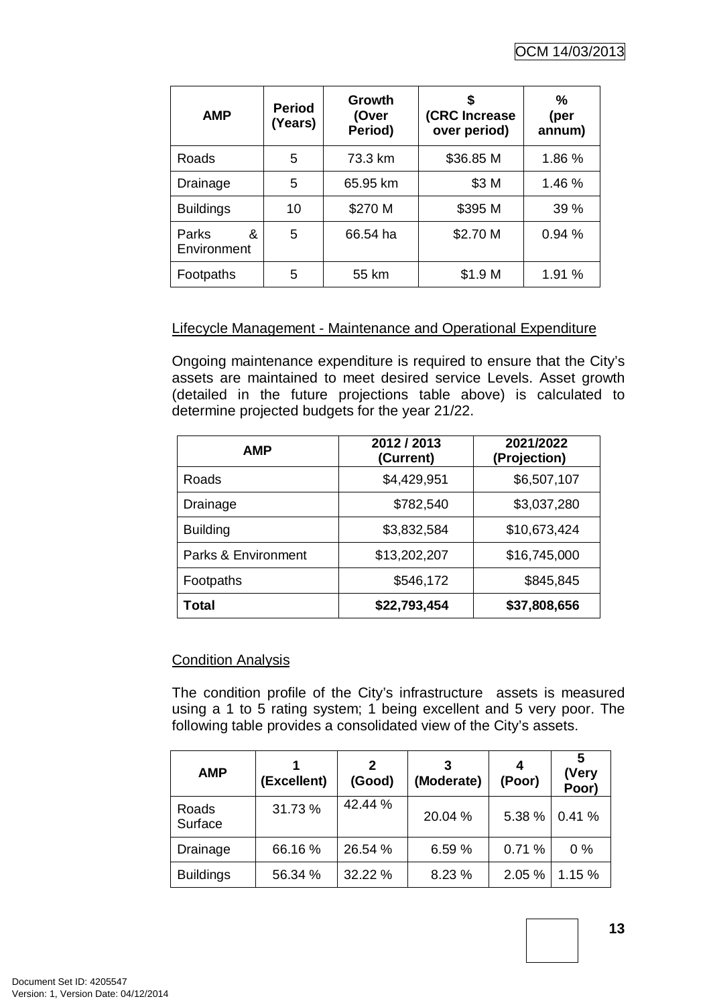| <b>AMP</b>                | <b>Period</b><br>(Years) | Growth<br>(Over<br>Period) | <b>(CRC Increase</b><br>over period) | %<br>(per<br>annum) |
|---------------------------|--------------------------|----------------------------|--------------------------------------|---------------------|
| Roads                     | 5                        | 73.3 km                    | \$36.85 M                            | 1.86 %              |
| Drainage                  | 5                        | 65.95 km                   | \$3 M                                | 1.46 %              |
| <b>Buildings</b>          | 10                       | \$270 M                    | \$395 M                              | 39%                 |
| Parks<br>&<br>Environment | 5                        | 66.54 ha                   | \$2.70 M                             | 0.94%               |
| Footpaths                 | 5                        | 55 km                      | \$1.9 M                              | 1.91 %              |

# Lifecycle Management - Maintenance and Operational Expenditure

Ongoing maintenance expenditure is required to ensure that the City's assets are maintained to meet desired service Levels. Asset growth (detailed in the future projections table above) is calculated to determine projected budgets for the year 21/22.

| <b>AMP</b>          | 2012 / 2013<br>(Current) | 2021/2022<br>(Projection) |
|---------------------|--------------------------|---------------------------|
| Roads               | \$4,429,951              | \$6,507,107               |
| Drainage            | \$782,540                | \$3,037,280               |
| <b>Building</b>     | \$3,832,584              | \$10,673,424              |
| Parks & Environment | \$13,202,207             | \$16,745,000              |
| Footpaths           | \$546,172                | \$845,845                 |
| Total               | \$22,793,454             | \$37,808,656              |

# **Condition Analysis**

The condition profile of the City's infrastructure assets is measured using a 1 to 5 rating system; 1 being excellent and 5 very poor. The following table provides a consolidated view of the City's assets.

| <b>AMP</b>       | (Excellent) | (Good)  | (Moderate) | (Poor) | 5<br>(Very<br>Poor) |
|------------------|-------------|---------|------------|--------|---------------------|
| Roads<br>Surface | 31.73 %     | 42.44 % | 20.04 %    | 5.38 % | 0.41%               |
| Drainage         | 66.16 %     | 26.54 % | 6.59%      | 0.71%  | $0\%$               |
| <b>Buildings</b> | 56.34 %     | 32.22 % | 8.23 %     | 2.05%  | 1.15%               |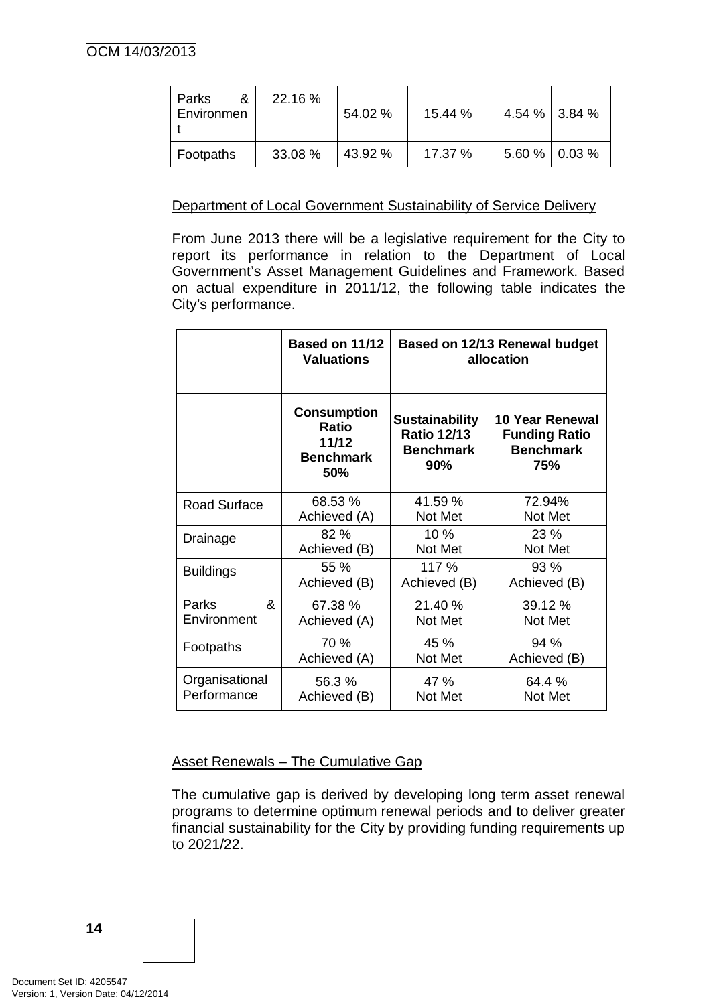| Parks<br>Environmen | 22.16 % | 54.02 % | 15.44 % | 4.54 $\%$ 3.84 $\%$ |
|---------------------|---------|---------|---------|---------------------|
| Footpaths           | 33.08 % | 43.92 % | 17.37 % | $5.60\%$   0.03 %   |

# Department of Local Government Sustainability of Service Delivery

From June 2013 there will be a legislative requirement for the City to report its performance in relation to the Department of Local Government's Asset Management Guidelines and Framework. Based on actual expenditure in 2011/12, the following table indicates the City's performance.

|                                  | Based on 11/12<br><b>Valuations</b>                                    | Based on 12/13 Renewal budget<br>allocation                            |                                                                    |
|----------------------------------|------------------------------------------------------------------------|------------------------------------------------------------------------|--------------------------------------------------------------------|
|                                  | <b>Consumption</b><br><b>Ratio</b><br>11/12<br><b>Benchmark</b><br>50% | <b>Sustainability</b><br><b>Ratio 12/13</b><br><b>Benchmark</b><br>90% | 10 Year Renewal<br><b>Funding Ratio</b><br><b>Benchmark</b><br>75% |
| Road Surface                     | 68.53 %                                                                | 41.59 %                                                                | 72.94%                                                             |
|                                  | Achieved (A)                                                           | Not Met                                                                | Not Met                                                            |
| Drainage                         | 82%                                                                    | 10%                                                                    | <b>23 %</b>                                                        |
|                                  | Achieved (B)                                                           | Not Met                                                                | Not Met                                                            |
| <b>Buildings</b>                 | 55 %                                                                   | 117 %                                                                  | 93%                                                                |
|                                  | Achieved (B)                                                           | Achieved (B)                                                           | Achieved (B)                                                       |
| &<br><b>Parks</b><br>Environment | 67.38 %<br>Achieved (A)                                                | 21.40 %<br>Not Met                                                     | 39.12 %<br>Not Met                                                 |
| Footpaths                        | 70 %                                                                   | 45 %                                                                   | 94%                                                                |
|                                  | Achieved (A)                                                           | Not Met                                                                | Achieved (B)                                                       |
| Organisational                   | 56.3%                                                                  | 47 %                                                                   | 64.4 %                                                             |
| Performance                      | Achieved (B)                                                           | Not Met                                                                | Not Met                                                            |

## Asset Renewals – The Cumulative Gap

The cumulative gap is derived by developing long term asset renewal programs to determine optimum renewal periods and to deliver greater financial sustainability for the City by providing funding requirements up to 2021/22.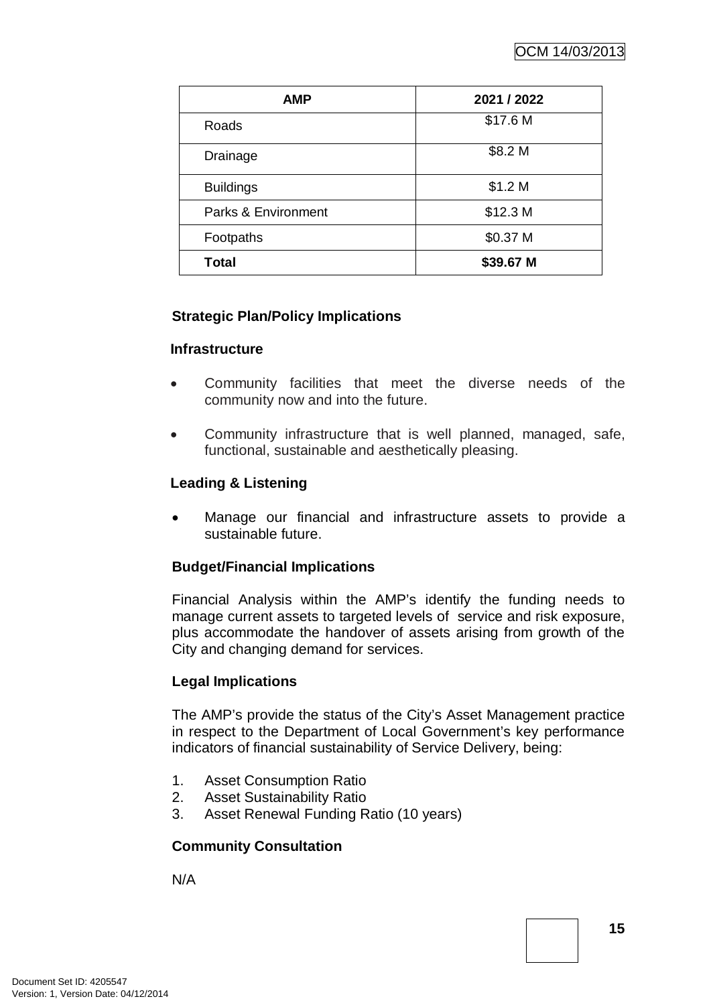| <b>AMP</b>          | 2021 / 2022        |
|---------------------|--------------------|
| Roads               | \$17.6 M           |
| Drainage            | \$8.2 M            |
| <b>Buildings</b>    | \$1.2 <sub>M</sub> |
| Parks & Environment | \$12.3 M           |
| Footpaths           | \$0.37 M           |
| <b>Total</b>        | \$39.67 M          |

# **Strategic Plan/Policy Implications**

#### **Infrastructure**

- Community facilities that meet the diverse needs of the community now and into the future.
- Community infrastructure that is well planned, managed, safe, functional, sustainable and aesthetically pleasing.

## **Leading & Listening**

• Manage our financial and infrastructure assets to provide a sustainable future.

## **Budget/Financial Implications**

Financial Analysis within the AMP's identify the funding needs to manage current assets to targeted levels of service and risk exposure, plus accommodate the handover of assets arising from growth of the City and changing demand for services.

## **Legal Implications**

The AMP's provide the status of the City's Asset Management practice in respect to the Department of Local Government's key performance indicators of financial sustainability of Service Delivery, being:

- 1. Asset Consumption Ratio
- 2. Asset Sustainability Ratio
- 3. Asset Renewal Funding Ratio (10 years)

## **Community Consultation**

N/A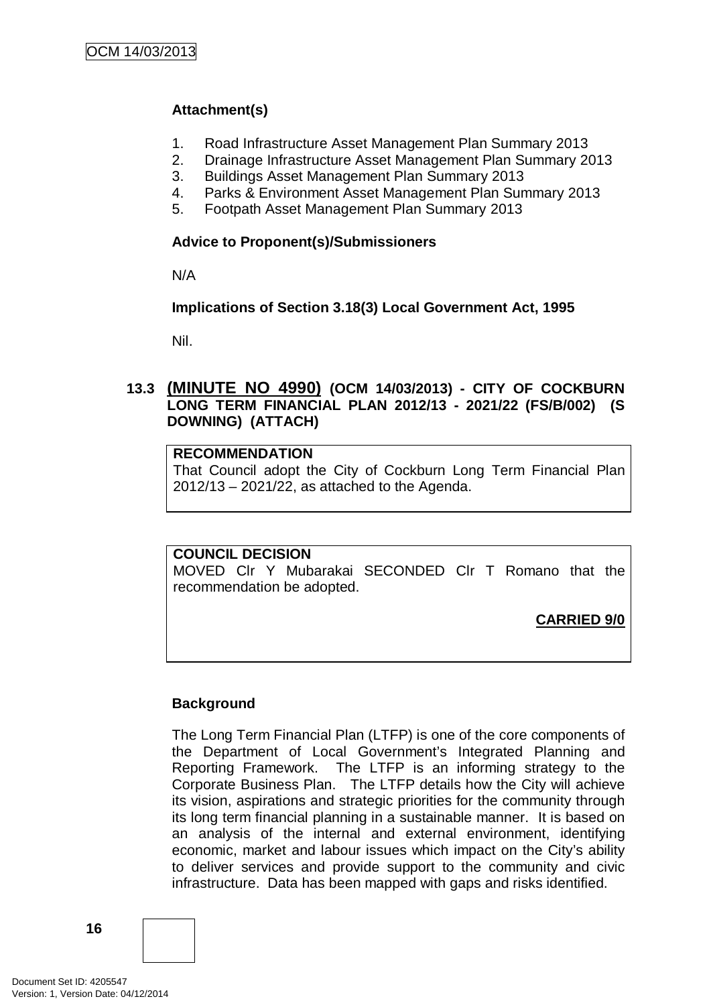# **Attachment(s)**

- 1. Road Infrastructure Asset Management Plan Summary 2013
- 2. Drainage Infrastructure Asset Management Plan Summary 2013
- 3. Buildings Asset Management Plan Summary 2013
- 4. Parks & Environment Asset Management Plan Summary 2013
- 5. Footpath Asset Management Plan Summary 2013

# **Advice to Proponent(s)/Submissioners**

N/A

**Implications of Section 3.18(3) Local Government Act, 1995**

Nil.

## **13.3 (MINUTE NO 4990) (OCM 14/03/2013) - CITY OF COCKBURN LONG TERM FINANCIAL PLAN 2012/13 - 2021/22 (FS/B/002) (S DOWNING) (ATTACH)**

# **RECOMMENDATION**

That Council adopt the City of Cockburn Long Term Financial Plan 2012/13 – 2021/22, as attached to the Agenda.

## **COUNCIL DECISION**

MOVED Clr Y Mubarakai SECONDED Clr T Romano that the recommendation be adopted.

**CARRIED 9/0**

# **Background**

The Long Term Financial Plan (LTFP) is one of the core components of the Department of Local Government's Integrated Planning and Reporting Framework. The LTFP is an informing strategy to the Corporate Business Plan. The LTFP details how the City will achieve its vision, aspirations and strategic priorities for the community through its long term financial planning in a sustainable manner. It is based on an analysis of the internal and external environment, identifying economic, market and labour issues which impact on the City's ability to deliver services and provide support to the community and civic infrastructure. Data has been mapped with gaps and risks identified.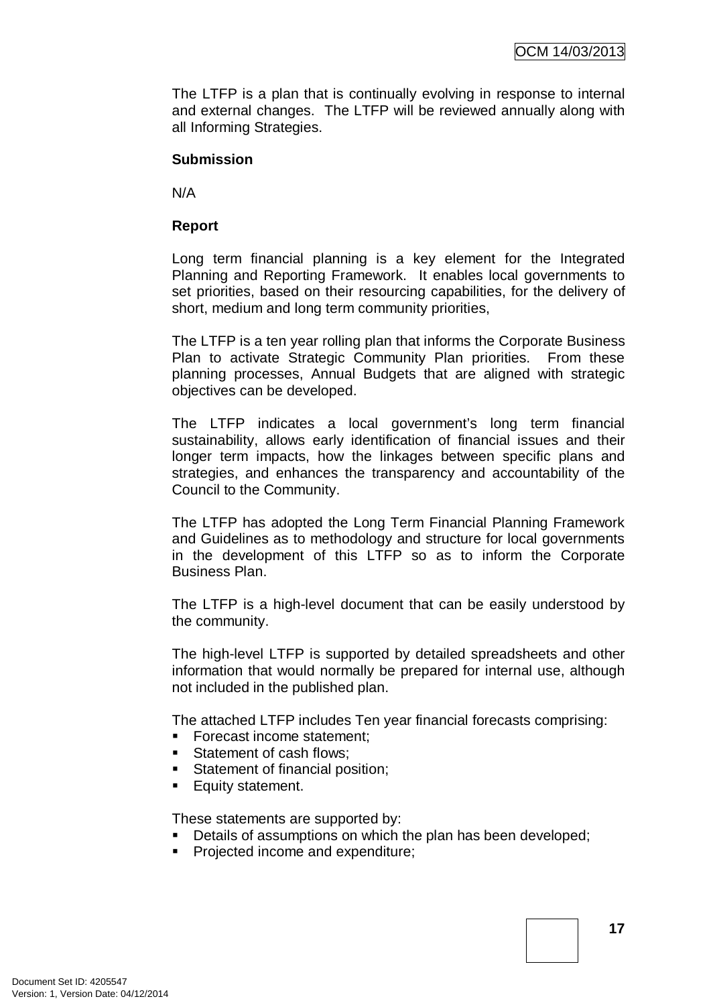The LTFP is a plan that is continually evolving in response to internal and external changes. The LTFP will be reviewed annually along with all Informing Strategies.

#### **Submission**

N/A

## **Report**

Long term financial planning is a key element for the Integrated Planning and Reporting Framework. It enables local governments to set priorities, based on their resourcing capabilities, for the delivery of short, medium and long term community priorities,

The LTFP is a ten year rolling plan that informs the Corporate Business Plan to activate Strategic Community Plan priorities. From these planning processes, Annual Budgets that are aligned with strategic objectives can be developed.

The LTFP indicates a local government's long term financial sustainability, allows early identification of financial issues and their longer term impacts, how the linkages between specific plans and strategies, and enhances the transparency and accountability of the Council to the Community.

The LTFP has adopted the Long Term Financial Planning Framework and Guidelines as to methodology and structure for local governments in the development of this LTFP so as to inform the Corporate Business Plan.

The LTFP is a high-level document that can be easily understood by the community.

The high-level LTFP is supported by detailed spreadsheets and other information that would normally be prepared for internal use, although not included in the published plan.

The attached LTFP includes Ten year financial forecasts comprising:

- **Forecast income statement:**
- Statement of cash flows:
- **Statement of financial position;**
- Equity statement.

These statements are supported by:

- Details of assumptions on which the plan has been developed;
- **Projected income and expenditure;**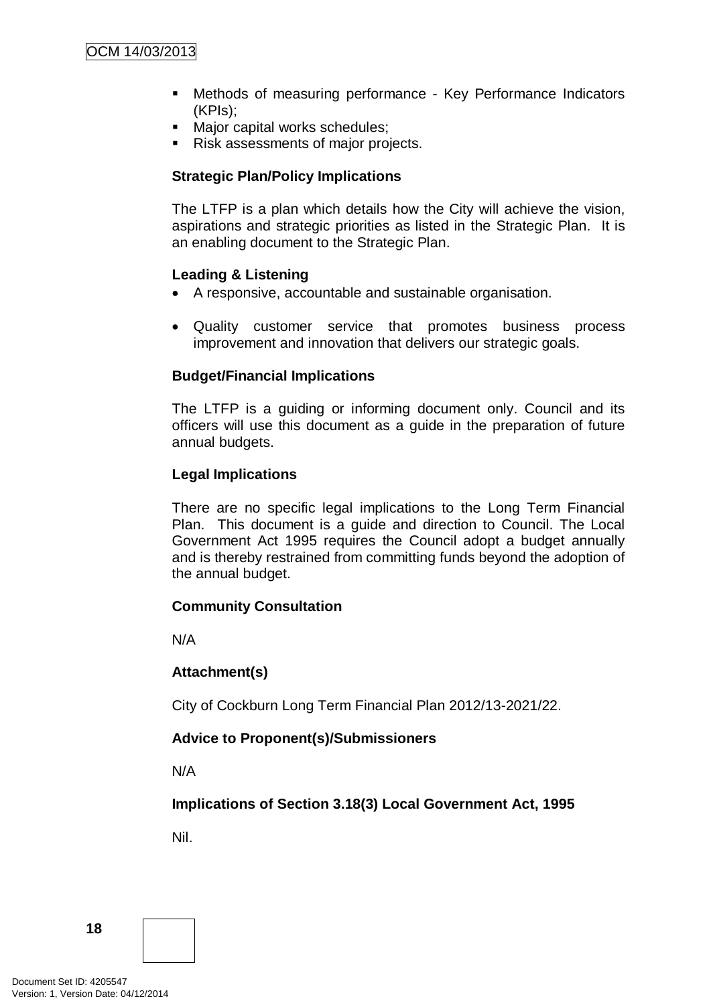- Methods of measuring performance Key Performance Indicators (KPIs);
- **Major capital works schedules;**
- Risk assessments of major projects.

# **Strategic Plan/Policy Implications**

The LTFP is a plan which details how the City will achieve the vision, aspirations and strategic priorities as listed in the Strategic Plan. It is an enabling document to the Strategic Plan.

## **Leading & Listening**

- A responsive, accountable and sustainable organisation.
- Quality customer service that promotes business process improvement and innovation that delivers our strategic goals.

# **Budget/Financial Implications**

The LTFP is a guiding or informing document only. Council and its officers will use this document as a guide in the preparation of future annual budgets.

# **Legal Implications**

There are no specific legal implications to the Long Term Financial Plan. This document is a guide and direction to Council. The Local Government Act 1995 requires the Council adopt a budget annually and is thereby restrained from committing funds beyond the adoption of the annual budget.

# **Community Consultation**

N/A

## **Attachment(s)**

City of Cockburn Long Term Financial Plan 2012/13-2021/22.

# **Advice to Proponent(s)/Submissioners**

N/A

**Implications of Section 3.18(3) Local Government Act, 1995**

Nil.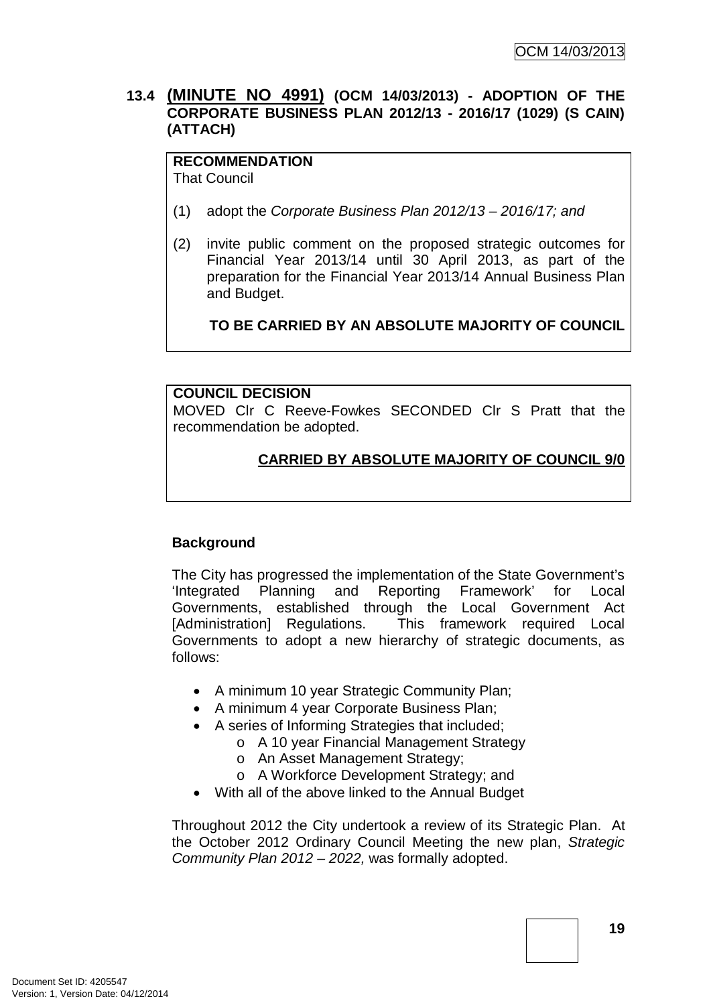## **13.4 (MINUTE NO 4991) (OCM 14/03/2013) - ADOPTION OF THE CORPORATE BUSINESS PLAN 2012/13 - 2016/17 (1029) (S CAIN) (ATTACH)**

# **RECOMMENDATION**

That Council

- (1) adopt the *Corporate Business Plan 2012/13 – 2016/17; and*
- (2) invite public comment on the proposed strategic outcomes for Financial Year 2013/14 until 30 April 2013, as part of the preparation for the Financial Year 2013/14 Annual Business Plan and Budget.

**TO BE CARRIED BY AN ABSOLUTE MAJORITY OF COUNCIL**

# **COUNCIL DECISION**

MOVED Clr C Reeve-Fowkes SECONDED Clr S Pratt that the recommendation be adopted.

# **CARRIED BY ABSOLUTE MAJORITY OF COUNCIL 9/0**

# **Background**

The City has progressed the implementation of the State Government's 'Integrated Planning and Reporting Framework' for Local Governments, established through the Local Government Act [Administration] Regulations. This framework required Local Governments to adopt a new hierarchy of strategic documents, as follows:

- A minimum 10 year Strategic Community Plan;
- A minimum 4 year Corporate Business Plan;
- A series of Informing Strategies that included;
	- o A 10 year Financial Management Strategy
	- o An Asset Management Strategy;
	- o A Workforce Development Strategy; and
- With all of the above linked to the Annual Budget

Throughout 2012 the City undertook a review of its Strategic Plan. At the October 2012 Ordinary Council Meeting the new plan, *Strategic Community Plan 2012 – 2022,* was formally adopted.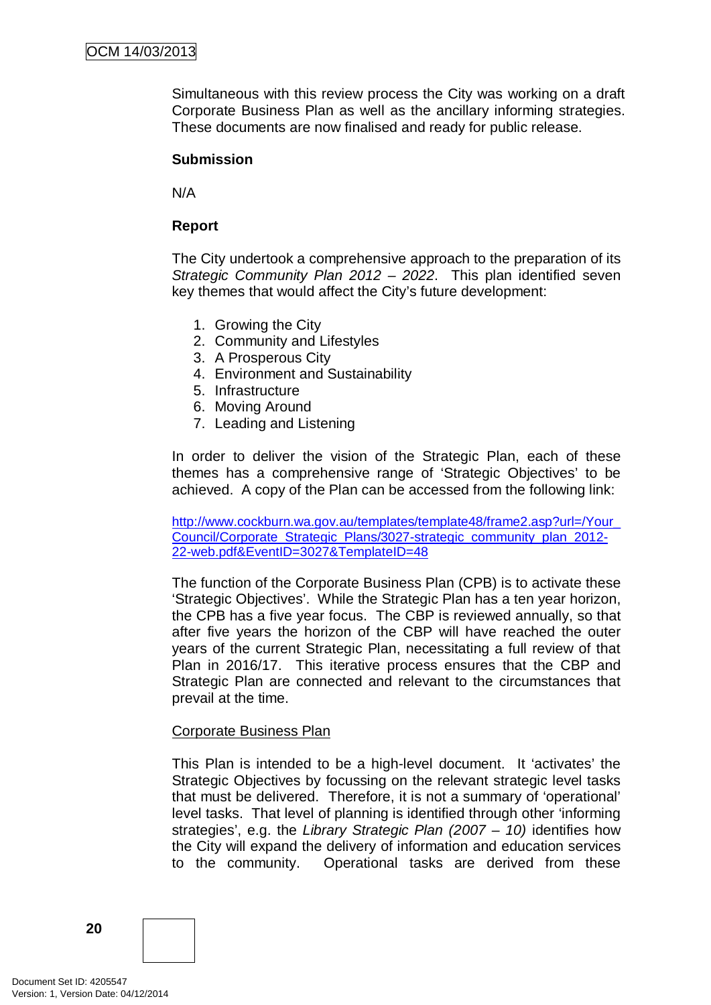Simultaneous with this review process the City was working on a draft Corporate Business Plan as well as the ancillary informing strategies. These documents are now finalised and ready for public release.

#### **Submission**

N/A

#### **Report**

The City undertook a comprehensive approach to the preparation of its *Strategic Community Plan 2012 – 2022*. This plan identified seven key themes that would affect the City's future development:

- 1. Growing the City
- 2. Community and Lifestyles
- 3. A Prosperous City
- 4. Environment and Sustainability
- 5. Infrastructure
- 6. Moving Around
- 7. Leading and Listening

In order to deliver the vision of the Strategic Plan, each of these themes has a comprehensive range of 'Strategic Objectives' to be achieved. A copy of the Plan can be accessed from the following link:

[http://www.cockburn.wa.gov.au/templates/template48/frame2.asp?url=/Your\\_](http://www.cockburn.wa.gov.au/templates/template48/frame2.asp?url=/Your_Council/Corporate_Strategic_Plans/3027-strategic_community_plan_2012-22-web.pdf&EventID=3027&TemplateID=48) [Council/Corporate\\_Strategic\\_Plans/3027-strategic\\_community\\_plan\\_2012-](http://www.cockburn.wa.gov.au/templates/template48/frame2.asp?url=/Your_Council/Corporate_Strategic_Plans/3027-strategic_community_plan_2012-22-web.pdf&EventID=3027&TemplateID=48) [22-web.pdf&EventID=3027&TemplateID=48](http://www.cockburn.wa.gov.au/templates/template48/frame2.asp?url=/Your_Council/Corporate_Strategic_Plans/3027-strategic_community_plan_2012-22-web.pdf&EventID=3027&TemplateID=48)

The function of the Corporate Business Plan (CPB) is to activate these 'Strategic Objectives'. While the Strategic Plan has a ten year horizon, the CPB has a five year focus. The CBP is reviewed annually, so that after five years the horizon of the CBP will have reached the outer years of the current Strategic Plan, necessitating a full review of that Plan in 2016/17. This iterative process ensures that the CBP and Strategic Plan are connected and relevant to the circumstances that prevail at the time.

#### Corporate Business Plan

This Plan is intended to be a high-level document. It 'activates' the Strategic Objectives by focussing on the relevant strategic level tasks that must be delivered. Therefore, it is not a summary of 'operational' level tasks. That level of planning is identified through other 'informing strategies', e.g. the *Library Strategic Plan (2007 – 10)* identifies how the City will expand the delivery of information and education services to the community. Operational tasks are derived from these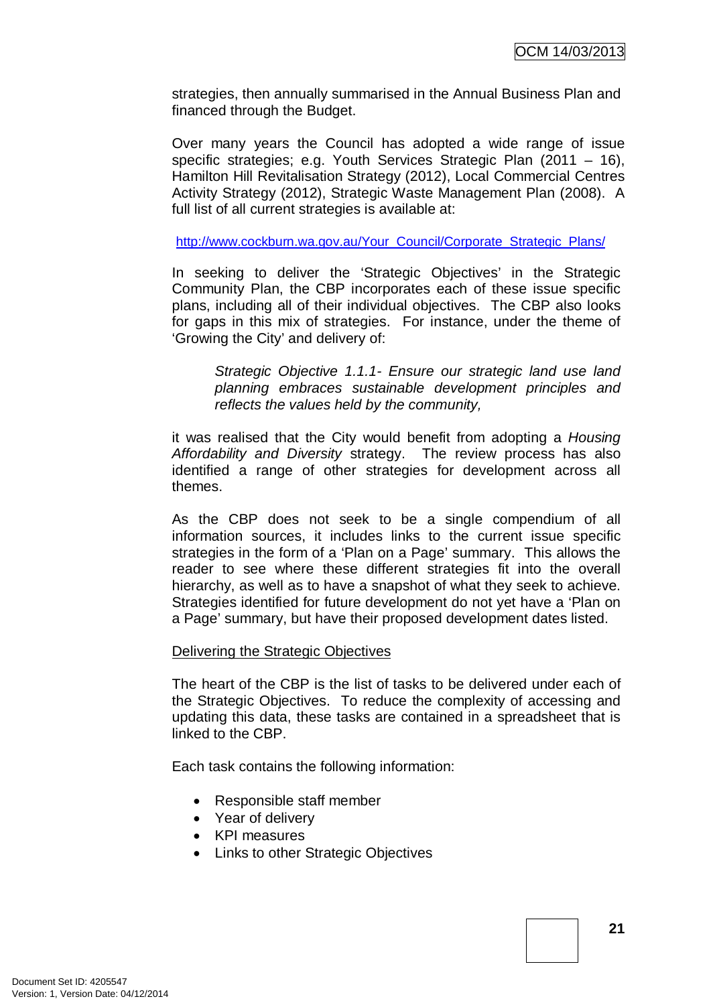strategies, then annually summarised in the Annual Business Plan and financed through the Budget.

Over many years the Council has adopted a wide range of issue specific strategies; e.g. Youth Services Strategic Plan (2011 – 16), Hamilton Hill Revitalisation Strategy (2012), Local Commercial Centres Activity Strategy (2012), Strategic Waste Management Plan (2008). A full list of all current strategies is available at:

#### [http://www.cockburn.wa.gov.au/Your\\_Council/Corporate\\_Strategic\\_Plans/](http://www.cockburn.wa.gov.au/Your_Council/Corporate_Strategic_Plans/)

In seeking to deliver the 'Strategic Objectives' in the Strategic Community Plan, the CBP incorporates each of these issue specific plans, including all of their individual objectives. The CBP also looks for gaps in this mix of strategies. For instance, under the theme of 'Growing the City' and delivery of:

*Strategic Objective 1.1.1- Ensure our strategic land use land planning embraces sustainable development principles and reflects the values held by the community,* 

it was realised that the City would benefit from adopting a *Housing Affordability and Diversity* strategy. The review process has also identified a range of other strategies for development across all themes.

As the CBP does not seek to be a single compendium of all information sources, it includes links to the current issue specific strategies in the form of a 'Plan on a Page' summary. This allows the reader to see where these different strategies fit into the overall hierarchy, as well as to have a snapshot of what they seek to achieve. Strategies identified for future development do not yet have a 'Plan on a Page' summary, but have their proposed development dates listed.

#### Delivering the Strategic Objectives

The heart of the CBP is the list of tasks to be delivered under each of the Strategic Objectives. To reduce the complexity of accessing and updating this data, these tasks are contained in a spreadsheet that is linked to the CBP.

Each task contains the following information:

- Responsible staff member
- Year of delivery
- KPI measures
- Links to other Strategic Objectives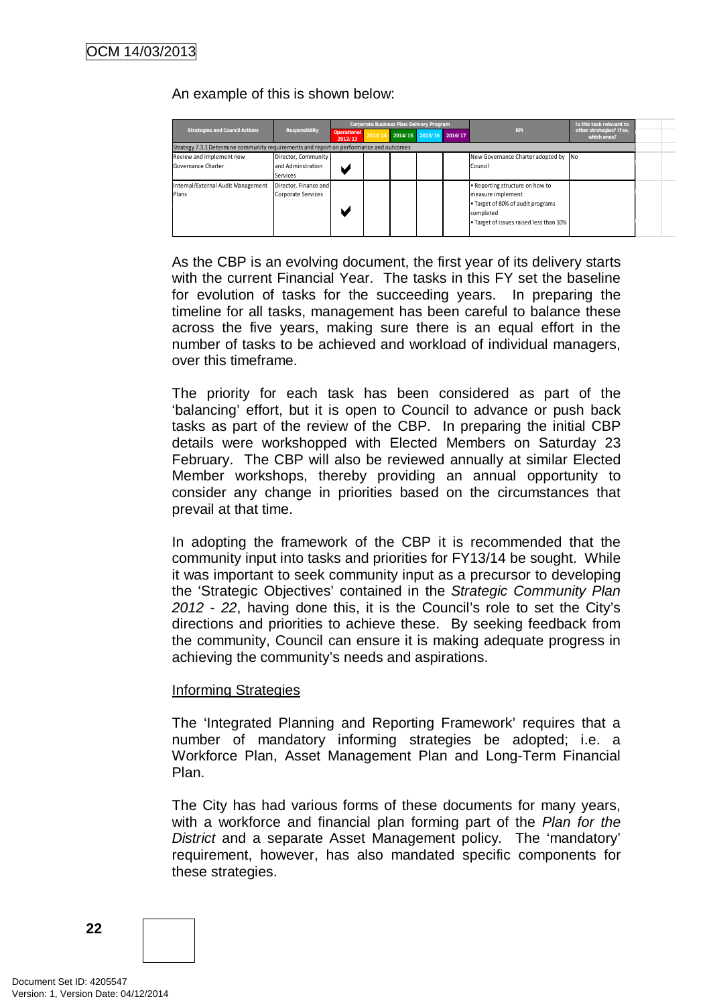An example of this is shown below:

| <b>Strategies and Council Actions</b>                                                  | Responsibility                                       | Corporate Business Plan: Delivery Program |  |                 |         |         | Is this task relevant to                                                                                                                          |                                         |
|----------------------------------------------------------------------------------------|------------------------------------------------------|-------------------------------------------|--|-----------------|---------|---------|---------------------------------------------------------------------------------------------------------------------------------------------------|-----------------------------------------|
|                                                                                        |                                                      | Operational<br>2012/13                    |  | 2013/14 2014/15 | 2015/16 | 2016/17 | <b>KPI</b>                                                                                                                                        | other strategies? If so,<br>which ones? |
| Strategy 7.3.1 Determine community requirements and report on performance and outcomes |                                                      |                                           |  |                 |         |         |                                                                                                                                                   |                                         |
| Review and implement new<br>Governance Charter                                         | Director, Community<br>and Adminstration<br>Services | м                                         |  |                 |         |         | New Governance Charter adopted by No<br>Council                                                                                                   |                                         |
| Internal/External Audit Management<br>Plans                                            | Director, Finance and<br><b>Corporate Services</b>   |                                           |  |                 |         |         | . Reporting structure on how to<br>measure implement<br>. Target of 80% of audit programs<br>completed<br>. Target of issues raised less than 10% |                                         |

As the CBP is an evolving document, the first year of its delivery starts with the current Financial Year. The tasks in this FY set the baseline for evolution of tasks for the succeeding years. In preparing the timeline for all tasks, management has been careful to balance these across the five years, making sure there is an equal effort in the number of tasks to be achieved and workload of individual managers, over this timeframe.

The priority for each task has been considered as part of the 'balancing' effort, but it is open to Council to advance or push back tasks as part of the review of the CBP. In preparing the initial CBP details were workshopped with Elected Members on Saturday 23 February. The CBP will also be reviewed annually at similar Elected Member workshops, thereby providing an annual opportunity to consider any change in priorities based on the circumstances that prevail at that time.

In adopting the framework of the CBP it is recommended that the community input into tasks and priorities for FY13/14 be sought. While it was important to seek community input as a precursor to developing the 'Strategic Objectives' contained in the *Strategic Community Plan 2012 - 22*, having done this, it is the Council's role to set the City's directions and priorities to achieve these. By seeking feedback from the community, Council can ensure it is making adequate progress in achieving the community's needs and aspirations.

#### Informing Strategies

The 'Integrated Planning and Reporting Framework' requires that a number of mandatory informing strategies be adopted; i.e. a Workforce Plan, Asset Management Plan and Long-Term Financial Plan.

The City has had various forms of these documents for many years, with a workforce and financial plan forming part of the *Plan for the District* and a separate Asset Management policy*.* The 'mandatory' requirement, however, has also mandated specific components for these strategies.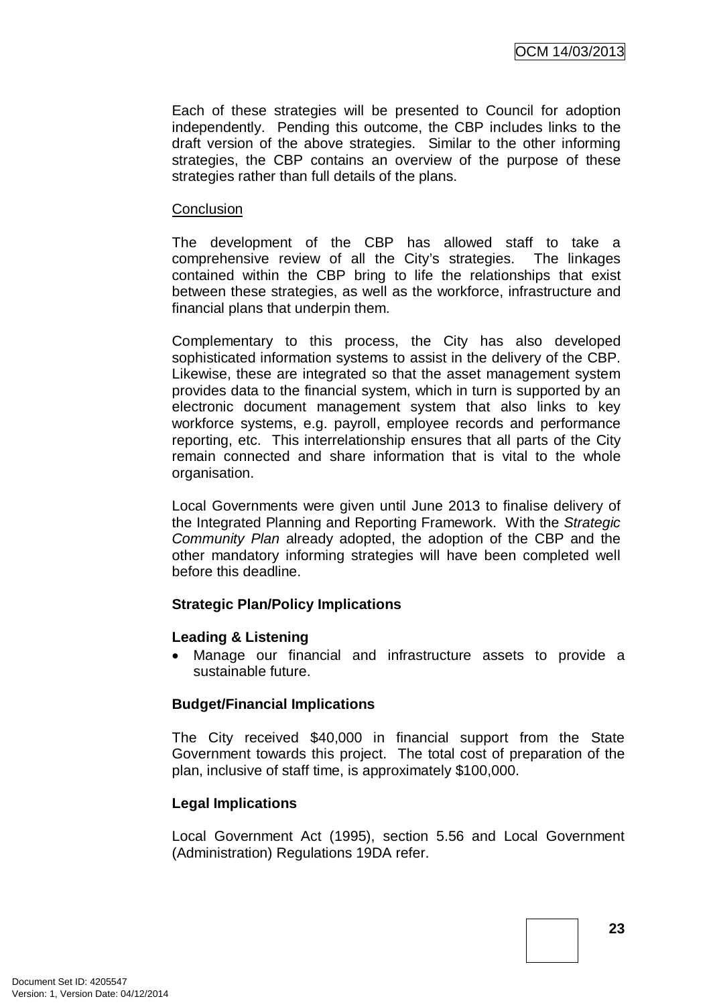Each of these strategies will be presented to Council for adoption independently. Pending this outcome, the CBP includes links to the draft version of the above strategies. Similar to the other informing strategies, the CBP contains an overview of the purpose of these strategies rather than full details of the plans.

#### **Conclusion**

The development of the CBP has allowed staff to take a comprehensive review of all the City's strategies. The linkages contained within the CBP bring to life the relationships that exist between these strategies, as well as the workforce, infrastructure and financial plans that underpin them.

Complementary to this process, the City has also developed sophisticated information systems to assist in the delivery of the CBP. Likewise, these are integrated so that the asset management system provides data to the financial system, which in turn is supported by an electronic document management system that also links to key workforce systems, e.g. payroll, employee records and performance reporting, etc. This interrelationship ensures that all parts of the City remain connected and share information that is vital to the whole organisation.

Local Governments were given until June 2013 to finalise delivery of the Integrated Planning and Reporting Framework. With the *Strategic Community Plan* already adopted, the adoption of the CBP and the other mandatory informing strategies will have been completed well before this deadline.

## **Strategic Plan/Policy Implications**

#### **Leading & Listening**

• Manage our financial and infrastructure assets to provide a sustainable future.

#### **Budget/Financial Implications**

The City received \$40,000 in financial support from the State Government towards this project. The total cost of preparation of the plan, inclusive of staff time, is approximately \$100,000.

## **Legal Implications**

Local Government Act (1995), section 5.56 and Local Government (Administration) Regulations 19DA refer.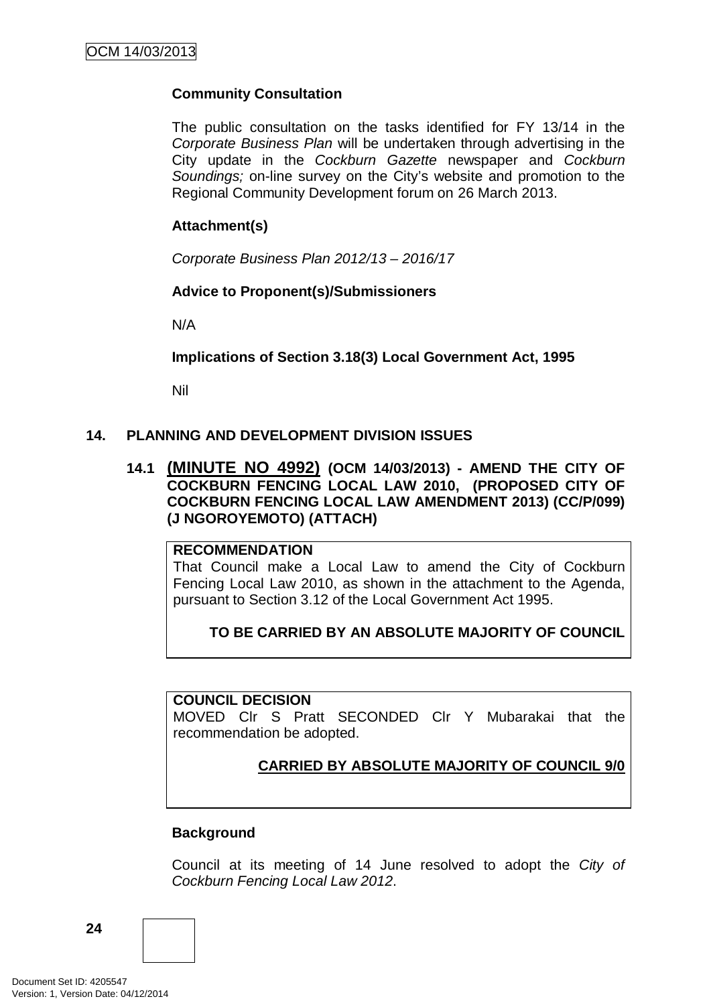# **Community Consultation**

The public consultation on the tasks identified for FY 13/14 in the *Corporate Business Plan* will be undertaken through advertising in the City update in the *Cockburn Gazette* newspaper and *Cockburn Soundings;* on-line survey on the City's website and promotion to the Regional Community Development forum on 26 March 2013.

# **Attachment(s)**

*Corporate Business Plan 2012/13 – 2016/17*

## **Advice to Proponent(s)/Submissioners**

N/A

**Implications of Section 3.18(3) Local Government Act, 1995**

Nil

## **14. PLANNING AND DEVELOPMENT DIVISION ISSUES**

**14.1 (MINUTE NO 4992) (OCM 14/03/2013) - AMEND THE CITY OF COCKBURN FENCING LOCAL LAW 2010, (PROPOSED CITY OF COCKBURN FENCING LOCAL LAW AMENDMENT 2013) (CC/P/099) (J NGOROYEMOTO) (ATTACH)**

#### **RECOMMENDATION**

That Council make a Local Law to amend the City of Cockburn Fencing Local Law 2010, as shown in the attachment to the Agenda, pursuant to Section 3.12 of the Local Government Act 1995.

## **TO BE CARRIED BY AN ABSOLUTE MAJORITY OF COUNCIL**

## **COUNCIL DECISION**

MOVED Clr S Pratt SECONDED Clr Y Mubarakai that the recommendation be adopted.

## **CARRIED BY ABSOLUTE MAJORITY OF COUNCIL 9/0**

#### **Background**

Council at its meeting of 14 June resolved to adopt the *City of Cockburn Fencing Local Law 2012*.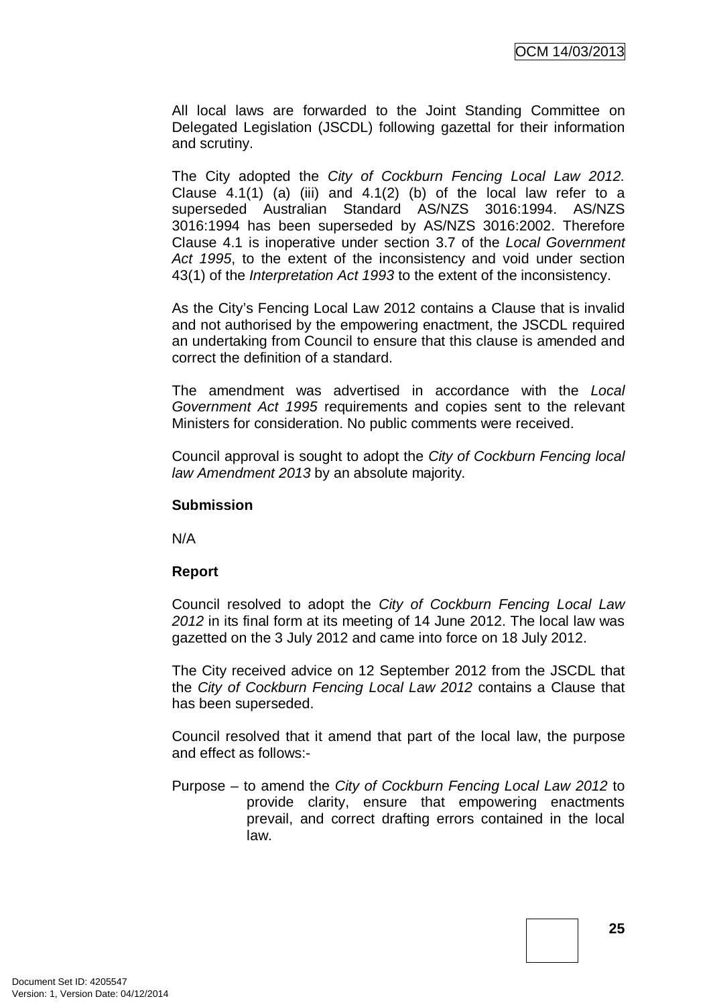All local laws are forwarded to the Joint Standing Committee on Delegated Legislation (JSCDL) following gazettal for their information and scrutiny.

The City adopted the *City of Cockburn Fencing Local Law 2012.*  Clause  $4.1(1)$  (a) (iii) and  $4.1(2)$  (b) of the local law refer to a superseded Australian Standard AS/NZS 3016:1994. AS/NZS 3016:1994 has been superseded by AS/NZS 3016:2002. Therefore Clause 4.1 is inoperative under section 3.7 of the *Local Government Act 1995*, to the extent of the inconsistency and void under section 43(1) of the *Interpretation Act 1993* to the extent of the inconsistency.

As the City's Fencing Local Law 2012 contains a Clause that is invalid and not authorised by the empowering enactment, the JSCDL required an undertaking from Council to ensure that this clause is amended and correct the definition of a standard.

The amendment was advertised in accordance with the *Local Government Act 1995* requirements and copies sent to the relevant Ministers for consideration. No public comments were received.

Council approval is sought to adopt the *City of Cockburn Fencing local law Amendment 2013* by an absolute majority*.*

#### **Submission**

N/A

#### **Report**

Council resolved to adopt the *City of Cockburn Fencing Local Law 2012* in its final form at its meeting of 14 June 2012. The local law was gazetted on the 3 July 2012 and came into force on 18 July 2012.

The City received advice on 12 September 2012 from the JSCDL that the *City of Cockburn Fencing Local Law 2012* contains a Clause that has been superseded.

Council resolved that it amend that part of the local law, the purpose and effect as follows:-

Purpose – to amend the *City of Cockburn Fencing Local Law 2012* to provide clarity, ensure that empowering enactments prevail, and correct drafting errors contained in the local law.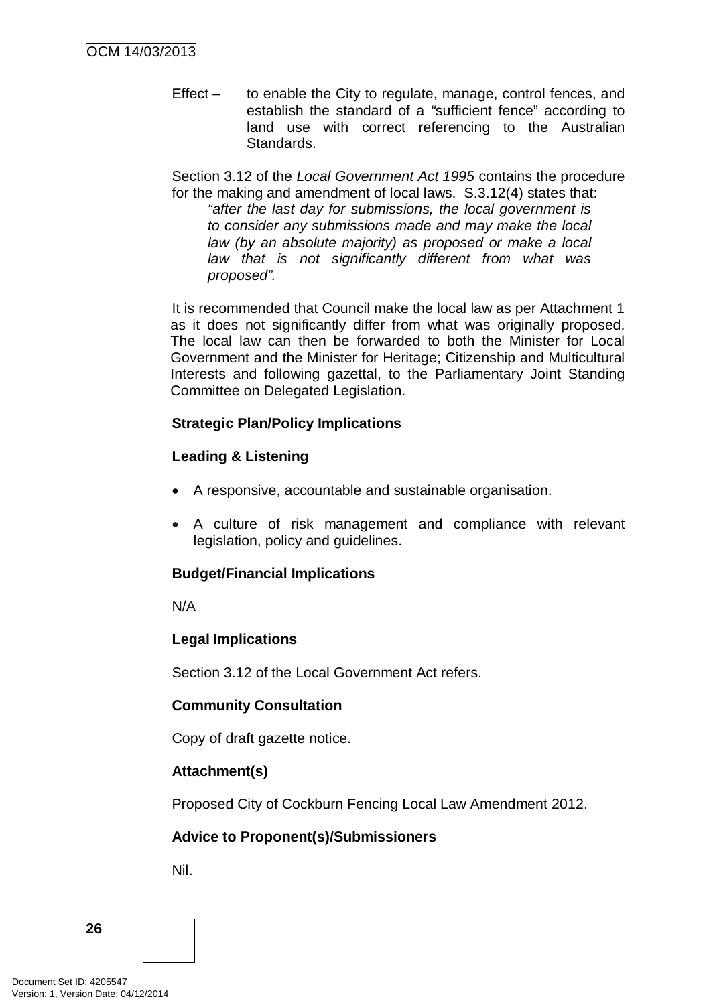Effect – to enable the City to regulate, manage, control fences, and establish the standard of a *"*sufficient fence" according to land use with correct referencing to the Australian Standards.

Section 3.12 of the *Local Government Act 1995* contains the procedure for the making and amendment of local laws. S.3.12(4) states that:

*"after the last day for submissions, the local government is to consider any submissions made and may make the local law (by an absolute majority) as proposed or make a local law that is not significantly different from what was proposed".*

It is recommended that Council make the local law as per Attachment 1 as it does not significantly differ from what was originally proposed. The local law can then be forwarded to both the Minister for Local Government and the Minister for Heritage; Citizenship and Multicultural Interests and following gazettal, to the Parliamentary Joint Standing Committee on Delegated Legislation.

# **Strategic Plan/Policy Implications**

# **Leading & Listening**

- A responsive, accountable and sustainable organisation.
- A culture of risk management and compliance with relevant legislation, policy and guidelines.

# **Budget/Financial Implications**

N/A

# **Legal Implications**

Section 3.12 of the Local Government Act refers.

## **Community Consultation**

Copy of draft gazette notice.

# **Attachment(s)**

Proposed City of Cockburn Fencing Local Law Amendment 2012.

# **Advice to Proponent(s)/Submissioners**

Nil.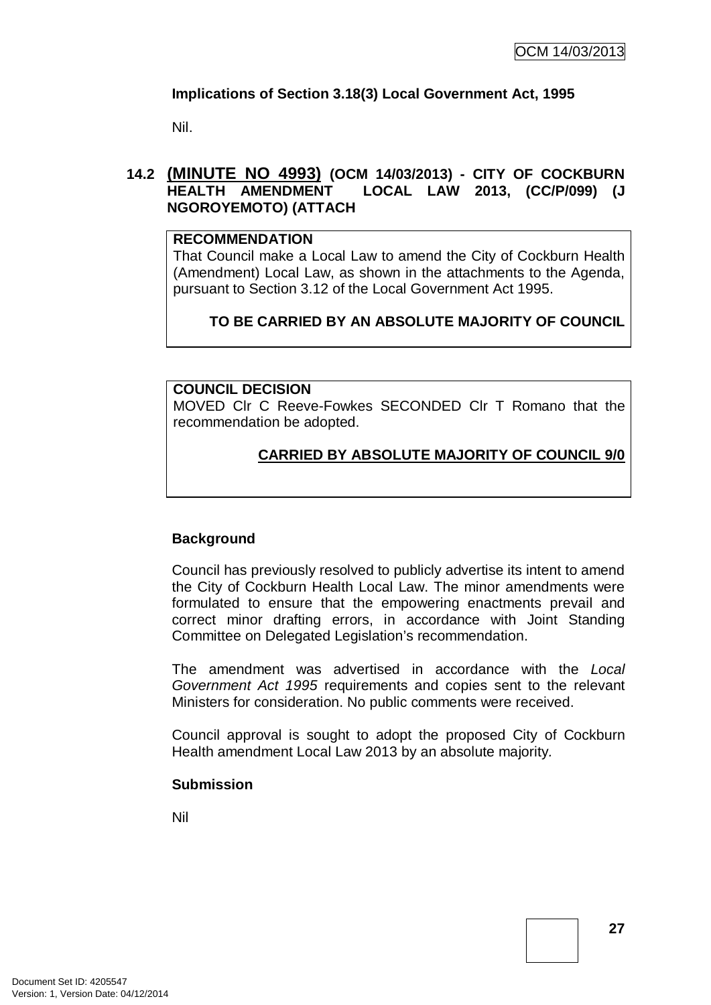# **Implications of Section 3.18(3) Local Government Act, 1995**

Nil.

# **14.2 (MINUTE NO 4993) (OCM 14/03/2013) - CITY OF COCKBURN**  LOCAL LAW 2013, (CC/P/099) (J **NGOROYEMOTO) (ATTACH**

#### **RECOMMENDATION**

That Council make a Local Law to amend the City of Cockburn Health (Amendment) Local Law, as shown in the attachments to the Agenda, pursuant to Section 3.12 of the Local Government Act 1995.

# **TO BE CARRIED BY AN ABSOLUTE MAJORITY OF COUNCIL**

# **COUNCIL DECISION**

MOVED Clr C Reeve-Fowkes SECONDED Clr T Romano that the recommendation be adopted.

# **CARRIED BY ABSOLUTE MAJORITY OF COUNCIL 9/0**

## **Background**

Council has previously resolved to publicly advertise its intent to amend the City of Cockburn Health Local Law. The minor amendments were formulated to ensure that the empowering enactments prevail and correct minor drafting errors, in accordance with Joint Standing Committee on Delegated Legislation's recommendation.

The amendment was advertised in accordance with the *Local Government Act 1995* requirements and copies sent to the relevant Ministers for consideration. No public comments were received.

Council approval is sought to adopt the proposed City of Cockburn Health amendment Local Law 2013 by an absolute majority*.*

## **Submission**

Nil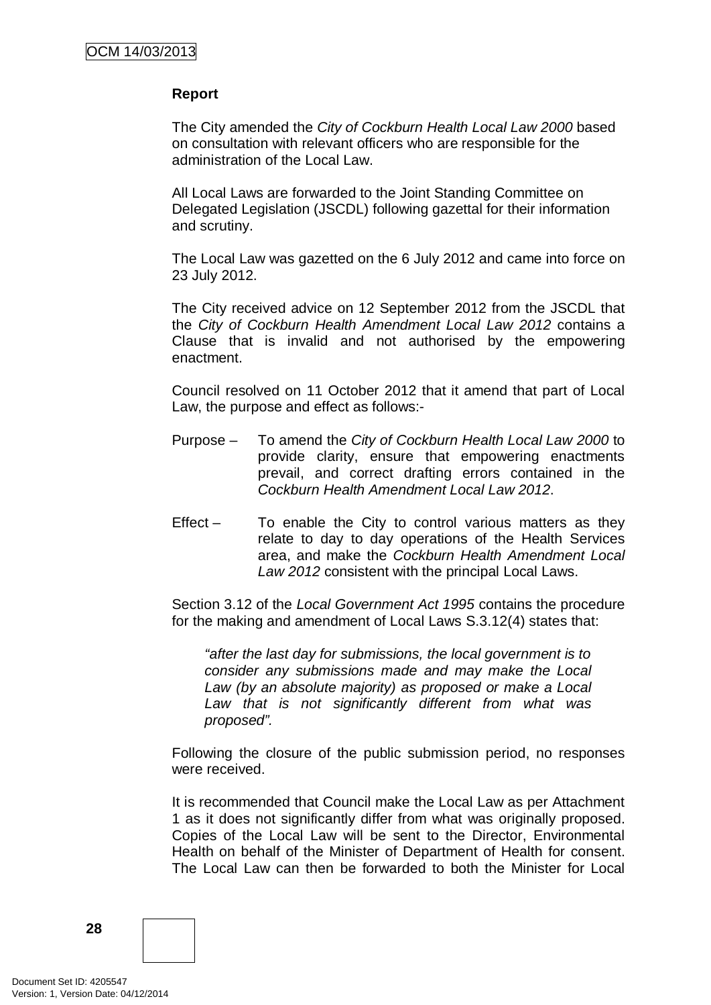## **Report**

The City amended the *City of Cockburn Health Local Law 2000* based on consultation with relevant officers who are responsible for the administration of the Local Law.

All Local Laws are forwarded to the Joint Standing Committee on Delegated Legislation (JSCDL) following gazettal for their information and scrutiny.

The Local Law was gazetted on the 6 July 2012 and came into force on 23 July 2012.

The City received advice on 12 September 2012 from the JSCDL that the *City of Cockburn Health Amendment Local Law 2012* contains a Clause that is invalid and not authorised by the empowering enactment.

Council resolved on 11 October 2012 that it amend that part of Local Law, the purpose and effect as follows:-

- Purpose To amend the *City of Cockburn Health Local Law 2000* to provide clarity, ensure that empowering enactments prevail, and correct drafting errors contained in the *Cockburn Health Amendment Local Law 2012*.
- Effect  $-$  To enable the City to control various matters as they relate to day to day operations of the Health Services area, and make the *Cockburn Health Amendment Local Law 2012* consistent with the principal Local Laws.

Section 3.12 of the *Local Government Act 1995* contains the procedure for the making and amendment of Local Laws S.3.12(4) states that:

*"after the last day for submissions, the local government is to consider any submissions made and may make the Local Law (by an absolute majority) as proposed or make a Local Law that is not significantly different from what was proposed".*

Following the closure of the public submission period, no responses were received.

It is recommended that Council make the Local Law as per Attachment 1 as it does not significantly differ from what was originally proposed. Copies of the Local Law will be sent to the Director, Environmental Health on behalf of the Minister of Department of Health for consent. The Local Law can then be forwarded to both the Minister for Local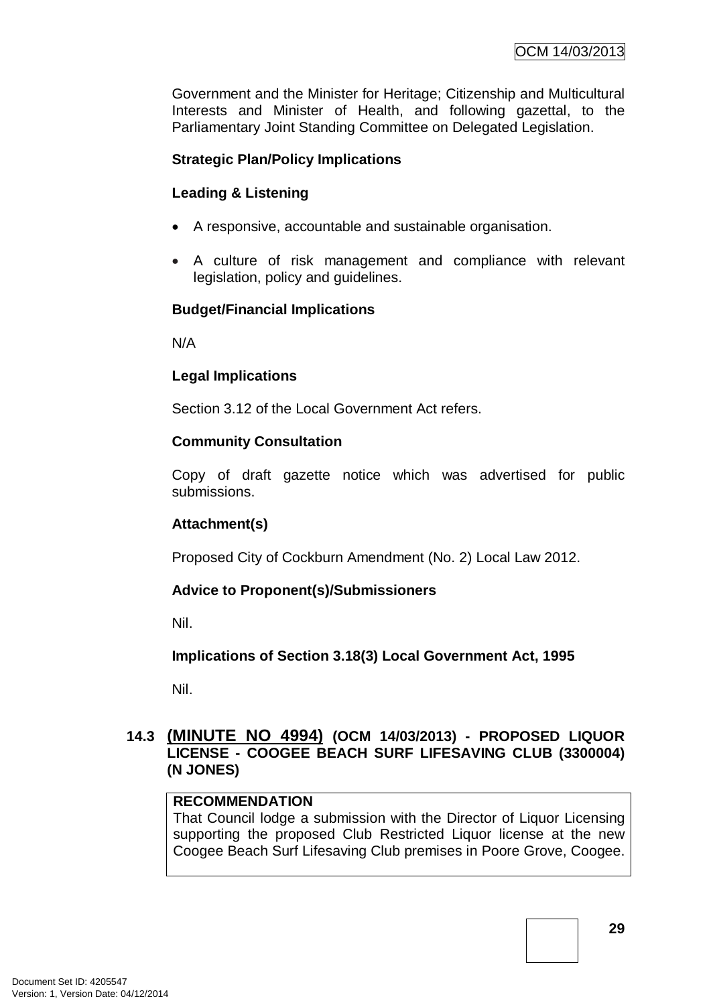Government and the Minister for Heritage; Citizenship and Multicultural Interests and Minister of Health, and following gazettal, to the Parliamentary Joint Standing Committee on Delegated Legislation.

# **Strategic Plan/Policy Implications**

## **Leading & Listening**

- A responsive, accountable and sustainable organisation.
- A culture of risk management and compliance with relevant legislation, policy and guidelines.

## **Budget/Financial Implications**

N/A

## **Legal Implications**

Section 3.12 of the Local Government Act refers.

## **Community Consultation**

Copy of draft gazette notice which was advertised for public submissions.

## **Attachment(s)**

Proposed City of Cockburn Amendment (No. 2) Local Law 2012.

## **Advice to Proponent(s)/Submissioners**

Nil.

## **Implications of Section 3.18(3) Local Government Act, 1995**

Nil.

# **14.3 (MINUTE NO 4994) (OCM 14/03/2013) - PROPOSED LIQUOR LICENSE - COOGEE BEACH SURF LIFESAVING CLUB (3300004) (N JONES)**

## **RECOMMENDATION**

That Council lodge a submission with the Director of Liquor Licensing supporting the proposed Club Restricted Liquor license at the new Coogee Beach Surf Lifesaving Club premises in Poore Grove, Coogee.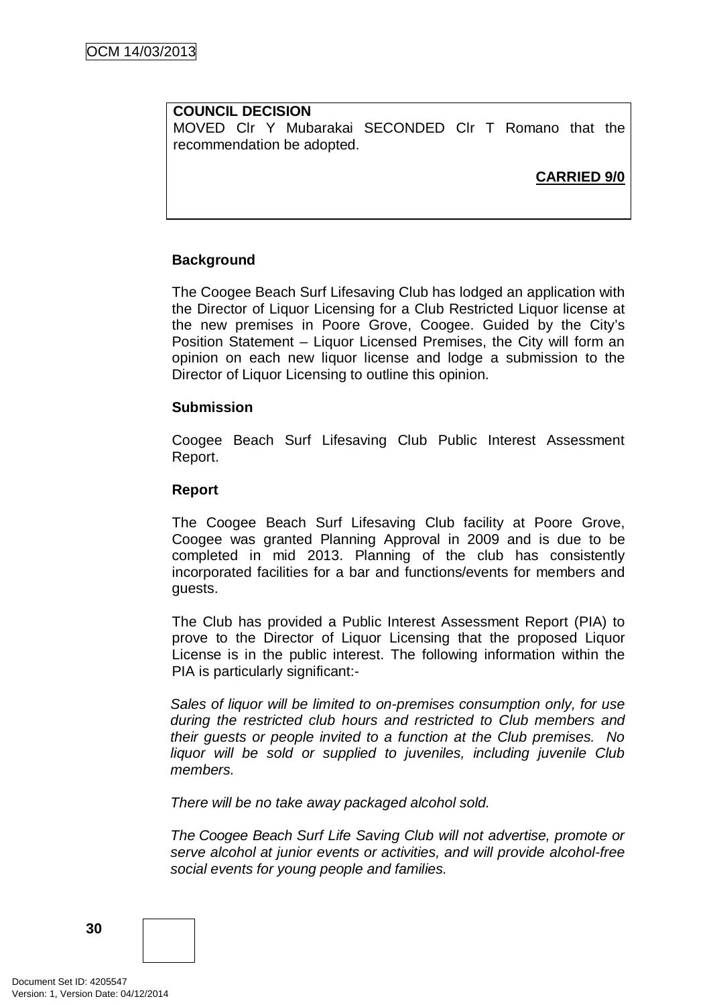## **COUNCIL DECISION**

MOVED Clr Y Mubarakai SECONDED Clr T Romano that the recommendation be adopted.

# **CARRIED 9/0**

# **Background**

The Coogee Beach Surf Lifesaving Club has lodged an application with the Director of Liquor Licensing for a Club Restricted Liquor license at the new premises in Poore Grove, Coogee. Guided by the City's Position Statement – Liquor Licensed Premises, the City will form an opinion on each new liquor license and lodge a submission to the Director of Liquor Licensing to outline this opinion.

#### **Submission**

Coogee Beach Surf Lifesaving Club Public Interest Assessment Report.

#### **Report**

The Coogee Beach Surf Lifesaving Club facility at Poore Grove, Coogee was granted Planning Approval in 2009 and is due to be completed in mid 2013. Planning of the club has consistently incorporated facilities for a bar and functions/events for members and guests.

The Club has provided a Public Interest Assessment Report (PIA) to prove to the Director of Liquor Licensing that the proposed Liquor License is in the public interest. The following information within the PIA is particularly significant:-

*Sales of liquor will be limited to on-premises consumption only, for use during the restricted club hours and restricted to Club members and their guests or people invited to a function at the Club premises. No liquor will be sold or supplied to juveniles, including juvenile Club members.*

*There will be no take away packaged alcohol sold.*

*The Coogee Beach Surf Life Saving Club will not advertise, promote or serve alcohol at junior events or activities, and will provide alcohol-free social events for young people and families.*

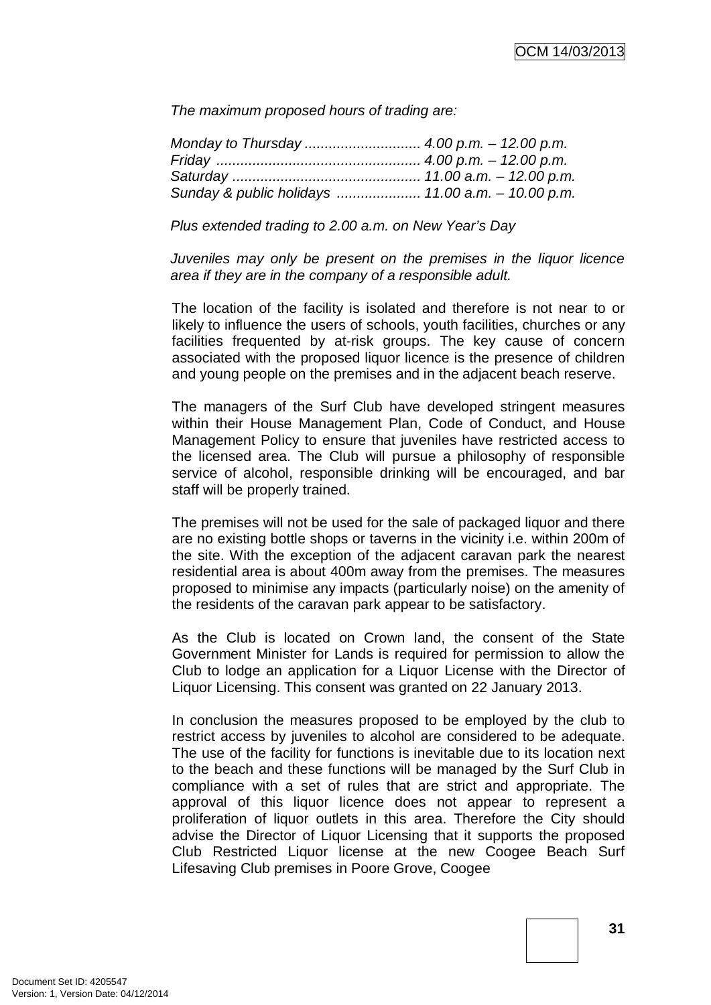*The maximum proposed hours of trading are:*

*Plus extended trading to 2.00 a.m. on New Year's Day*

*Juveniles may only be present on the premises in the liquor licence area if they are in the company of a responsible adult.*

The location of the facility is isolated and therefore is not near to or likely to influence the users of schools, youth facilities, churches or any facilities frequented by at-risk groups. The key cause of concern associated with the proposed liquor licence is the presence of children and young people on the premises and in the adjacent beach reserve.

The managers of the Surf Club have developed stringent measures within their House Management Plan, Code of Conduct, and House Management Policy to ensure that juveniles have restricted access to the licensed area. The Club will pursue a philosophy of responsible service of alcohol, responsible drinking will be encouraged, and bar staff will be properly trained.

The premises will not be used for the sale of packaged liquor and there are no existing bottle shops or taverns in the vicinity i.e. within 200m of the site. With the exception of the adjacent caravan park the nearest residential area is about 400m away from the premises. The measures proposed to minimise any impacts (particularly noise) on the amenity of the residents of the caravan park appear to be satisfactory.

As the Club is located on Crown land, the consent of the State Government Minister for Lands is required for permission to allow the Club to lodge an application for a Liquor License with the Director of Liquor Licensing. This consent was granted on 22 January 2013.

In conclusion the measures proposed to be employed by the club to restrict access by juveniles to alcohol are considered to be adequate. The use of the facility for functions is inevitable due to its location next to the beach and these functions will be managed by the Surf Club in compliance with a set of rules that are strict and appropriate. The approval of this liquor licence does not appear to represent a proliferation of liquor outlets in this area. Therefore the City should advise the Director of Liquor Licensing that it supports the proposed Club Restricted Liquor license at the new Coogee Beach Surf Lifesaving Club premises in Poore Grove, Coogee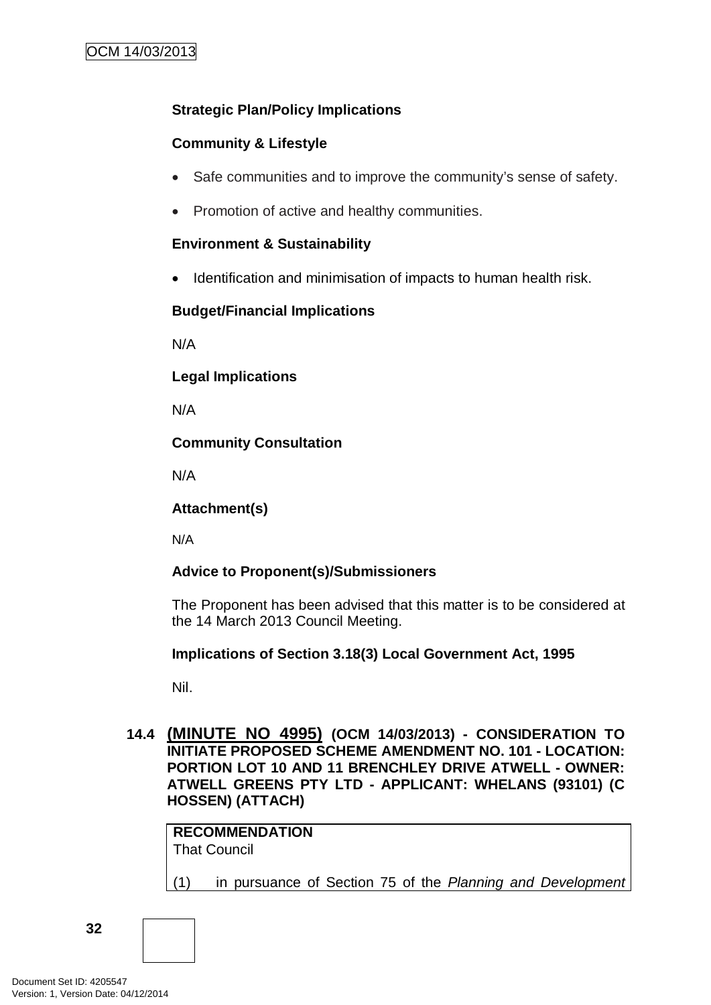# **Strategic Plan/Policy Implications**

# **Community & Lifestyle**

- Safe communities and to improve the community's sense of safety.
- Promotion of active and healthy communities.

# **Environment & Sustainability**

• Identification and minimisation of impacts to human health risk.

# **Budget/Financial Implications**

N/A

**Legal Implications**

N/A

**Community Consultation**

N/A

**Attachment(s)**

N/A

# **Advice to Proponent(s)/Submissioners**

The Proponent has been advised that this matter is to be considered at the 14 March 2013 Council Meeting.

## **Implications of Section 3.18(3) Local Government Act, 1995**

Nil.

**14.4 (MINUTE NO 4995) (OCM 14/03/2013) - CONSIDERATION TO INITIATE PROPOSED SCHEME AMENDMENT NO. 101 - LOCATION: PORTION LOT 10 AND 11 BRENCHLEY DRIVE ATWELL - OWNER: ATWELL GREENS PTY LTD - APPLICANT: WHELANS (93101) (C HOSSEN) (ATTACH)**

| <b>RECOMMENDATION</b>               |  |
|-------------------------------------|--|
| $\blacksquare$ . $\curvearrowright$ |  |

That Council

(1) in pursuance of Section 75 of the *Planning and Development*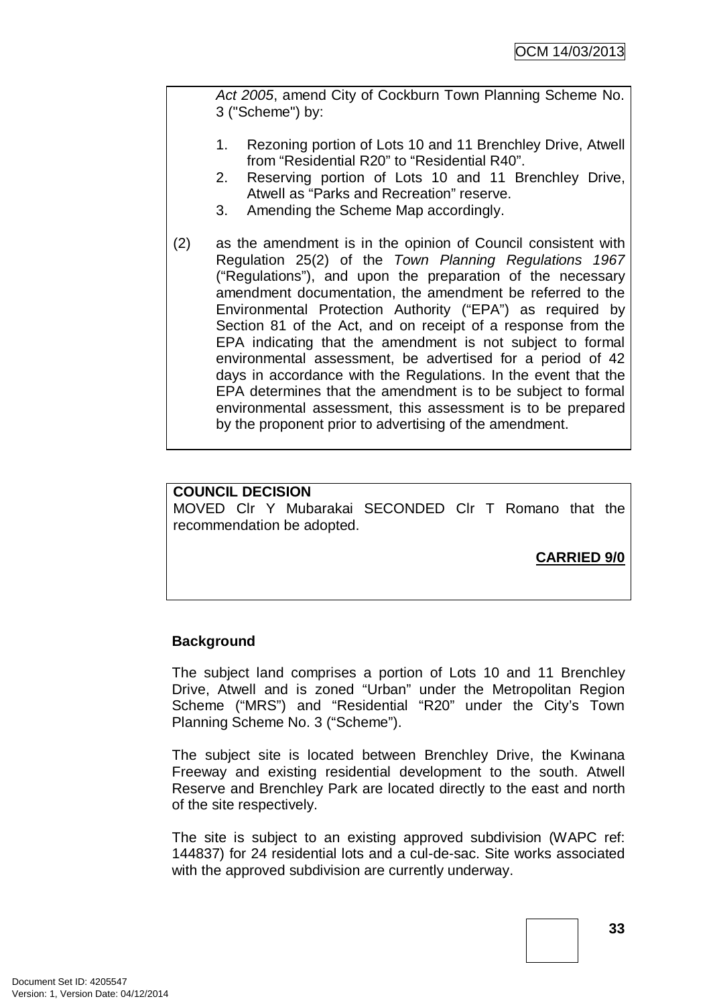*Act 2005*, amend City of Cockburn Town Planning Scheme No. 3 ("Scheme") by:

- 1. Rezoning portion of Lots 10 and 11 Brenchley Drive, Atwell from "Residential R20" to "Residential R40".
- 2. Reserving portion of Lots 10 and 11 Brenchley Drive, Atwell as "Parks and Recreation" reserve.
- 3. Amending the Scheme Map accordingly.
- (2) as the amendment is in the opinion of Council consistent with Regulation 25(2) of the *Town Planning Regulations 1967*  ("Regulations"), and upon the preparation of the necessary amendment documentation, the amendment be referred to the Environmental Protection Authority ("EPA") as required by Section 81 of the Act, and on receipt of a response from the EPA indicating that the amendment is not subject to formal environmental assessment, be advertised for a period of 42 days in accordance with the Regulations. In the event that the EPA determines that the amendment is to be subject to formal environmental assessment, this assessment is to be prepared by the proponent prior to advertising of the amendment.

## **COUNCIL DECISION**

MOVED Clr Y Mubarakai SECONDED Clr T Romano that the recommendation be adopted.

**CARRIED 9/0**

## **Background**

The subject land comprises a portion of Lots 10 and 11 Brenchley Drive, Atwell and is zoned "Urban" under the Metropolitan Region Scheme ("MRS") and "Residential "R20" under the City's Town Planning Scheme No. 3 ("Scheme").

The subject site is located between Brenchley Drive, the Kwinana Freeway and existing residential development to the south. Atwell Reserve and Brenchley Park are located directly to the east and north of the site respectively.

The site is subject to an existing approved subdivision (WAPC ref: 144837) for 24 residential lots and a cul-de-sac. Site works associated with the approved subdivision are currently underway.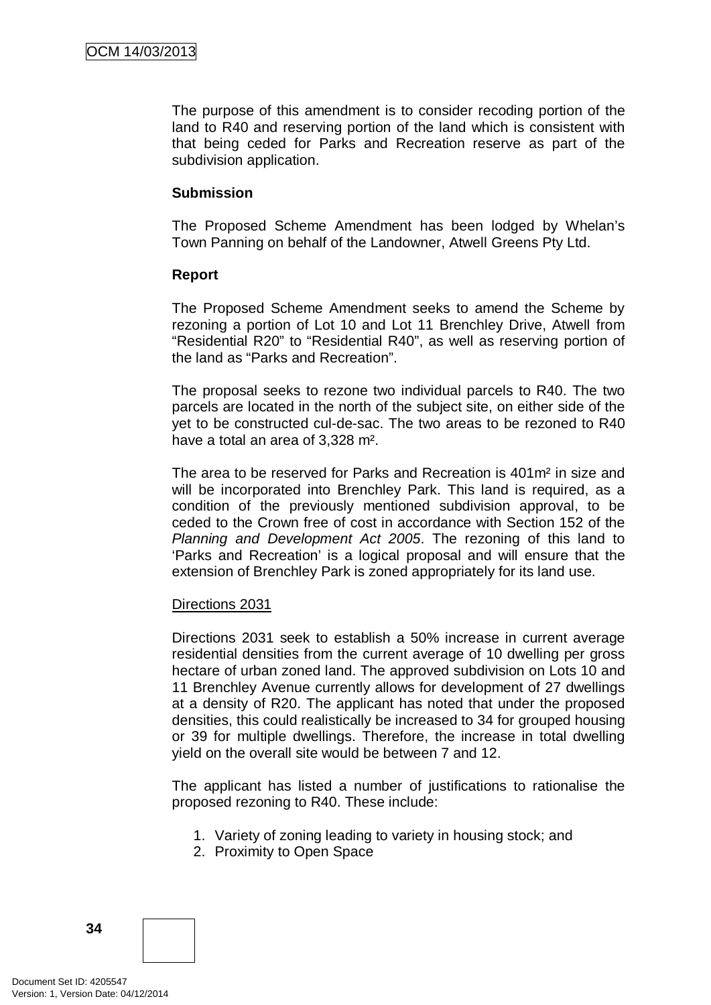The purpose of this amendment is to consider recoding portion of the land to R40 and reserving portion of the land which is consistent with that being ceded for Parks and Recreation reserve as part of the subdivision application.

#### **Submission**

The Proposed Scheme Amendment has been lodged by Whelan's Town Panning on behalf of the Landowner, Atwell Greens Pty Ltd.

#### **Report**

The Proposed Scheme Amendment seeks to amend the Scheme by rezoning a portion of Lot 10 and Lot 11 Brenchley Drive, Atwell from "Residential R20" to "Residential R40", as well as reserving portion of the land as "Parks and Recreation".

The proposal seeks to rezone two individual parcels to R40. The two parcels are located in the north of the subject site, on either side of the yet to be constructed cul-de-sac. The two areas to be rezoned to R40 have a total an area of 3,328 m².

The area to be reserved for Parks and Recreation is 401m² in size and will be incorporated into Brenchley Park. This land is required, as a condition of the previously mentioned subdivision approval, to be ceded to the Crown free of cost in accordance with Section 152 of the *Planning and Development Act 2005*. The rezoning of this land to 'Parks and Recreation' is a logical proposal and will ensure that the extension of Brenchley Park is zoned appropriately for its land use.

## Directions 2031

Directions 2031 seek to establish a 50% increase in current average residential densities from the current average of 10 dwelling per gross hectare of urban zoned land. The approved subdivision on Lots 10 and 11 Brenchley Avenue currently allows for development of 27 dwellings at a density of R20. The applicant has noted that under the proposed densities, this could realistically be increased to 34 for grouped housing or 39 for multiple dwellings. Therefore, the increase in total dwelling yield on the overall site would be between 7 and 12.

The applicant has listed a number of justifications to rationalise the proposed rezoning to R40. These include:

- 1. Variety of zoning leading to variety in housing stock; and
- 2. Proximity to Open Space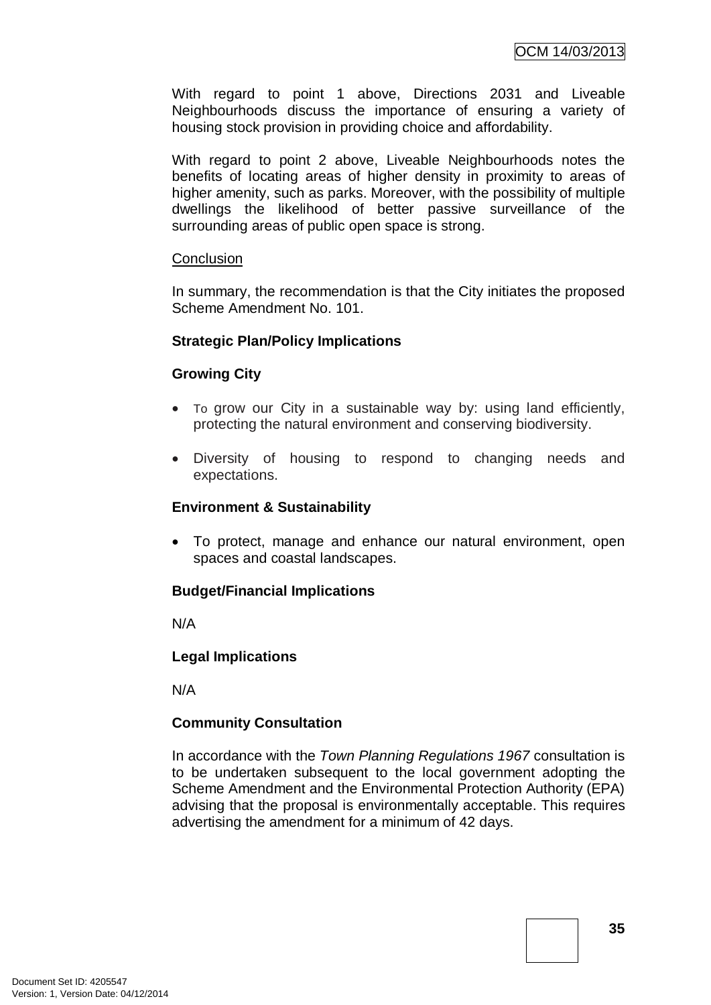With regard to point 1 above, Directions 2031 and Liveable Neighbourhoods discuss the importance of ensuring a variety of housing stock provision in providing choice and affordability.

With regard to point 2 above, Liveable Neighbourhoods notes the benefits of locating areas of higher density in proximity to areas of higher amenity, such as parks. Moreover, with the possibility of multiple dwellings the likelihood of better passive surveillance of the surrounding areas of public open space is strong.

#### **Conclusion**

In summary, the recommendation is that the City initiates the proposed Scheme Amendment No. 101.

## **Strategic Plan/Policy Implications**

## **Growing City**

- To grow our City in a sustainable way by: using land efficiently, protecting the natural environment and conserving biodiversity.
- Diversity of housing to respond to changing needs and expectations.

## **Environment & Sustainability**

• To protect, manage and enhance our natural environment, open spaces and coastal landscapes.

## **Budget/Financial Implications**

N/A

## **Legal Implications**

N/A

## **Community Consultation**

In accordance with the *Town Planning Regulations 1967* consultation is to be undertaken subsequent to the local government adopting the Scheme Amendment and the Environmental Protection Authority (EPA) advising that the proposal is environmentally acceptable. This requires advertising the amendment for a minimum of 42 days.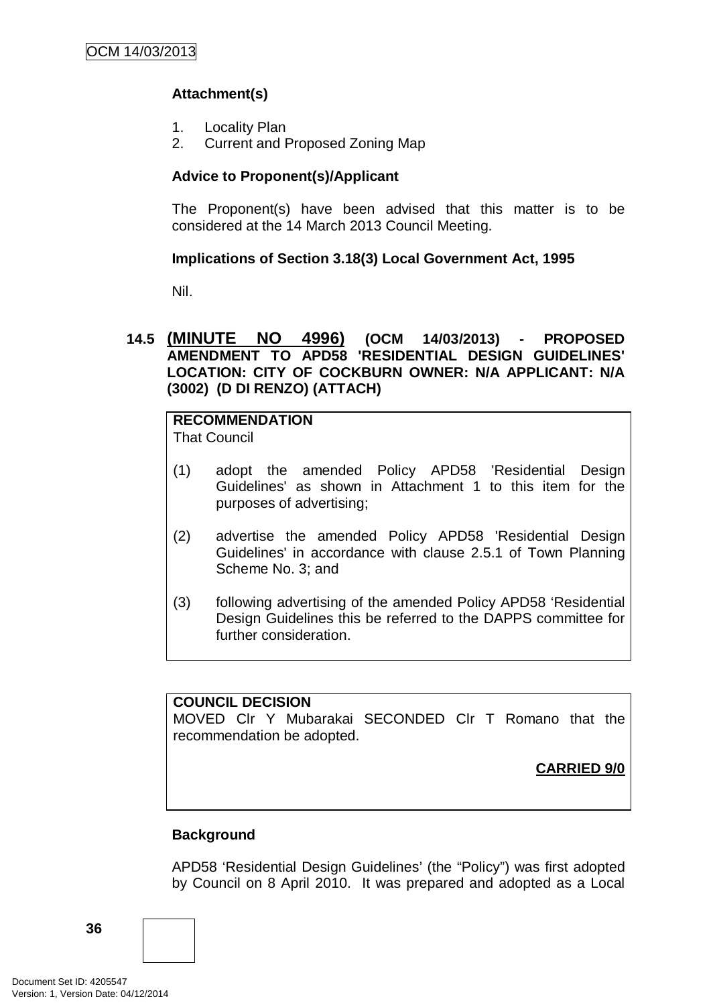## **Attachment(s)**

- 1. Locality Plan
- 2. Current and Proposed Zoning Map

## **Advice to Proponent(s)/Applicant**

The Proponent(s) have been advised that this matter is to be considered at the 14 March 2013 Council Meeting.

## **Implications of Section 3.18(3) Local Government Act, 1995**

Nil.

## **14.5 (MINUTE NO 4996) (OCM 14/03/2013) - PROPOSED AMENDMENT TO APD58 'RESIDENTIAL DESIGN GUIDELINES' LOCATION: CITY OF COCKBURN OWNER: N/A APPLICANT: N/A (3002) (D DI RENZO) (ATTACH)**

#### **RECOMMENDATION** That Council

- (1) adopt the amended Policy APD58 'Residential Design Guidelines' as shown in Attachment 1 to this item for the purposes of advertising;
- (2) advertise the amended Policy APD58 'Residential Design Guidelines' in accordance with clause 2.5.1 of Town Planning Scheme No. 3; and
- (3) following advertising of the amended Policy APD58 'Residential Design Guidelines this be referred to the DAPPS committee for further consideration.

## **COUNCIL DECISION**

MOVED Clr Y Mubarakai SECONDED Clr T Romano that the recommendation be adopted.

**CARRIED 9/0**

## **Background**

APD58 'Residential Design Guidelines' (the "Policy") was first adopted by Council on 8 April 2010. It was prepared and adopted as a Local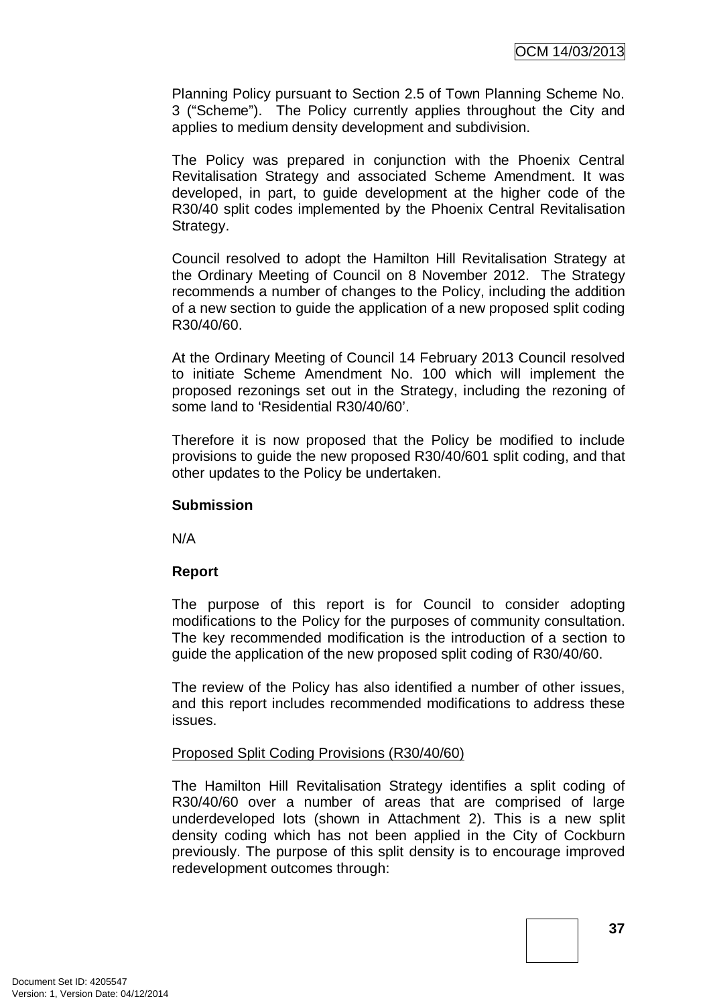Planning Policy pursuant to Section 2.5 of Town Planning Scheme No. 3 ("Scheme"). The Policy currently applies throughout the City and applies to medium density development and subdivision.

The Policy was prepared in conjunction with the Phoenix Central Revitalisation Strategy and associated Scheme Amendment. It was developed, in part, to guide development at the higher code of the R30/40 split codes implemented by the Phoenix Central Revitalisation Strategy.

Council resolved to adopt the Hamilton Hill Revitalisation Strategy at the Ordinary Meeting of Council on 8 November 2012. The Strategy recommends a number of changes to the Policy, including the addition of a new section to guide the application of a new proposed split coding R30/40/60.

At the Ordinary Meeting of Council 14 February 2013 Council resolved to initiate Scheme Amendment No. 100 which will implement the proposed rezonings set out in the Strategy, including the rezoning of some land to 'Residential R30/40/60'.

Therefore it is now proposed that the Policy be modified to include provisions to guide the new proposed R30/40/601 split coding, and that other updates to the Policy be undertaken.

#### **Submission**

N/A

## **Report**

The purpose of this report is for Council to consider adopting modifications to the Policy for the purposes of community consultation. The key recommended modification is the introduction of a section to guide the application of the new proposed split coding of R30/40/60.

The review of the Policy has also identified a number of other issues, and this report includes recommended modifications to address these issues.

## Proposed Split Coding Provisions (R30/40/60)

The Hamilton Hill Revitalisation Strategy identifies a split coding of R30/40/60 over a number of areas that are comprised of large underdeveloped lots (shown in Attachment 2). This is a new split density coding which has not been applied in the City of Cockburn previously. The purpose of this split density is to encourage improved redevelopment outcomes through: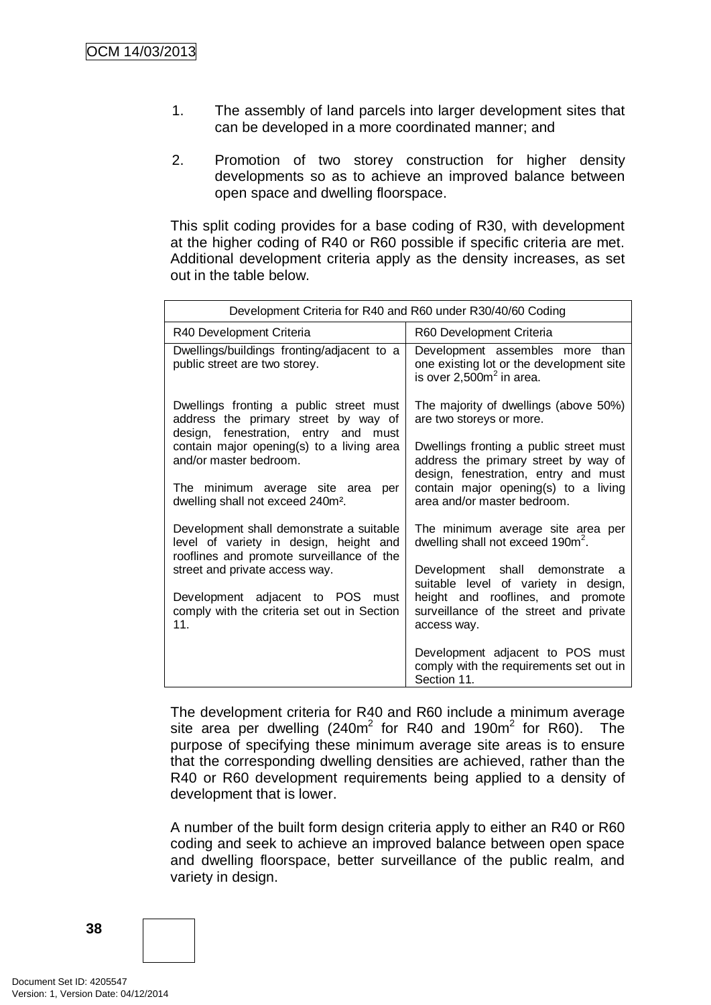- 1. The assembly of land parcels into larger development sites that can be developed in a more coordinated manner; and
- 2. Promotion of two storey construction for higher density developments so as to achieve an improved balance between open space and dwelling floorspace.

This split coding provides for a base coding of R30, with development at the higher coding of R40 or R60 possible if specific criteria are met. Additional development criteria apply as the density increases, as set out in the table below.

| Development Criteria for R40 and R60 under R30/40/60 Coding                                                                                                  |                                                                                                                         |  |
|--------------------------------------------------------------------------------------------------------------------------------------------------------------|-------------------------------------------------------------------------------------------------------------------------|--|
| R40 Development Criteria                                                                                                                                     | R60 Development Criteria                                                                                                |  |
| Dwellings/buildings fronting/adjacent to a<br>public street are two storey.                                                                                  | Development assembles more than<br>one existing lot or the development site<br>is over $2,500m^2$ in area.              |  |
| Dwellings fronting a public street must<br>address the primary street by way of<br>design, fenestration, entry and must                                      | The majority of dwellings (above 50%)<br>are two storeys or more.                                                       |  |
| contain major opening(s) to a living area<br>and/or master bedroom.<br>The minimum average site area<br>per<br>dwelling shall not exceed 240m <sup>2</sup> . | Dwellings fronting a public street must<br>address the primary street by way of<br>design, fenestration, entry and must |  |
|                                                                                                                                                              | contain major opening(s) to a living<br>area and/or master bedroom.                                                     |  |
| Development shall demonstrate a suitable<br>level of variety in design, height and<br>rooflines and promote surveillance of the                              | The minimum average site area per<br>dwelling shall not exceed 190m <sup>2</sup> .                                      |  |
| street and private access way.                                                                                                                               | Development shall demonstrate<br>a<br>suitable level of variety in design,                                              |  |
| Development adjacent to POS must<br>comply with the criteria set out in Section<br>11.                                                                       | height and rooflines, and promote<br>surveillance of the street and private<br>access way.                              |  |
|                                                                                                                                                              | Development adjacent to POS must<br>comply with the requirements set out in<br>Section 11.                              |  |

The development criteria for R40 and R60 include a minimum average site area per dwelling  $(240m^2$  for R40 and 190 $m^2$  for R60). The purpose of specifying these minimum average site areas is to ensure that the corresponding dwelling densities are achieved, rather than the R40 or R60 development requirements being applied to a density of development that is lower.

A number of the built form design criteria apply to either an R40 or R60 coding and seek to achieve an improved balance between open space and dwelling floorspace, better surveillance of the public realm, and variety in design.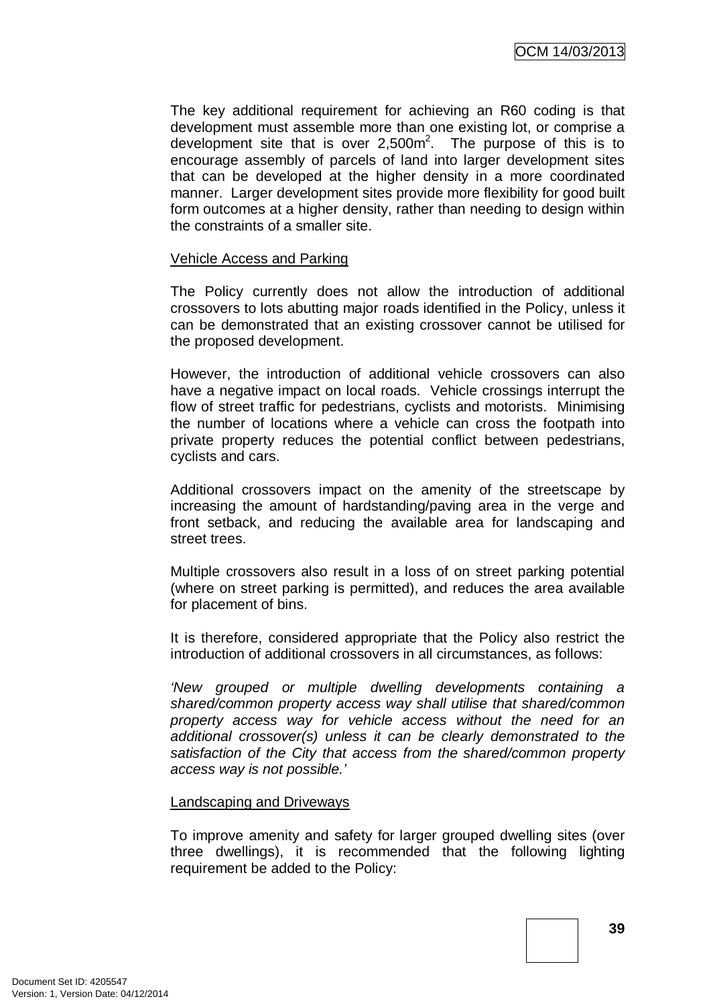The key additional requirement for achieving an R60 coding is that development must assemble more than one existing lot, or comprise a development site that is over  $2,500m^2$ . The purpose of this is to encourage assembly of parcels of land into larger development sites that can be developed at the higher density in a more coordinated manner. Larger development sites provide more flexibility for good built form outcomes at a higher density, rather than needing to design within the constraints of a smaller site.

#### Vehicle Access and Parking

The Policy currently does not allow the introduction of additional crossovers to lots abutting major roads identified in the Policy, unless it can be demonstrated that an existing crossover cannot be utilised for the proposed development.

However, the introduction of additional vehicle crossovers can also have a negative impact on local roads. Vehicle crossings interrupt the flow of street traffic for pedestrians, cyclists and motorists. Minimising the number of locations where a vehicle can cross the footpath into private property reduces the potential conflict between pedestrians, cyclists and cars.

Additional crossovers impact on the amenity of the streetscape by increasing the amount of hardstanding/paving area in the verge and front setback, and reducing the available area for landscaping and street trees.

Multiple crossovers also result in a loss of on street parking potential (where on street parking is permitted), and reduces the area available for placement of bins.

It is therefore, considered appropriate that the Policy also restrict the introduction of additional crossovers in all circumstances, as follows:

*'New grouped or multiple dwelling developments containing a shared/common property access way shall utilise that shared/common property access way for vehicle access without the need for an additional crossover(s) unless it can be clearly demonstrated to the satisfaction of the City that access from the shared/common property access way is not possible.'*

#### Landscaping and Driveways

To improve amenity and safety for larger grouped dwelling sites (over three dwellings), it is recommended that the following lighting requirement be added to the Policy: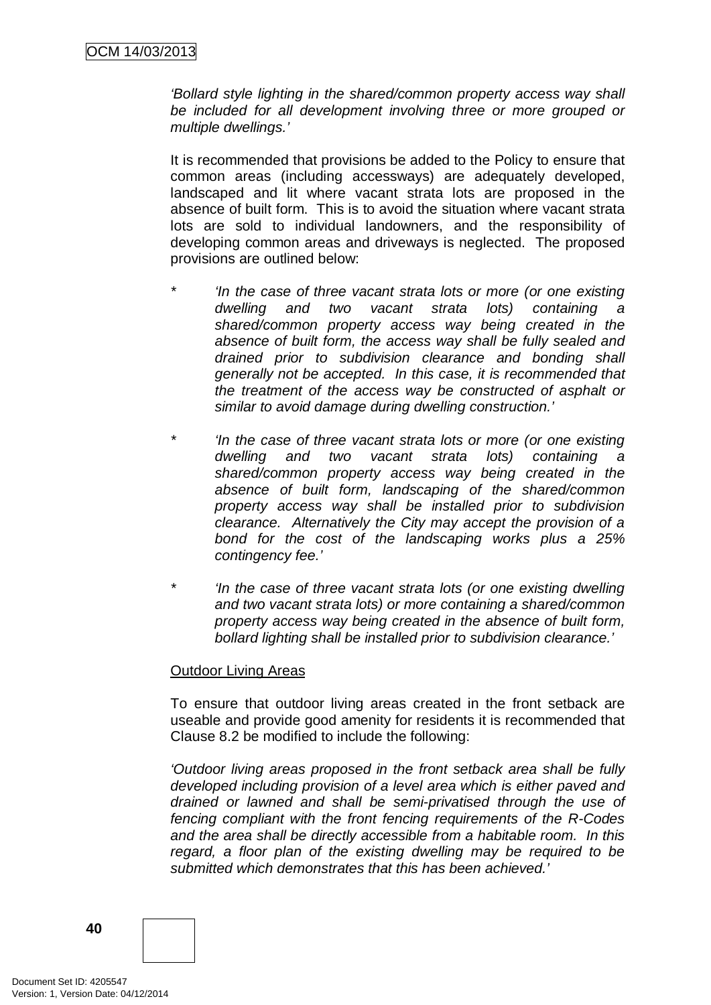*'Bollard style lighting in the shared/common property access way shall be included for all development involving three or more grouped or multiple dwellings.'*

It is recommended that provisions be added to the Policy to ensure that common areas (including accessways) are adequately developed, landscaped and lit where vacant strata lots are proposed in the absence of built form. This is to avoid the situation where vacant strata lots are sold to individual landowners, and the responsibility of developing common areas and driveways is neglected. The proposed provisions are outlined below:

- *\* 'In the case of three vacant strata lots or more (or one existing dwelling and two vacant strata lots) containing a shared/common property access way being created in the absence of built form, the access way shall be fully sealed and drained prior to subdivision clearance and bonding shall generally not be accepted. In this case, it is recommended that the treatment of the access way be constructed of asphalt or similar to avoid damage during dwelling construction.'*
- *\* 'In the case of three vacant strata lots or more (or one existing dwelling and two vacant strata lots) containing a shared/common property access way being created in the absence of built form, landscaping of the shared/common property access way shall be installed prior to subdivision clearance. Alternatively the City may accept the provision of a bond for the cost of the landscaping works plus a 25% contingency fee.'*
- *\* 'In the case of three vacant strata lots (or one existing dwelling and two vacant strata lots) or more containing a shared/common property access way being created in the absence of built form, bollard lighting shall be installed prior to subdivision clearance.'*

#### Outdoor Living Areas

To ensure that outdoor living areas created in the front setback are useable and provide good amenity for residents it is recommended that Clause 8.2 be modified to include the following:

*'Outdoor living areas proposed in the front setback area shall be fully developed including provision of a level area which is either paved and drained or lawned and shall be semi-privatised through the use of fencing compliant with the front fencing requirements of the R-Codes and the area shall be directly accessible from a habitable room. In this regard, a floor plan of the existing dwelling may be required to be submitted which demonstrates that this has been achieved.'*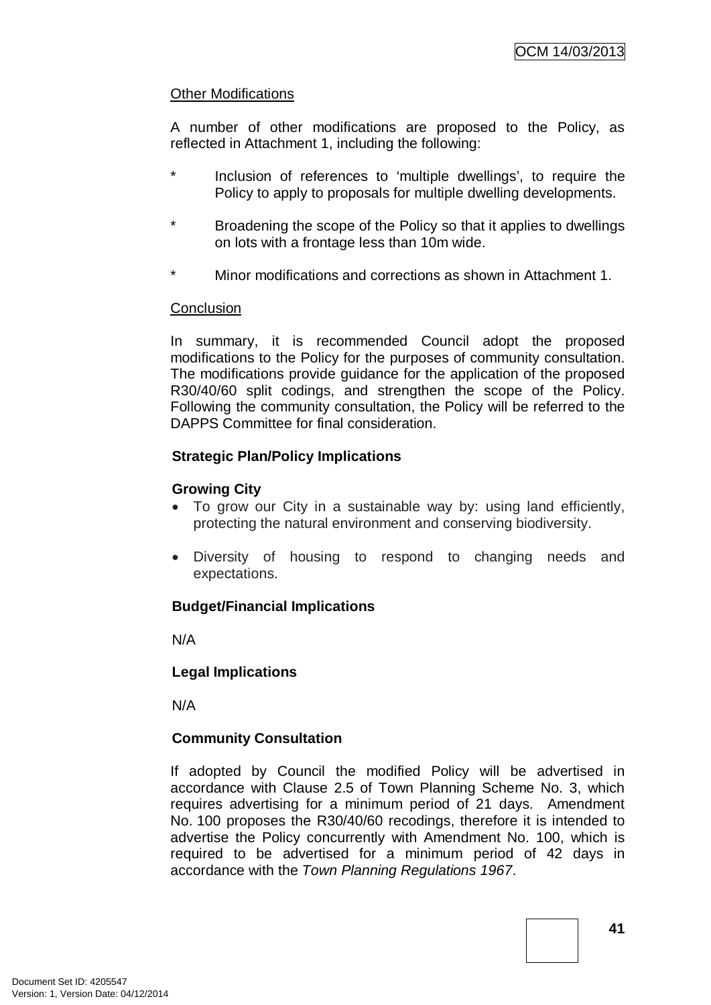## Other Modifications

A number of other modifications are proposed to the Policy, as reflected in Attachment 1, including the following:

- \* Inclusion of references to 'multiple dwellings', to require the Policy to apply to proposals for multiple dwelling developments.
- \* Broadening the scope of the Policy so that it applies to dwellings on lots with a frontage less than 10m wide.
- Minor modifications and corrections as shown in Attachment 1.

## **Conclusion**

In summary, it is recommended Council adopt the proposed modifications to the Policy for the purposes of community consultation. The modifications provide guidance for the application of the proposed R30/40/60 split codings, and strengthen the scope of the Policy. Following the community consultation, the Policy will be referred to the DAPPS Committee for final consideration.

## **Strategic Plan/Policy Implications**

## **Growing City**

- To grow our City in a sustainable way by: using land efficiently, protecting the natural environment and conserving biodiversity.
- Diversity of housing to respond to changing needs and expectations.

## **Budget/Financial Implications**

N/A

## **Legal Implications**

N/A

## **Community Consultation**

If adopted by Council the modified Policy will be advertised in accordance with Clause 2.5 of Town Planning Scheme No. 3, which requires advertising for a minimum period of 21 days. Amendment No. 100 proposes the R30/40/60 recodings, therefore it is intended to advertise the Policy concurrently with Amendment No. 100, which is required to be advertised for a minimum period of 42 days in accordance with the *Town Planning Regulations 1967*.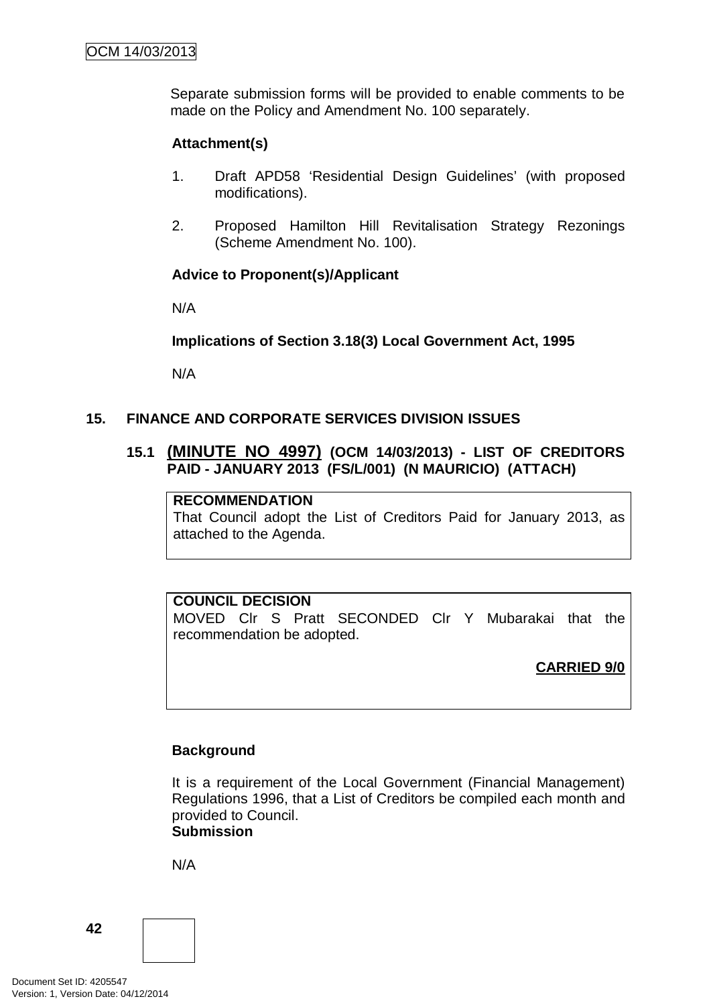Separate submission forms will be provided to enable comments to be made on the Policy and Amendment No. 100 separately.

## **Attachment(s)**

- 1. Draft APD58 'Residential Design Guidelines' (with proposed modifications).
- 2. Proposed Hamilton Hill Revitalisation Strategy Rezonings (Scheme Amendment No. 100).

## **Advice to Proponent(s)/Applicant**

N/A

**Implications of Section 3.18(3) Local Government Act, 1995**

N/A

#### **15. FINANCE AND CORPORATE SERVICES DIVISION ISSUES**

## **15.1 (MINUTE NO 4997) (OCM 14/03/2013) - LIST OF CREDITORS PAID - JANUARY 2013 (FS/L/001) (N MAURICIO) (ATTACH)**

#### **RECOMMENDATION**

That Council adopt the List of Creditors Paid for January 2013, as attached to the Agenda.

## **COUNCIL DECISION**

MOVED Clr S Pratt SECONDED Clr Y Mubarakai that the recommendation be adopted.

## **CARRIED 9/0**

## **Background**

It is a requirement of the Local Government (Financial Management) Regulations 1996, that a List of Creditors be compiled each month and provided to Council. **Submission**

N/A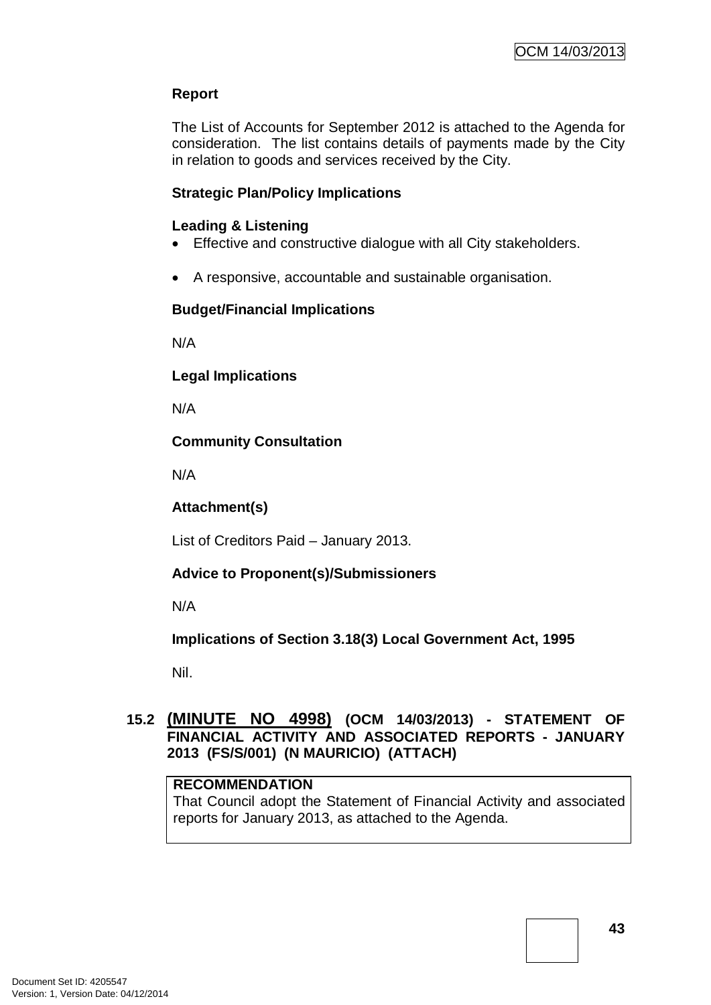## **Report**

The List of Accounts for September 2012 is attached to the Agenda for consideration. The list contains details of payments made by the City in relation to goods and services received by the City.

## **Strategic Plan/Policy Implications**

#### **Leading & Listening**

- Effective and constructive dialogue with all City stakeholders.
- A responsive, accountable and sustainable organisation.

## **Budget/Financial Implications**

N/A

**Legal Implications**

N/A

## **Community Consultation**

N/A

## **Attachment(s)**

List of Creditors Paid – January 2013.

## **Advice to Proponent(s)/Submissioners**

N/A

**Implications of Section 3.18(3) Local Government Act, 1995**

Nil.

## **15.2 (MINUTE NO 4998) (OCM 14/03/2013) - STATEMENT OF FINANCIAL ACTIVITY AND ASSOCIATED REPORTS - JANUARY 2013 (FS/S/001) (N MAURICIO) (ATTACH)**

## **RECOMMENDATION**

That Council adopt the Statement of Financial Activity and associated reports for January 2013, as attached to the Agenda.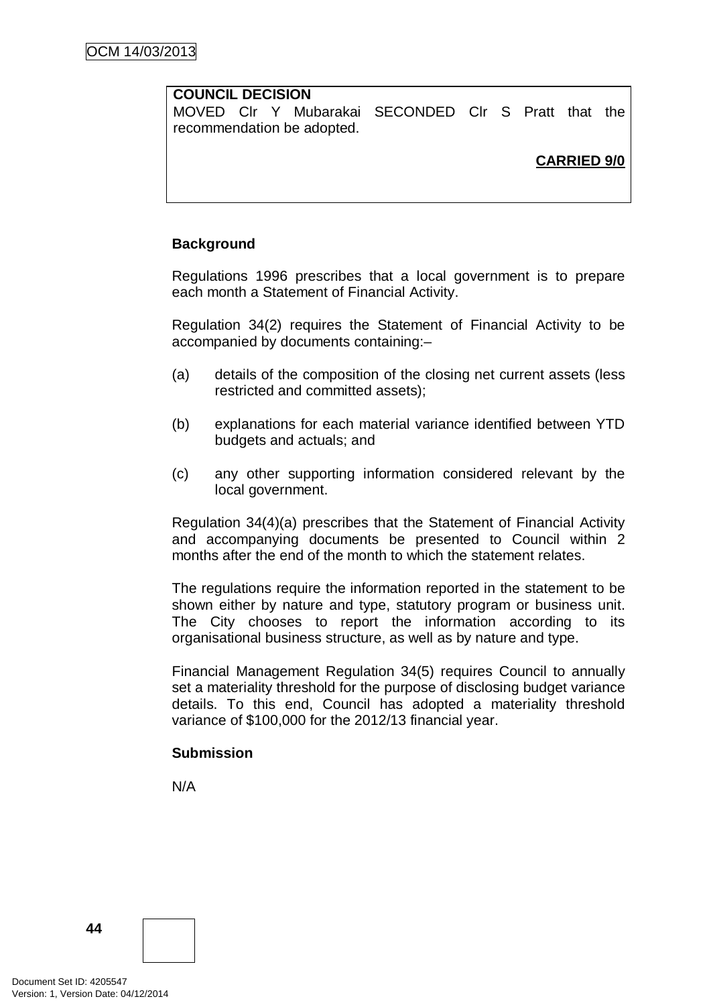## **COUNCIL DECISION**

MOVED Clr Y Mubarakai SECONDED Clr S Pratt that the recommendation be adopted.

## **CARRIED 9/0**

## **Background**

Regulations 1996 prescribes that a local government is to prepare each month a Statement of Financial Activity.

Regulation 34(2) requires the Statement of Financial Activity to be accompanied by documents containing:–

- (a) details of the composition of the closing net current assets (less restricted and committed assets);
- (b) explanations for each material variance identified between YTD budgets and actuals; and
- (c) any other supporting information considered relevant by the local government.

Regulation 34(4)(a) prescribes that the Statement of Financial Activity and accompanying documents be presented to Council within 2 months after the end of the month to which the statement relates.

The regulations require the information reported in the statement to be shown either by nature and type, statutory program or business unit. The City chooses to report the information according to its organisational business structure, as well as by nature and type.

Financial Management Regulation 34(5) requires Council to annually set a materiality threshold for the purpose of disclosing budget variance details. To this end, Council has adopted a materiality threshold variance of \$100,000 for the 2012/13 financial year.

#### **Submission**

N/A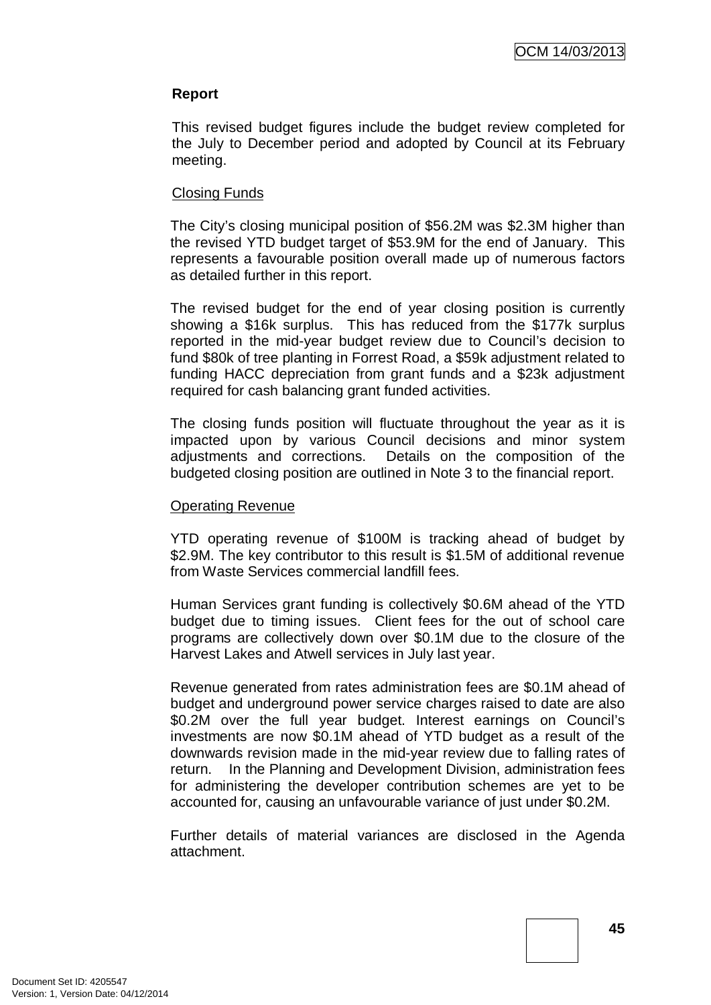#### **Report**

This revised budget figures include the budget review completed for the July to December period and adopted by Council at its February meeting.

#### Closing Funds

The City's closing municipal position of \$56.2M was \$2.3M higher than the revised YTD budget target of \$53.9M for the end of January. This represents a favourable position overall made up of numerous factors as detailed further in this report.

The revised budget for the end of year closing position is currently showing a \$16k surplus. This has reduced from the \$177k surplus reported in the mid-year budget review due to Council's decision to fund \$80k of tree planting in Forrest Road, a \$59k adjustment related to funding HACC depreciation from grant funds and a \$23k adjustment required for cash balancing grant funded activities.

The closing funds position will fluctuate throughout the year as it is impacted upon by various Council decisions and minor system adjustments and corrections. Details on the composition of the budgeted closing position are outlined in Note 3 to the financial report.

#### Operating Revenue

YTD operating revenue of \$100M is tracking ahead of budget by \$2.9M. The key contributor to this result is \$1.5M of additional revenue from Waste Services commercial landfill fees.

Human Services grant funding is collectively \$0.6M ahead of the YTD budget due to timing issues. Client fees for the out of school care programs are collectively down over \$0.1M due to the closure of the Harvest Lakes and Atwell services in July last year.

Revenue generated from rates administration fees are \$0.1M ahead of budget and underground power service charges raised to date are also \$0.2M over the full year budget. Interest earnings on Council's investments are now \$0.1M ahead of YTD budget as a result of the downwards revision made in the mid-year review due to falling rates of return. In the Planning and Development Division, administration fees for administering the developer contribution schemes are yet to be accounted for, causing an unfavourable variance of just under \$0.2M.

Further details of material variances are disclosed in the Agenda attachment.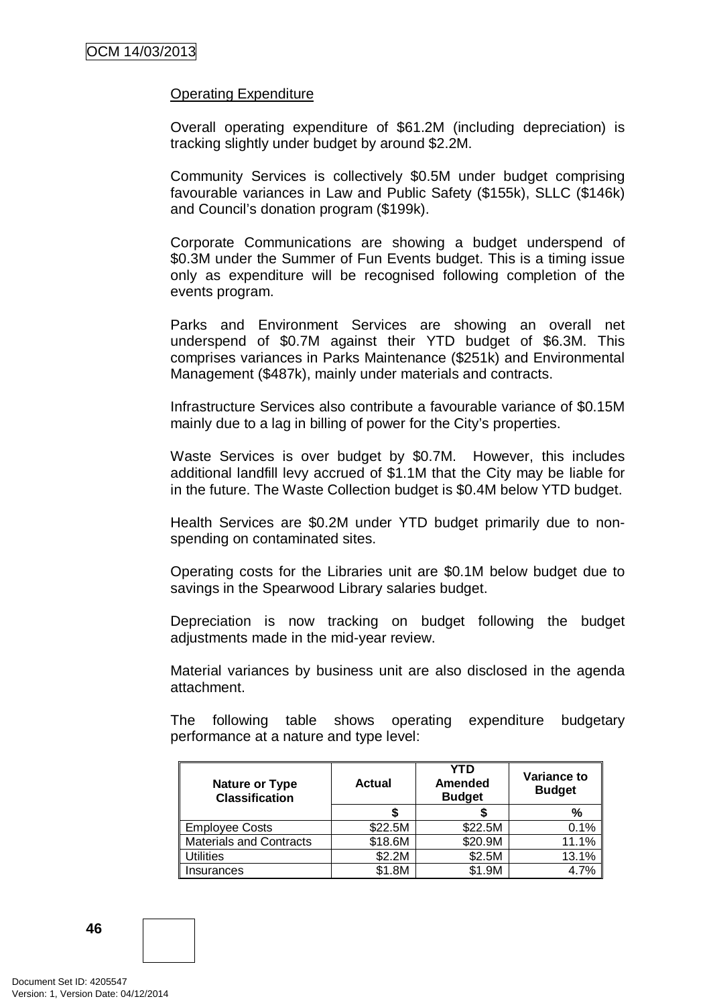#### Operating Expenditure

Overall operating expenditure of \$61.2M (including depreciation) is tracking slightly under budget by around \$2.2M.

Community Services is collectively \$0.5M under budget comprising favourable variances in Law and Public Safety (\$155k), SLLC (\$146k) and Council's donation program (\$199k).

Corporate Communications are showing a budget underspend of \$0.3M under the Summer of Fun Events budget. This is a timing issue only as expenditure will be recognised following completion of the events program.

Parks and Environment Services are showing an overall net underspend of \$0.7M against their YTD budget of \$6.3M. This comprises variances in Parks Maintenance (\$251k) and Environmental Management (\$487k), mainly under materials and contracts.

Infrastructure Services also contribute a favourable variance of \$0.15M mainly due to a lag in billing of power for the City's properties.

Waste Services is over budget by \$0.7M. However, this includes additional landfill levy accrued of \$1.1M that the City may be liable for in the future. The Waste Collection budget is \$0.4M below YTD budget.

Health Services are \$0.2M under YTD budget primarily due to nonspending on contaminated sites.

Operating costs for the Libraries unit are \$0.1M below budget due to savings in the Spearwood Library salaries budget.

Depreciation is now tracking on budget following the budget adjustments made in the mid-year review.

Material variances by business unit are also disclosed in the agenda attachment.

The following table shows operating expenditure budgetary performance at a nature and type level:

| Nature or Type<br><b>Classification</b> | <b>Actual</b> | YTD<br><b>Amended</b><br><b>Budget</b> | <b>Variance to</b><br><b>Budget</b> |
|-----------------------------------------|---------------|----------------------------------------|-------------------------------------|
|                                         |               |                                        | %                                   |
| <b>Employee Costs</b>                   | \$22.5M       | \$22.5M                                | 0.1%                                |
| <b>Materials and Contracts</b>          | \$18.6M       | \$20.9M                                | 11.1%                               |
| <b>Utilities</b>                        | \$2.2M        | \$2.5M                                 | 13.1%                               |
| Insurances                              | \$1.8M        | \$1.9M                                 | 4.7%                                |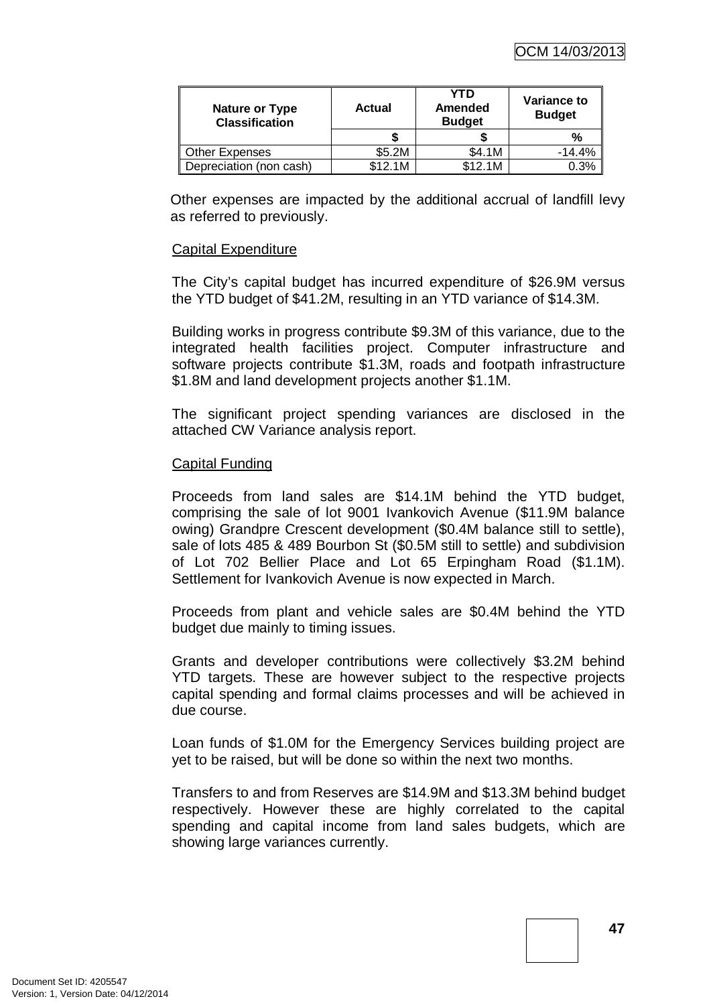| <b>Nature or Type</b><br><b>Classification</b> | Actual  | YTD<br>Amended<br><b>Budget</b> | <b>Variance to</b><br><b>Budget</b> |
|------------------------------------------------|---------|---------------------------------|-------------------------------------|
|                                                |         |                                 | %                                   |
| <b>Other Expenses</b>                          | \$5.2M  | \$4.1M                          | $-14.4%$                            |
| Depreciation (non cash)                        | \$12.1M | \$12.1M                         | 0.3%                                |

Other expenses are impacted by the additional accrual of landfill levy as referred to previously.

#### Capital Expenditure

The City's capital budget has incurred expenditure of \$26.9M versus the YTD budget of \$41.2M, resulting in an YTD variance of \$14.3M.

Building works in progress contribute \$9.3M of this variance, due to the integrated health facilities project. Computer infrastructure and software projects contribute \$1.3M, roads and footpath infrastructure \$1.8M and land development projects another \$1.1M.

The significant project spending variances are disclosed in the attached CW Variance analysis report.

#### Capital Funding

Proceeds from land sales are \$14.1M behind the YTD budget, comprising the sale of lot 9001 Ivankovich Avenue (\$11.9M balance owing) Grandpre Crescent development (\$0.4M balance still to settle), sale of lots 485 & 489 Bourbon St (\$0.5M still to settle) and subdivision of Lot 702 Bellier Place and Lot 65 Erpingham Road (\$1.1M). Settlement for Ivankovich Avenue is now expected in March.

Proceeds from plant and vehicle sales are \$0.4M behind the YTD budget due mainly to timing issues.

Grants and developer contributions were collectively \$3.2M behind YTD targets. These are however subject to the respective projects capital spending and formal claims processes and will be achieved in due course.

Loan funds of \$1.0M for the Emergency Services building project are yet to be raised, but will be done so within the next two months.

Transfers to and from Reserves are \$14.9M and \$13.3M behind budget respectively. However these are highly correlated to the capital spending and capital income from land sales budgets, which are showing large variances currently.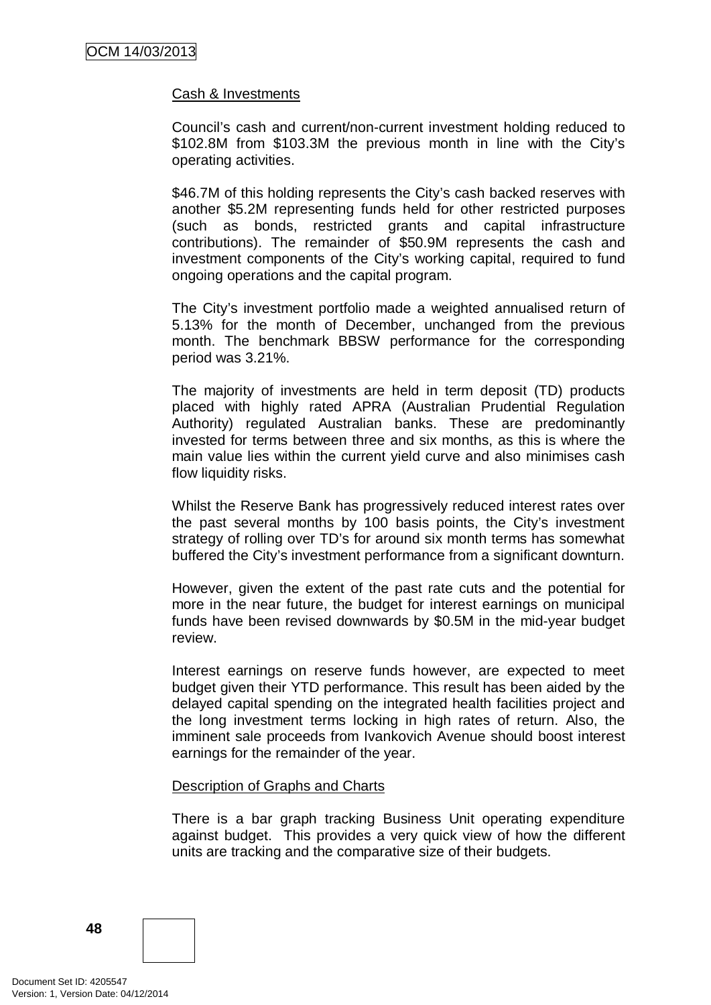#### Cash & Investments

Council's cash and current/non-current investment holding reduced to \$102.8M from \$103.3M the previous month in line with the City's operating activities.

\$46.7M of this holding represents the City's cash backed reserves with another \$5.2M representing funds held for other restricted purposes (such as bonds, restricted grants and capital infrastructure contributions). The remainder of \$50.9M represents the cash and investment components of the City's working capital, required to fund ongoing operations and the capital program.

The City's investment portfolio made a weighted annualised return of 5.13% for the month of December, unchanged from the previous month. The benchmark BBSW performance for the corresponding period was 3.21%.

The majority of investments are held in term deposit (TD) products placed with highly rated APRA (Australian Prudential Regulation Authority) regulated Australian banks. These are predominantly invested for terms between three and six months, as this is where the main value lies within the current yield curve and also minimises cash flow liquidity risks.

Whilst the Reserve Bank has progressively reduced interest rates over the past several months by 100 basis points, the City's investment strategy of rolling over TD's for around six month terms has somewhat buffered the City's investment performance from a significant downturn.

However, given the extent of the past rate cuts and the potential for more in the near future, the budget for interest earnings on municipal funds have been revised downwards by \$0.5M in the mid-year budget review.

Interest earnings on reserve funds however, are expected to meet budget given their YTD performance. This result has been aided by the delayed capital spending on the integrated health facilities project and the long investment terms locking in high rates of return. Also, the imminent sale proceeds from Ivankovich Avenue should boost interest earnings for the remainder of the year.

#### Description of Graphs and Charts

There is a bar graph tracking Business Unit operating expenditure against budget. This provides a very quick view of how the different units are tracking and the comparative size of their budgets.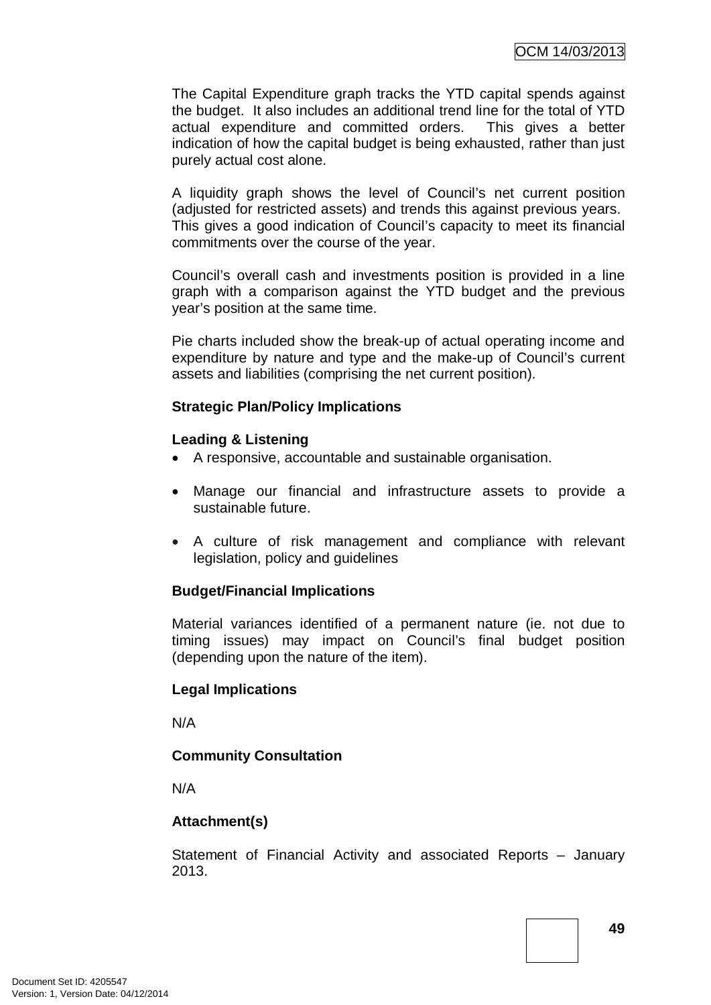The Capital Expenditure graph tracks the YTD capital spends against the budget. It also includes an additional trend line for the total of YTD actual expenditure and committed orders. This gives a better indication of how the capital budget is being exhausted, rather than just purely actual cost alone.

A liquidity graph shows the level of Council's net current position (adjusted for restricted assets) and trends this against previous years. This gives a good indication of Council's capacity to meet its financial commitments over the course of the year.

Council's overall cash and investments position is provided in a line graph with a comparison against the YTD budget and the previous year's position at the same time.

Pie charts included show the break-up of actual operating income and expenditure by nature and type and the make-up of Council's current assets and liabilities (comprising the net current position).

## **Strategic Plan/Policy Implications**

## **Leading & Listening**

- A responsive, accountable and sustainable organisation.
- Manage our financial and infrastructure assets to provide a sustainable future.
- A culture of risk management and compliance with relevant legislation, policy and guidelines

## **Budget/Financial Implications**

Material variances identified of a permanent nature (ie. not due to timing issues) may impact on Council's final budget position (depending upon the nature of the item).

## **Legal Implications**

N/A

## **Community Consultation**

N/A

## **Attachment(s)**

Statement of Financial Activity and associated Reports – January 2013.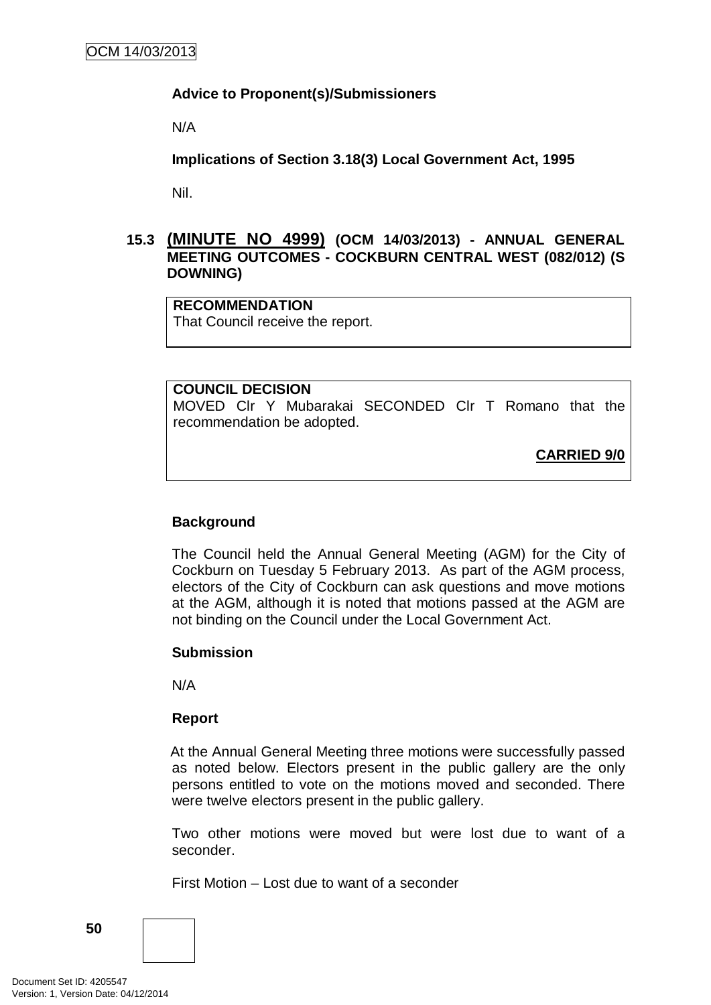#### **Advice to Proponent(s)/Submissioners**

N/A

**Implications of Section 3.18(3) Local Government Act, 1995**

Nil.

## **15.3 (MINUTE NO 4999) (OCM 14/03/2013) - ANNUAL GENERAL MEETING OUTCOMES - COCKBURN CENTRAL WEST (082/012) (S DOWNING)**

**RECOMMENDATION**

That Council receive the report.

## **COUNCIL DECISION**

MOVED Clr Y Mubarakai SECONDED Clr T Romano that the recommendation be adopted.

**CARRIED 9/0**

## **Background**

The Council held the Annual General Meeting (AGM) for the City of Cockburn on Tuesday 5 February 2013. As part of the AGM process, electors of the City of Cockburn can ask questions and move motions at the AGM, although it is noted that motions passed at the AGM are not binding on the Council under the Local Government Act.

#### **Submission**

N/A

#### **Report**

At the Annual General Meeting three motions were successfully passed as noted below. Electors present in the public gallery are the only persons entitled to vote on the motions moved and seconded. There were twelve electors present in the public gallery.

Two other motions were moved but were lost due to want of a seconder.

First Motion – Lost due to want of a seconder

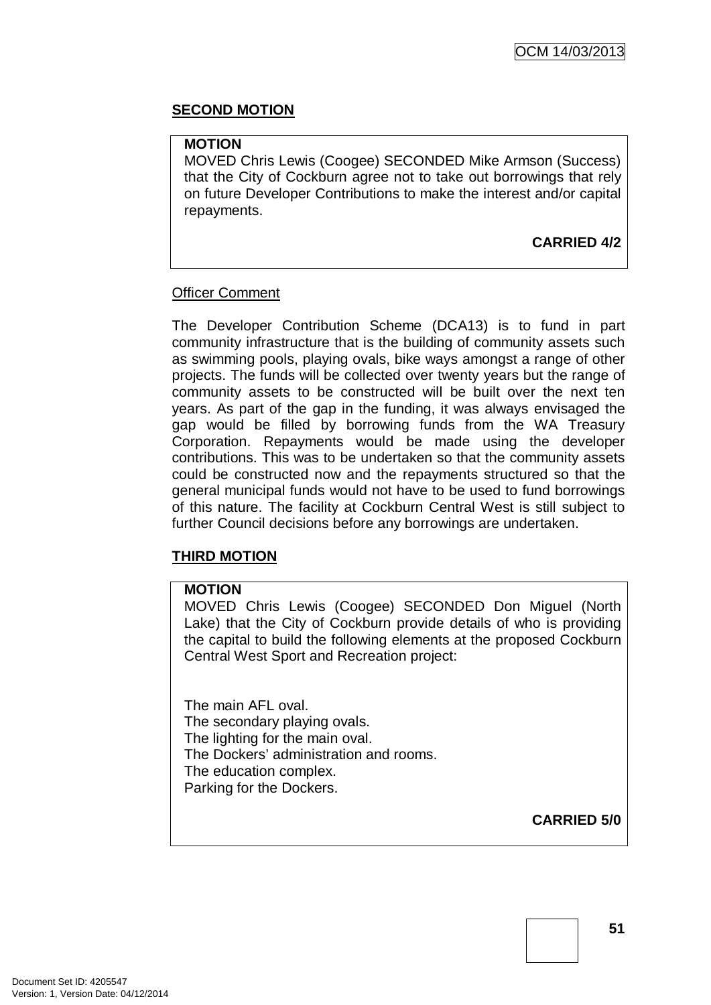## **SECOND MOTION**

#### **MOTION**

MOVED Chris Lewis (Coogee) SECONDED Mike Armson (Success) that the City of Cockburn agree not to take out borrowings that rely on future Developer Contributions to make the interest and/or capital repayments.

**CARRIED 4/2**

## Officer Comment

The Developer Contribution Scheme (DCA13) is to fund in part community infrastructure that is the building of community assets such as swimming pools, playing ovals, bike ways amongst a range of other projects. The funds will be collected over twenty years but the range of community assets to be constructed will be built over the next ten years. As part of the gap in the funding, it was always envisaged the gap would be filled by borrowing funds from the WA Treasury Corporation. Repayments would be made using the developer contributions. This was to be undertaken so that the community assets could be constructed now and the repayments structured so that the general municipal funds would not have to be used to fund borrowings of this nature. The facility at Cockburn Central West is still subject to further Council decisions before any borrowings are undertaken.

## **THIRD MOTION**

## **MOTION**

MOVED Chris Lewis (Coogee) SECONDED Don Miguel (North Lake) that the City of Cockburn provide details of who is providing the capital to build the following elements at the proposed Cockburn Central West Sport and Recreation project:

The main AFL oval. The secondary playing ovals. The lighting for the main oval. The Dockers' administration and rooms. The education complex. Parking for the Dockers.

**CARRIED 5/0**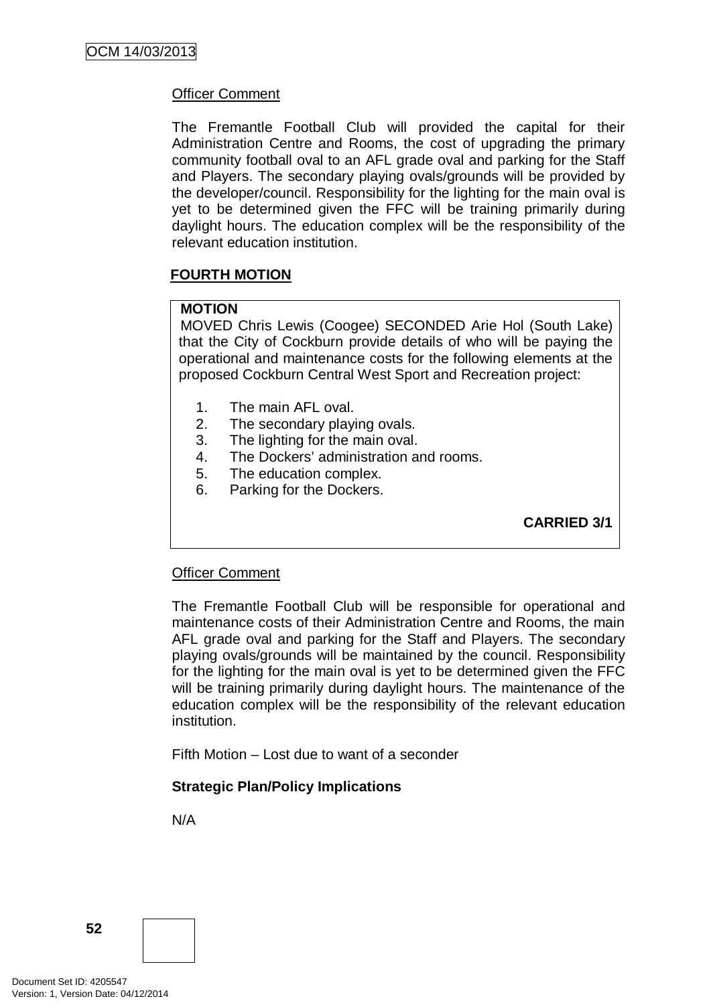## Officer Comment

The Fremantle Football Club will provided the capital for their Administration Centre and Rooms, the cost of upgrading the primary community football oval to an AFL grade oval and parking for the Staff and Players. The secondary playing ovals/grounds will be provided by the developer/council. Responsibility for the lighting for the main oval is yet to be determined given the FFC will be training primarily during daylight hours. The education complex will be the responsibility of the relevant education institution.

## **FOURTH MOTION**

## **MOTION**

MOVED Chris Lewis (Coogee) SECONDED Arie Hol (South Lake) that the City of Cockburn provide details of who will be paying the operational and maintenance costs for the following elements at the proposed Cockburn Central West Sport and Recreation project:

- 1. The main AFL oval.
- 2. The secondary playing ovals.
- 3. The lighting for the main oval.
- 4. The Dockers' administration and rooms.
- 5. The education complex.
- 6. Parking for the Dockers.

**CARRIED 3/1**

## Officer Comment

The Fremantle Football Club will be responsible for operational and maintenance costs of their Administration Centre and Rooms, the main AFL grade oval and parking for the Staff and Players. The secondary playing ovals/grounds will be maintained by the council. Responsibility for the lighting for the main oval is yet to be determined given the FFC will be training primarily during daylight hours. The maintenance of the education complex will be the responsibility of the relevant education institution.

Fifth Motion – Lost due to want of a seconder

## **Strategic Plan/Policy Implications**

N/A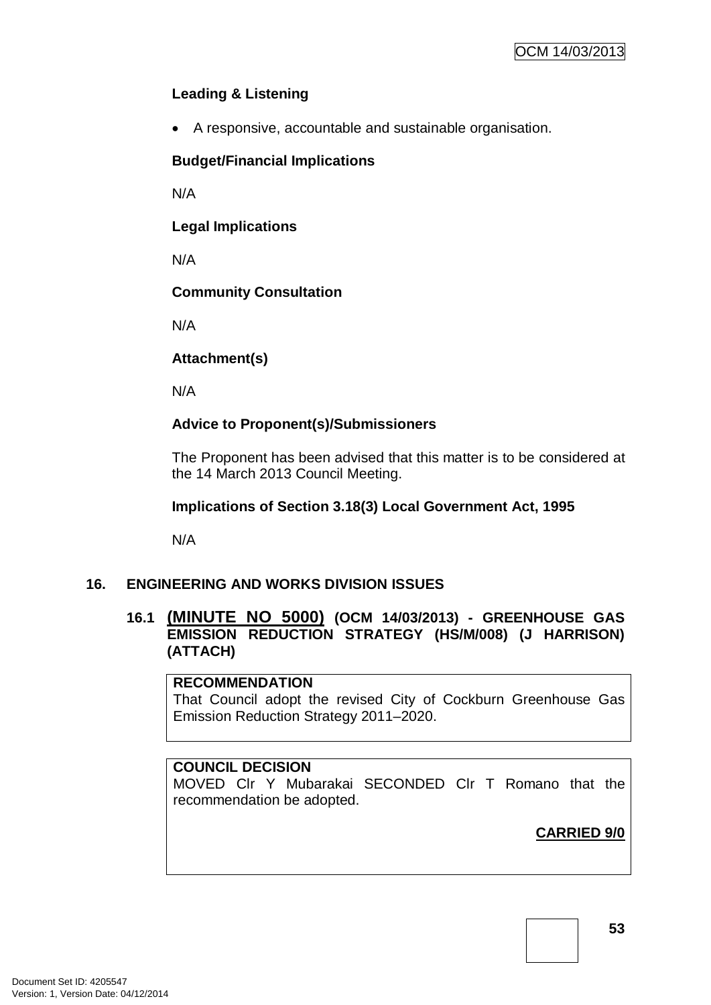## **Leading & Listening**

• A responsive, accountable and sustainable organisation.

## **Budget/Financial Implications**

N/A

**Legal Implications**

N/A

## **Community Consultation**

N/A

## **Attachment(s)**

N/A

## **Advice to Proponent(s)/Submissioners**

The Proponent has been advised that this matter is to be considered at the 14 March 2013 Council Meeting.

## **Implications of Section 3.18(3) Local Government Act, 1995**

N/A

## **16. ENGINEERING AND WORKS DIVISION ISSUES**

## **16.1 (MINUTE NO 5000) (OCM 14/03/2013) - GREENHOUSE GAS EMISSION REDUCTION STRATEGY (HS/M/008) (J HARRISON) (ATTACH)**

## **RECOMMENDATION**

That Council adopt the revised City of Cockburn Greenhouse Gas Emission Reduction Strategy 2011–2020.

## **COUNCIL DECISION**

MOVED Clr Y Mubarakai SECONDED Clr T Romano that the recommendation be adopted.

**CARRIED 9/0**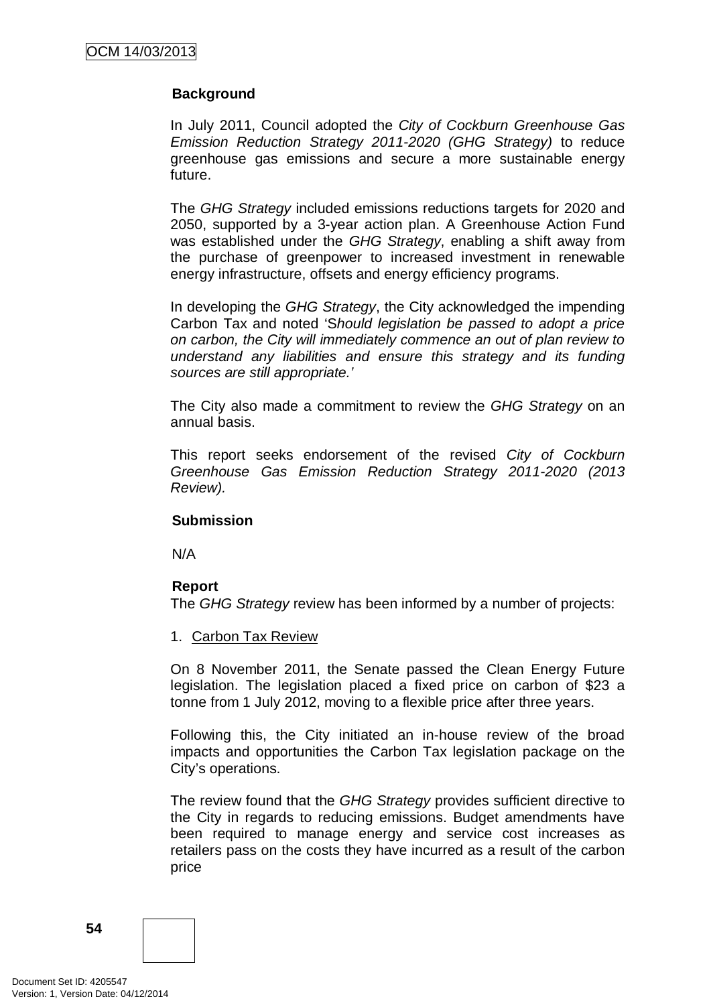## **Background**

In July 2011, Council adopted the *City of Cockburn Greenhouse Gas Emission Reduction Strategy 2011-2020 (GHG Strategy)* to reduce greenhouse gas emissions and secure a more sustainable energy future.

The *GHG Strategy* included emissions reductions targets for 2020 and 2050, supported by a 3-year action plan. A Greenhouse Action Fund was established under the *GHG Strategy*, enabling a shift away from the purchase of greenpower to increased investment in renewable energy infrastructure, offsets and energy efficiency programs.

In developing the *GHG Strategy*, the City acknowledged the impending Carbon Tax and noted 'S*hould legislation be passed to adopt a price on carbon, the City will immediately commence an out of plan review to understand any liabilities and ensure this strategy and its funding sources are still appropriate.'*

The City also made a commitment to review the *GHG Strategy* on an annual basis.

This report seeks endorsement of the revised *City of Cockburn Greenhouse Gas Emission Reduction Strategy 2011-2020 (2013 Review).*

#### **Submission**

N/A

## **Report**

The *GHG Strategy* review has been informed by a number of projects:

1. Carbon Tax Review

On 8 November 2011, the Senate passed the Clean Energy Future legislation. The legislation placed a fixed price on carbon of \$23 a tonne from 1 July 2012, moving to a flexible price after three years.

Following this, the City initiated an in-house review of the broad impacts and opportunities the Carbon Tax legislation package on the City's operations.

The review found that the *GHG Strategy* provides sufficient directive to the City in regards to reducing emissions. Budget amendments have been required to manage energy and service cost increases as retailers pass on the costs they have incurred as a result of the carbon price

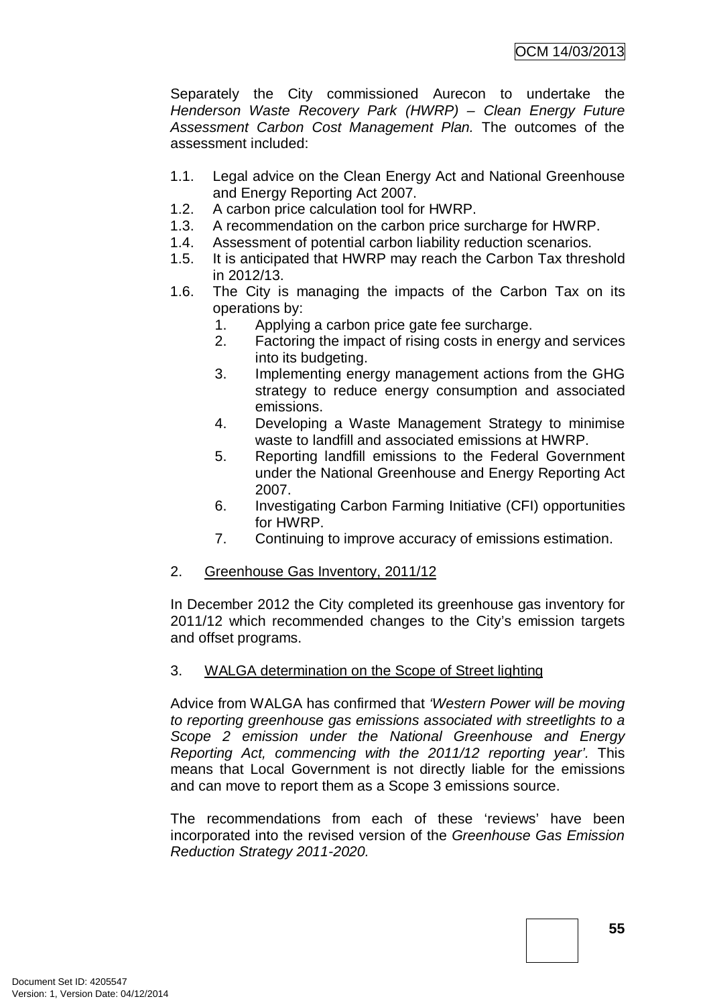Separately the City commissioned Aurecon to undertake the *Henderson Waste Recovery Park (HWRP) – Clean Energy Future Assessment Carbon Cost Management Plan.* The outcomes of the assessment included:

- 1.1. Legal advice on the Clean Energy Act and National Greenhouse and Energy Reporting Act 2007.
- 1.2. A carbon price calculation tool for HWRP.
- 1.3. A recommendation on the carbon price surcharge for HWRP.<br>1.4. Assessment of potential carbon liability reduction scenarios.
- Assessment of potential carbon liability reduction scenarios.
- 1.5. It is anticipated that HWRP may reach the Carbon Tax threshold in 2012/13.
- 1.6. The City is managing the impacts of the Carbon Tax on its operations by:
	- 1. Applying a carbon price gate fee surcharge.
	- 2. Factoring the impact of rising costs in energy and services into its budgeting.
	- 3. Implementing energy management actions from the GHG strategy to reduce energy consumption and associated emissions.
	- 4. Developing a Waste Management Strategy to minimise waste to landfill and associated emissions at HWRP.
	- 5. Reporting landfill emissions to the Federal Government under the National Greenhouse and Energy Reporting Act 2007.
	- 6. Investigating Carbon Farming Initiative (CFI) opportunities for HWRP.
	- 7. Continuing to improve accuracy of emissions estimation.

## 2. Greenhouse Gas Inventory, 2011/12

In December 2012 the City completed its greenhouse gas inventory for 2011/12 which recommended changes to the City's emission targets and offset programs.

## 3. WALGA determination on the Scope of Street lighting

Advice from WALGA has confirmed that *'Western Power will be moving to reporting greenhouse gas emissions associated with streetlights to a Scope 2 emission under the National Greenhouse and Energy Reporting Act, commencing with the 2011/12 reporting year'.* This means that Local Government is not directly liable for the emissions and can move to report them as a Scope 3 emissions source.

The recommendations from each of these 'reviews' have been incorporated into the revised version of the *Greenhouse Gas Emission Reduction Strategy 2011-2020.*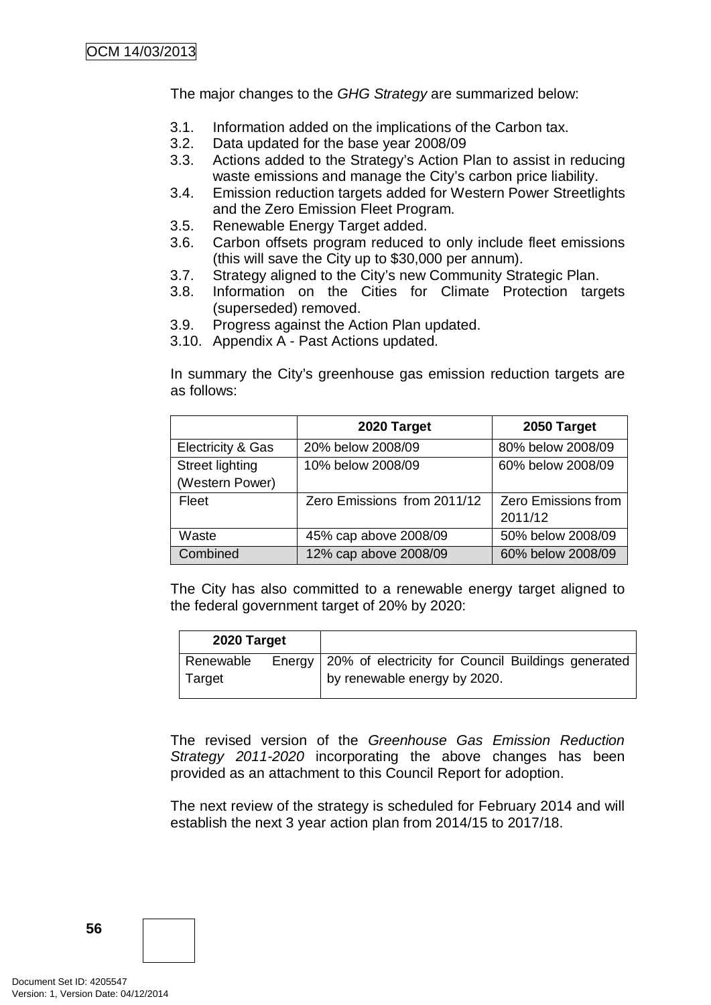The major changes to the *GHG Strategy* are summarized below:

- 3.1. Information added on the implications of the Carbon tax.
- 3.2. Data updated for the base year 2008/09
- 3.3. Actions added to the Strategy's Action Plan to assist in reducing waste emissions and manage the City's carbon price liability.
- 3.4. Emission reduction targets added for Western Power Streetlights and the Zero Emission Fleet Program.
- 3.5. Renewable Energy Target added.
- 3.6. Carbon offsets program reduced to only include fleet emissions (this will save the City up to \$30,000 per annum).
- 3.7. Strategy aligned to the City's new Community Strategic Plan.
- 3.8. Information on the Cities for Climate Protection targets (superseded) removed.
- 3.9. Progress against the Action Plan updated.
- 3.10. Appendix A Past Actions updated.

In summary the City's greenhouse gas emission reduction targets are as follows:

|                              | 2020 Target                 | 2050 Target                |
|------------------------------|-----------------------------|----------------------------|
| <b>Electricity &amp; Gas</b> | 20% below 2008/09           | 80% below 2008/09          |
| <b>Street lighting</b>       | 10% below 2008/09           | 60% below 2008/09          |
| (Western Power)              |                             |                            |
| Fleet                        | Zero Emissions from 2011/12 | <b>Zero Emissions from</b> |
|                              |                             | 2011/12                    |
| Waste                        | 45% cap above 2008/09       | 50% below 2008/09          |
| Combined                     | 12% cap above 2008/09       | 60% below 2008/09          |

The City has also committed to a renewable energy target aligned to the federal government target of 20% by 2020:

| 2020 Target         |                                                                                           |
|---------------------|-------------------------------------------------------------------------------------------|
| Renewable<br>Target | Energy 20% of electricity for Council Buildings generated<br>by renewable energy by 2020. |

The revised version of the *Greenhouse Gas Emission Reduction Strategy 2011-2020* incorporating the above changes has been provided as an attachment to this Council Report for adoption.

The next review of the strategy is scheduled for February 2014 and will establish the next 3 year action plan from 2014/15 to 2017/18.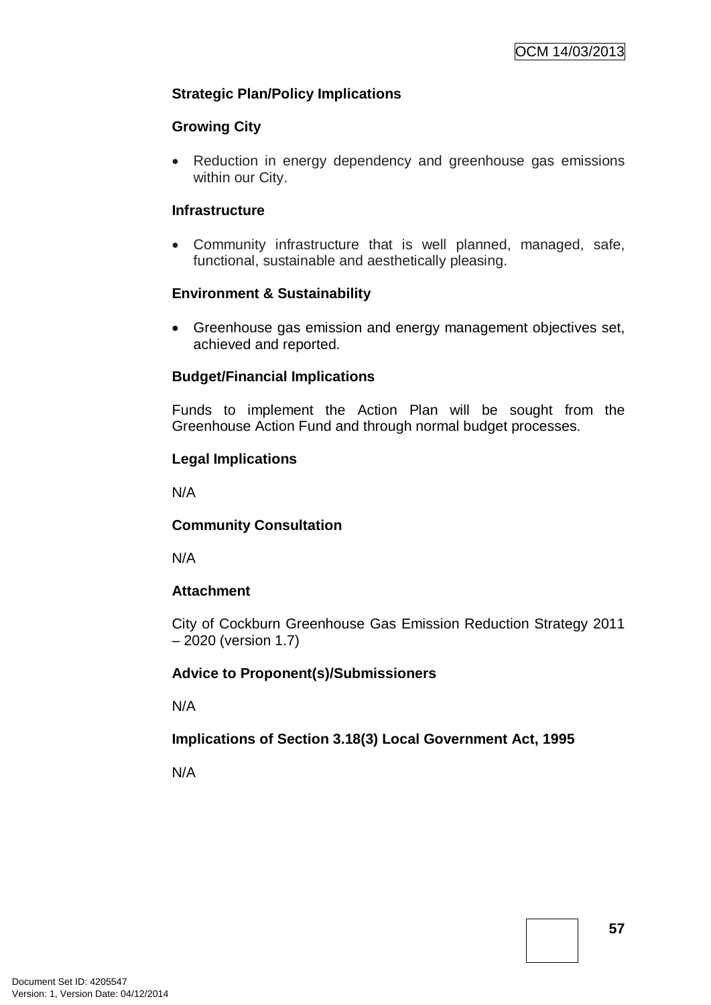## **Strategic Plan/Policy Implications**

## **Growing City**

• Reduction in energy dependency and greenhouse gas emissions within our City.

#### **Infrastructure**

• Community infrastructure that is well planned, managed, safe, functional, sustainable and aesthetically pleasing.

## **Environment & Sustainability**

• Greenhouse gas emission and energy management objectives set, achieved and reported.

## **Budget/Financial Implications**

Funds to implement the Action Plan will be sought from the Greenhouse Action Fund and through normal budget processes.

## **Legal Implications**

N/A

## **Community Consultation**

N/A

## **Attachment**

City of Cockburn Greenhouse Gas Emission Reduction Strategy 2011 – 2020 (version 1.7)

## **Advice to Proponent(s)/Submissioners**

N/A

## **Implications of Section 3.18(3) Local Government Act, 1995**

N/A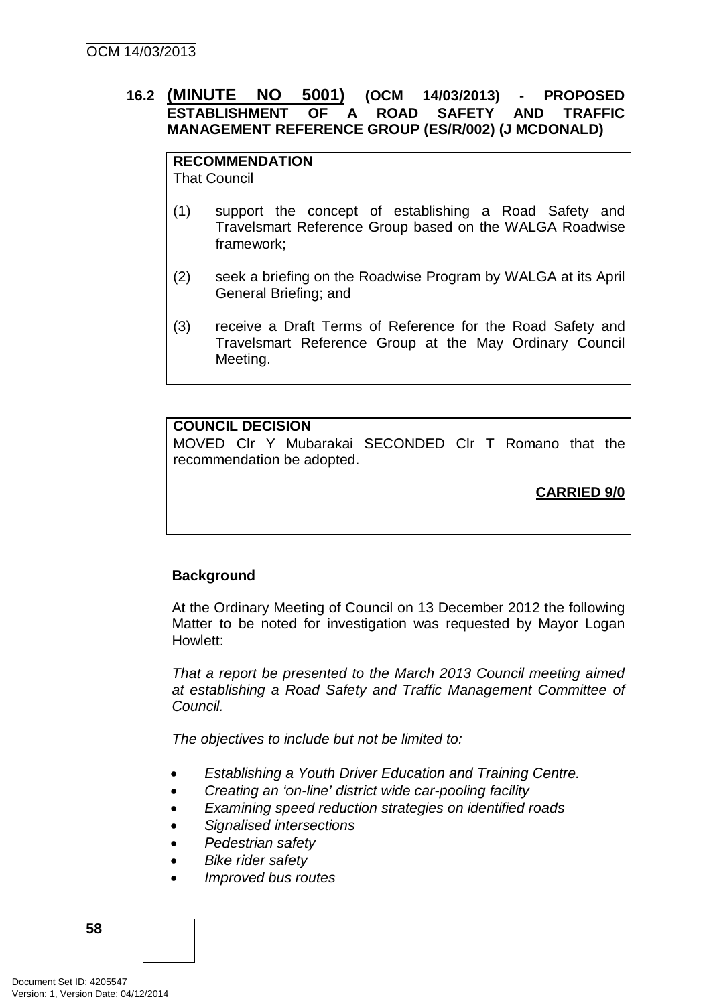## **16.2 (MINUTE NO 5001) (OCM 14/03/2013) - PROPOSED ESTABLISHMENT MANAGEMENT REFERENCE GROUP (ES/R/002) (J MCDONALD)**

# **RECOMMENDATION**

That Council

- (1) support the concept of establishing a Road Safety and Travelsmart Reference Group based on the WALGA Roadwise framework;
- (2) seek a briefing on the Roadwise Program by WALGA at its April General Briefing; and
- (3) receive a Draft Terms of Reference for the Road Safety and Travelsmart Reference Group at the May Ordinary Council Meeting.

## **COUNCIL DECISION**

MOVED Clr Y Mubarakai SECONDED Clr T Romano that the recommendation be adopted.

**CARRIED 9/0**

## **Background**

At the Ordinary Meeting of Council on 13 December 2012 the following Matter to be noted for investigation was requested by Mayor Logan Howlett:

*That a report be presented to the March 2013 Council meeting aimed at establishing a Road Safety and Traffic Management Committee of Council.* 

*The objectives to include but not be limited to:*

- *Establishing a Youth Driver Education and Training Centre.*
- *Creating an 'on-line' district wide car-pooling facility*
- *Examining speed reduction strategies on identified roads*
- *Signalised intersections*
- *Pedestrian safety*
- *Bike rider safety*
- *Improved bus routes*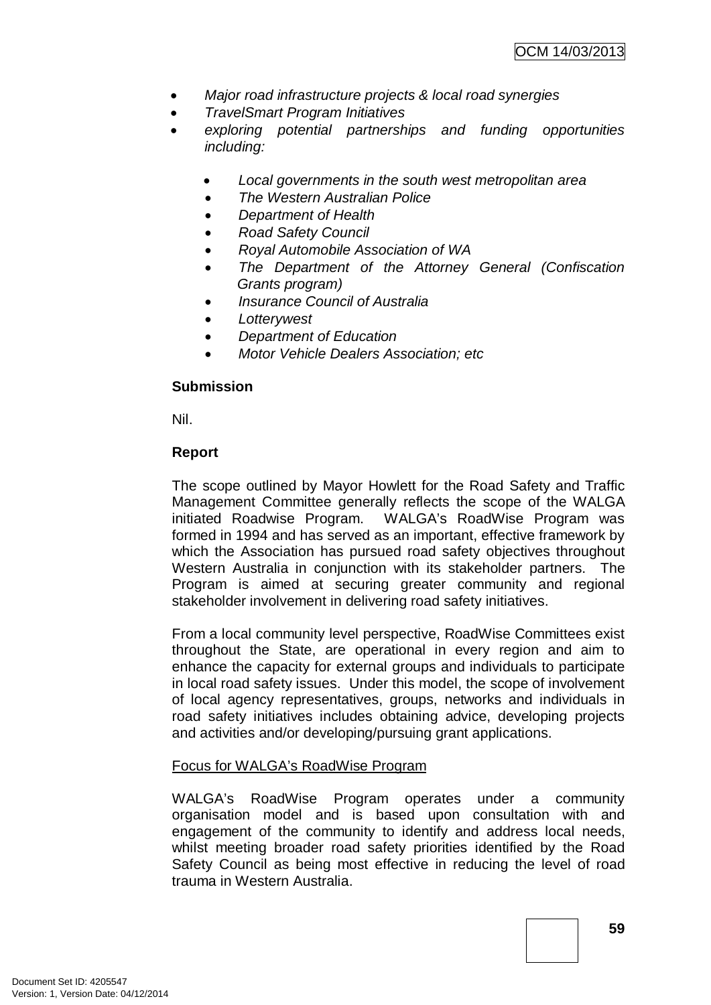- *Major road infrastructure projects & local road synergies*
- *TravelSmart Program Initiatives*
- *exploring potential partnerships and funding opportunities including:*
	- *Local governments in the south west metropolitan area*
	- *The Western Australian Police*
	- *Department of Health*
	- *Road Safety Council*
	- *Royal Automobile Association of WA*
	- *The Department of the Attorney General (Confiscation Grants program)*
	- *Insurance Council of Australia*
	- *Lotterywest*
	- *Department of Education*
	- *Motor Vehicle Dealers Association; etc*

## **Submission**

Nil.

## **Report**

The scope outlined by Mayor Howlett for the Road Safety and Traffic Management Committee generally reflects the scope of the WALGA initiated Roadwise Program. WALGA's RoadWise Program was formed in 1994 and has served as an important, effective framework by which the Association has pursued road safety objectives throughout Western Australia in conjunction with its stakeholder partners. The Program is aimed at securing greater community and regional stakeholder involvement in delivering road safety initiatives.

From a local community level perspective, RoadWise Committees exist throughout the State, are operational in every region and aim to enhance the capacity for external groups and individuals to participate in local road safety issues. Under this model, the scope of involvement of local agency representatives, groups, networks and individuals in road safety initiatives includes obtaining advice, developing projects and activities and/or developing/pursuing grant applications.

## Focus for WALGA's RoadWise Program

WALGA's RoadWise Program operates under a community organisation model and is based upon consultation with and engagement of the community to identify and address local needs, whilst meeting broader road safety priorities identified by the Road Safety Council as being most effective in reducing the level of road trauma in Western Australia.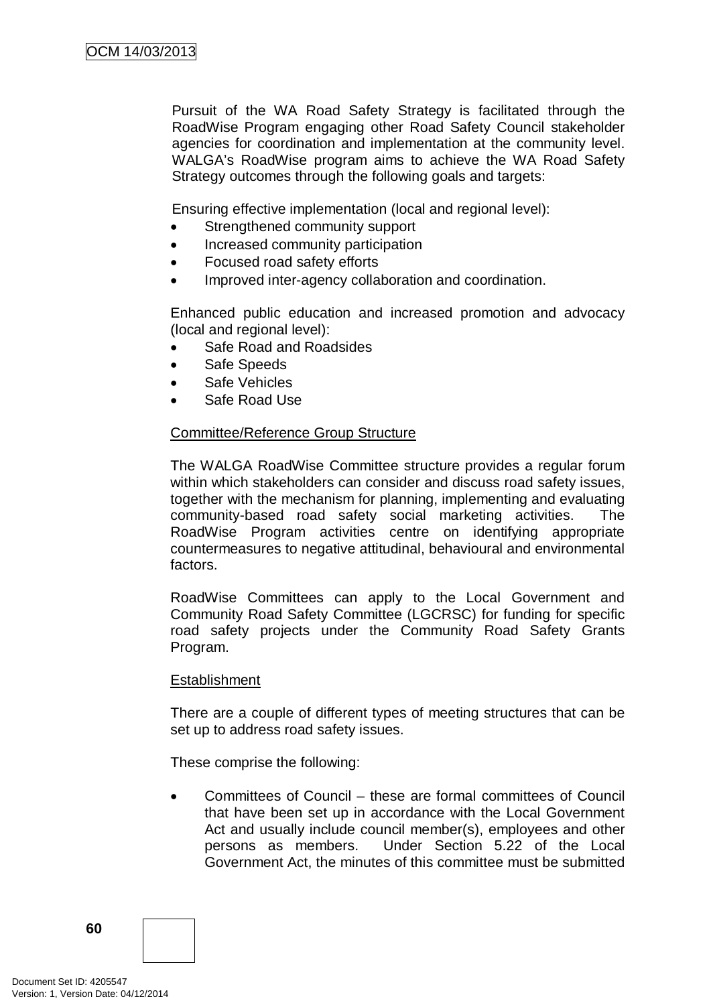Pursuit of the WA Road Safety Strategy is facilitated through the RoadWise Program engaging other Road Safety Council stakeholder agencies for coordination and implementation at the community level. WALGA's RoadWise program aims to achieve the WA Road Safety Strategy outcomes through the following goals and targets:

Ensuring effective implementation (local and regional level):

- Strengthened community support
- Increased community participation
- Focused road safety efforts
- Improved inter-agency collaboration and coordination.

Enhanced public education and increased promotion and advocacy (local and regional level):

- Safe Road and Roadsides
- Safe Speeds
- Safe Vehicles
- Safe Road Use

## Committee/Reference Group Structure

The WALGA RoadWise Committee structure provides a regular forum within which stakeholders can consider and discuss road safety issues, together with the mechanism for planning, implementing and evaluating community-based road safety social marketing activities. The RoadWise Program activities centre on identifying appropriate countermeasures to negative attitudinal, behavioural and environmental factors.

RoadWise Committees can apply to the Local Government and Community Road Safety Committee (LGCRSC) for funding for specific road safety projects under the Community Road Safety Grants Program.

## **Establishment**

There are a couple of different types of meeting structures that can be set up to address road safety issues.

These comprise the following:

• Committees of Council – these are formal committees of Council that have been set up in accordance with the Local Government Act and usually include council member(s), employees and other persons as members. Under Section 5.22 of the Local Government Act, the minutes of this committee must be submitted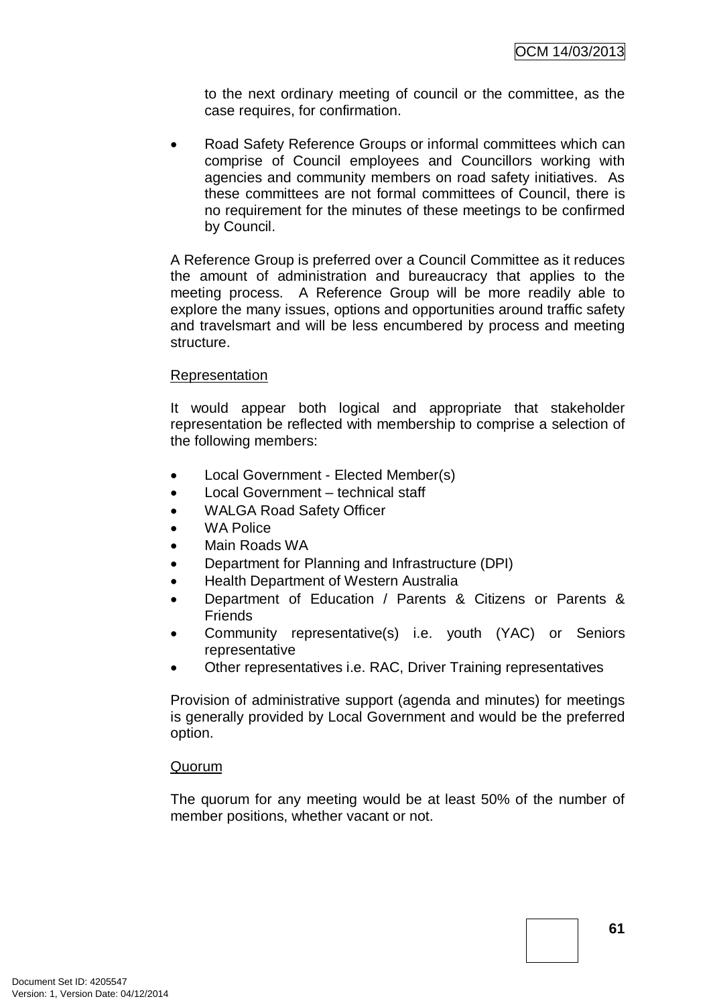to the next ordinary meeting of council or the committee, as the case requires, for confirmation.

• Road Safety Reference Groups or informal committees which can comprise of Council employees and Councillors working with agencies and community members on road safety initiatives. As these committees are not formal committees of Council, there is no requirement for the minutes of these meetings to be confirmed by Council.

A Reference Group is preferred over a Council Committee as it reduces the amount of administration and bureaucracy that applies to the meeting process. A Reference Group will be more readily able to explore the many issues, options and opportunities around traffic safety and travelsmart and will be less encumbered by process and meeting structure.

#### Representation

It would appear both logical and appropriate that stakeholder representation be reflected with membership to comprise a selection of the following members:

- Local Government Elected Member(s)
- Local Government technical staff
- WALGA Road Safety Officer
- WA Police
- Main Roads WA
- Department for Planning and Infrastructure (DPI)
- Health Department of Western Australia
- Department of Education / Parents & Citizens or Parents & **Friends**
- Community representative(s) i.e. youth (YAC) or Seniors representative
- Other representatives i.e. RAC, Driver Training representatives

Provision of administrative support (agenda and minutes) for meetings is generally provided by Local Government and would be the preferred option.

#### Quorum

The quorum for any meeting would be at least 50% of the number of member positions, whether vacant or not.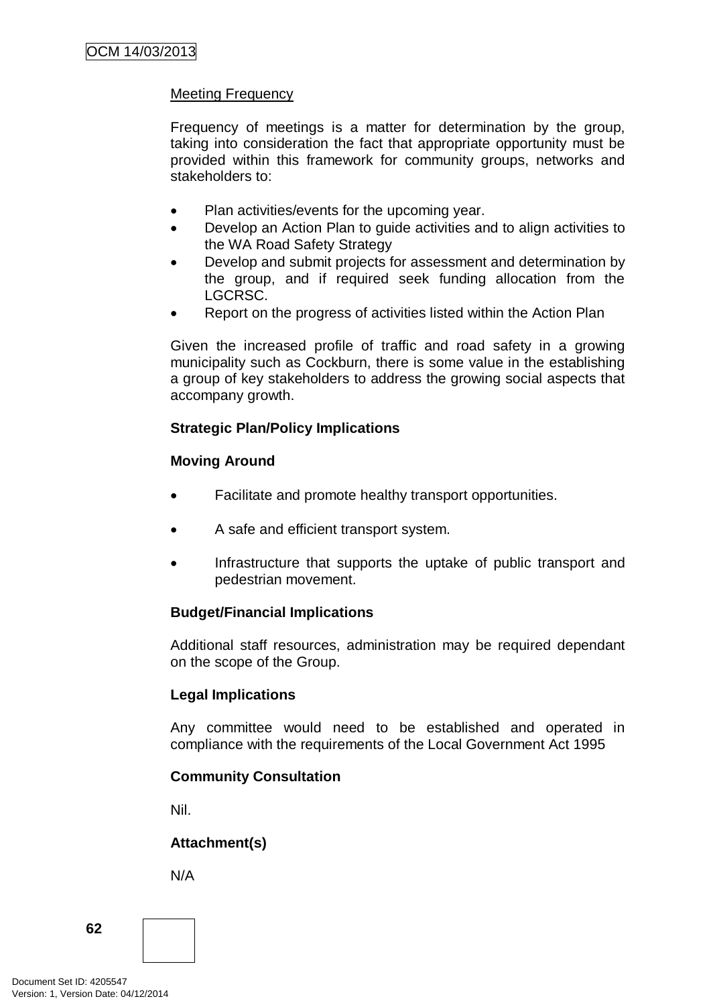## Meeting Frequency

Frequency of meetings is a matter for determination by the group, taking into consideration the fact that appropriate opportunity must be provided within this framework for community groups, networks and stakeholders to:

- Plan activities/events for the upcoming year.
- Develop an Action Plan to guide activities and to align activities to the WA Road Safety Strategy
- Develop and submit projects for assessment and determination by the group, and if required seek funding allocation from the LGCRSC.
- Report on the progress of activities listed within the Action Plan

Given the increased profile of traffic and road safety in a growing municipality such as Cockburn, there is some value in the establishing a group of key stakeholders to address the growing social aspects that accompany growth.

## **Strategic Plan/Policy Implications**

## **Moving Around**

- Facilitate and promote healthy transport opportunities.
- A safe and efficient transport system.
- Infrastructure that supports the uptake of public transport and pedestrian movement.

## **Budget/Financial Implications**

Additional staff resources, administration may be required dependant on the scope of the Group.

## **Legal Implications**

Any committee would need to be established and operated in compliance with the requirements of the Local Government Act 1995

## **Community Consultation**

Nil.

## **Attachment(s)**

N/A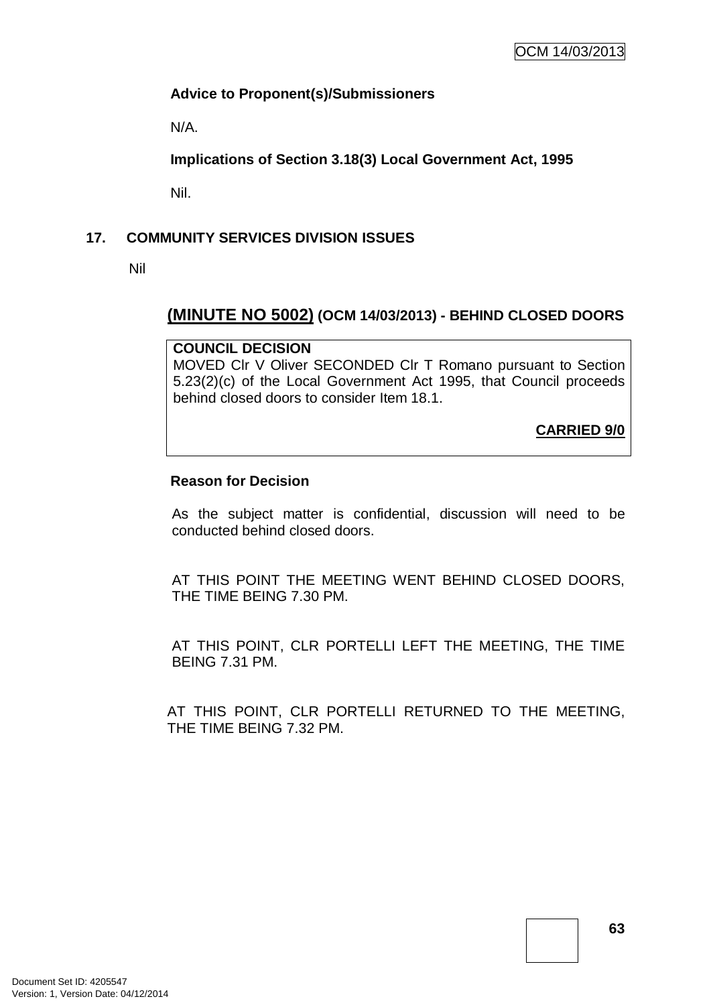## **Advice to Proponent(s)/Submissioners**

N/A.

**Implications of Section 3.18(3) Local Government Act, 1995**

Nil.

## **17. COMMUNITY SERVICES DIVISION ISSUES**

Nil

## **(MINUTE NO 5002) (OCM 14/03/2013) - BEHIND CLOSED DOORS**

#### **COUNCIL DECISION**

MOVED Clr V Oliver SECONDED Clr T Romano pursuant to Section 5.23(2)(c) of the Local Government Act 1995, that Council proceeds behind closed doors to consider Item 18.1.

**CARRIED 9/0**

#### **Reason for Decision**

As the subject matter is confidential, discussion will need to be conducted behind closed doors.

AT THIS POINT THE MEETING WENT BEHIND CLOSED DOORS, THE TIME BEING 7.30 PM.

AT THIS POINT, CLR PORTELLI LEFT THE MEETING, THE TIME BEING 7.31 PM.

AT THIS POINT, CLR PORTELLI RETURNED TO THE MEETING, THE TIME BEING 7.32 PM.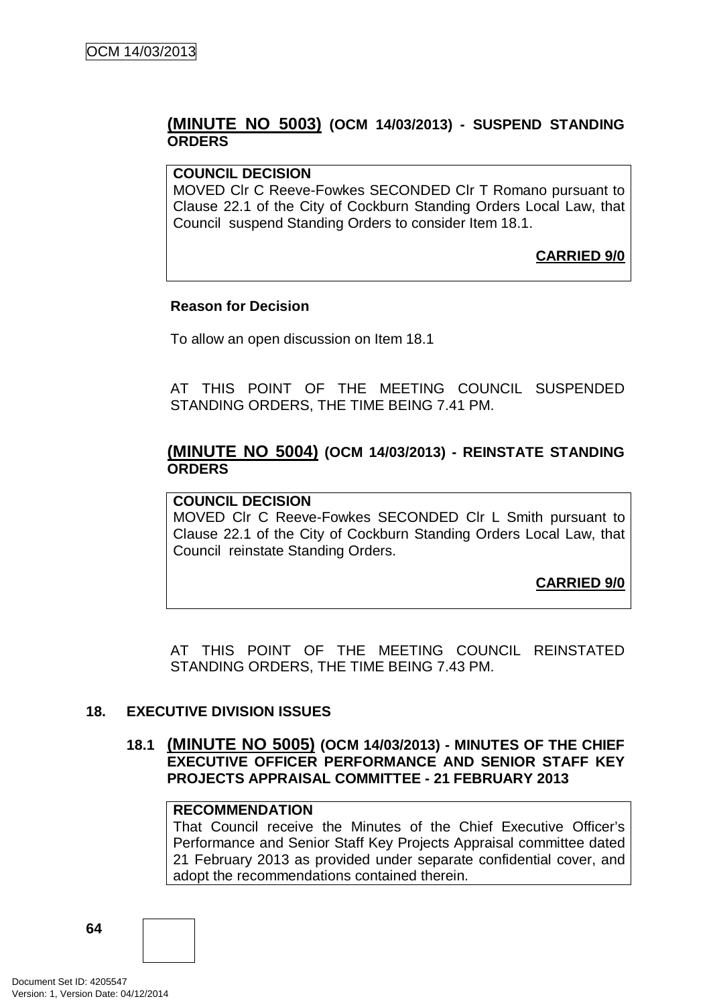## **(MINUTE NO 5003) (OCM 14/03/2013) - SUSPEND STANDING ORDERS**

#### **COUNCIL DECISION**

MOVED Clr C Reeve-Fowkes SECONDED Clr T Romano pursuant to Clause 22.1 of the City of Cockburn Standing Orders Local Law, that Council suspend Standing Orders to consider Item 18.1.

**CARRIED 9/0**

## **Reason for Decision**

To allow an open discussion on Item 18.1

AT THIS POINT OF THE MEETING COUNCIL SUSPENDED STANDING ORDERS, THE TIME BEING 7.41 PM.

## **(MINUTE NO 5004) (OCM 14/03/2013) - REINSTATE STANDING ORDERS**

#### **COUNCIL DECISION**

MOVED Clr C Reeve-Fowkes SECONDED Clr L Smith pursuant to Clause 22.1 of the City of Cockburn Standing Orders Local Law, that Council reinstate Standing Orders.

**CARRIED 9/0**

AT THIS POINT OF THE MEETING COUNCIL REINSTATED STANDING ORDERS, THE TIME BEING 7.43 PM.

## **18. EXECUTIVE DIVISION ISSUES**

**18.1 (MINUTE NO 5005) (OCM 14/03/2013) - MINUTES OF THE CHIEF EXECUTIVE OFFICER PERFORMANCE AND SENIOR STAFF KEY PROJECTS APPRAISAL COMMITTEE - 21 FEBRUARY 2013**

## **RECOMMENDATION**

That Council receive the Minutes of the Chief Executive Officer's Performance and Senior Staff Key Projects Appraisal committee dated 21 February 2013 as provided under separate confidential cover, and adopt the recommendations contained therein.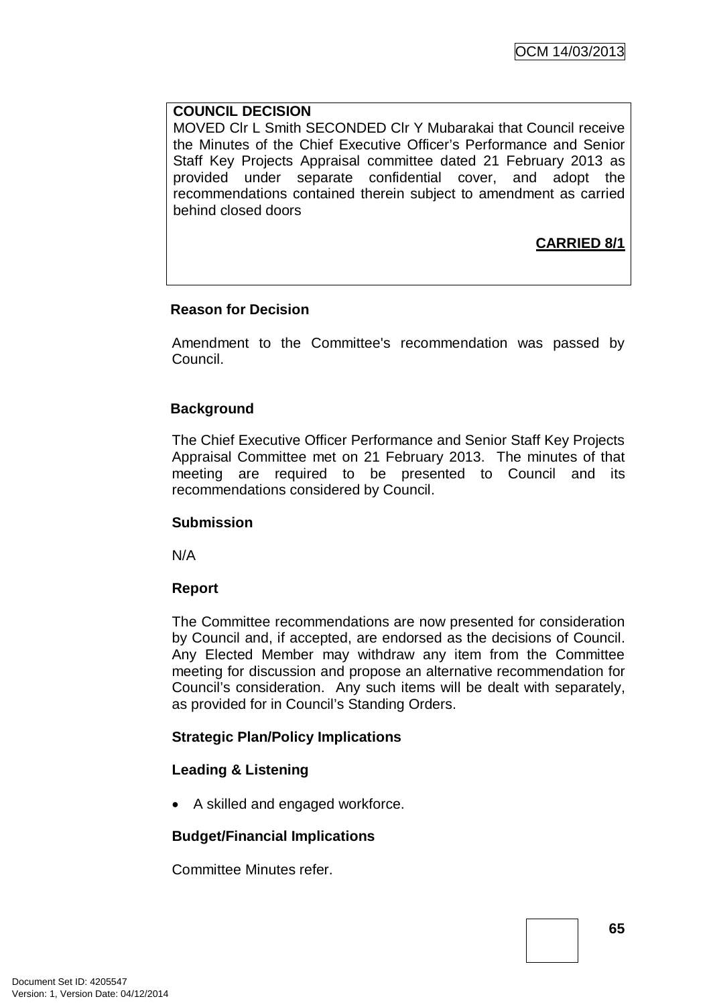#### **COUNCIL DECISION**

MOVED Clr L Smith SECONDED Clr Y Mubarakai that Council receive the Minutes of the Chief Executive Officer's Performance and Senior Staff Key Projects Appraisal committee dated 21 February 2013 as provided under separate confidential cover, and adopt the recommendations contained therein subject to amendment as carried behind closed doors

**CARRIED 8/1**

#### **Reason for Decision**

Amendment to the Committee's recommendation was passed by Council.

#### **Background**

The Chief Executive Officer Performance and Senior Staff Key Projects Appraisal Committee met on 21 February 2013. The minutes of that meeting are required to be presented to Council and its recommendations considered by Council.

#### **Submission**

N/A

## **Report**

The Committee recommendations are now presented for consideration by Council and, if accepted, are endorsed as the decisions of Council. Any Elected Member may withdraw any item from the Committee meeting for discussion and propose an alternative recommendation for Council's consideration. Any such items will be dealt with separately, as provided for in Council's Standing Orders.

## **Strategic Plan/Policy Implications**

## **Leading & Listening**

• A skilled and engaged workforce.

## **Budget/Financial Implications**

Committee Minutes refer.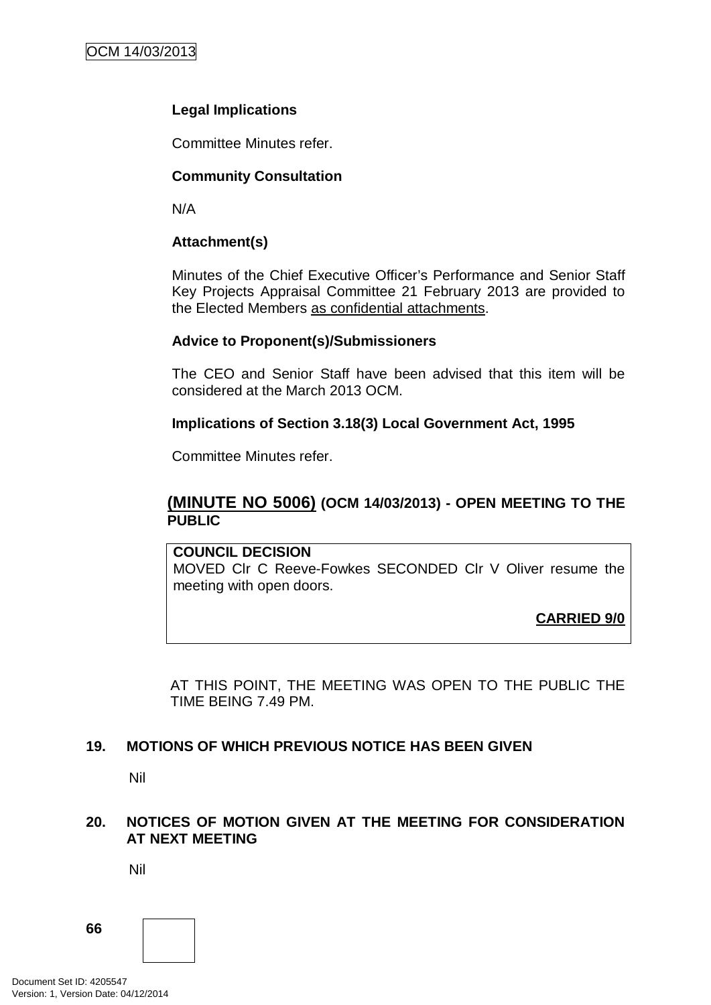## **Legal Implications**

Committee Minutes refer.

## **Community Consultation**

N/A

## **Attachment(s)**

Minutes of the Chief Executive Officer's Performance and Senior Staff Key Projects Appraisal Committee 21 February 2013 are provided to the Elected Members as confidential attachments.

## **Advice to Proponent(s)/Submissioners**

The CEO and Senior Staff have been advised that this item will be considered at the March 2013 OCM.

## **Implications of Section 3.18(3) Local Government Act, 1995**

Committee Minutes refer.

## **(MINUTE NO 5006) (OCM 14/03/2013) - OPEN MEETING TO THE PUBLIC**

#### **COUNCIL DECISION**

MOVED Clr C Reeve-Fowkes SECONDED Clr V Oliver resume the meeting with open doors.

**CARRIED 9/0**

AT THIS POINT, THE MEETING WAS OPEN TO THE PUBLIC THE TIME BEING 7.49 PM.

## **19. MOTIONS OF WHICH PREVIOUS NOTICE HAS BEEN GIVEN**

Nil

## **20. NOTICES OF MOTION GIVEN AT THE MEETING FOR CONSIDERATION AT NEXT MEETING**

Nil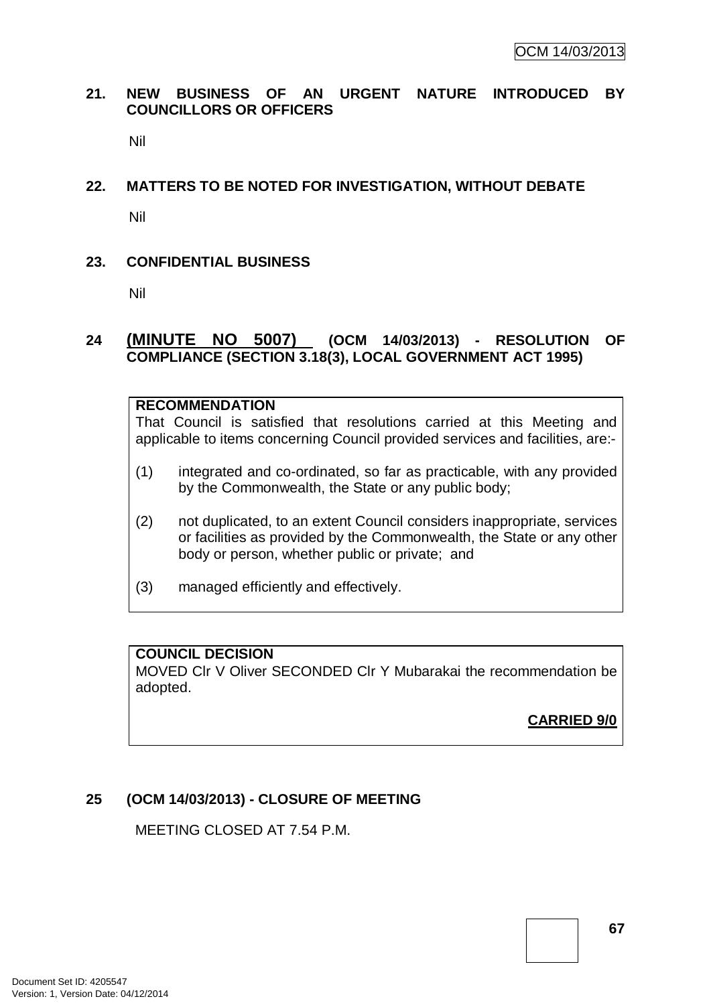## **21. NEW BUSINESS OF AN URGENT NATURE INTRODUCED BY COUNCILLORS OR OFFICERS**

Nil

#### **22. MATTERS TO BE NOTED FOR INVESTIGATION, WITHOUT DEBATE**

Nil

## **23. CONFIDENTIAL BUSINESS**

Nil

## **24 (MINUTE NO 5007) (OCM 14/03/2013) - RESOLUTION OF COMPLIANCE (SECTION 3.18(3), LOCAL GOVERNMENT ACT 1995)**

#### **RECOMMENDATION**

That Council is satisfied that resolutions carried at this Meeting and applicable to items concerning Council provided services and facilities, are:-

- (1) integrated and co-ordinated, so far as practicable, with any provided by the Commonwealth, the State or any public body;
- (2) not duplicated, to an extent Council considers inappropriate, services or facilities as provided by the Commonwealth, the State or any other body or person, whether public or private; and
- (3) managed efficiently and effectively.

## **COUNCIL DECISION**

MOVED Clr V Oliver SECONDED Clr Y Mubarakai the recommendation be adopted.

## **CARRIED 9/0**

## **25 (OCM 14/03/2013) - CLOSURE OF MEETING**

MEETING CLOSED AT 7.54 P.M.